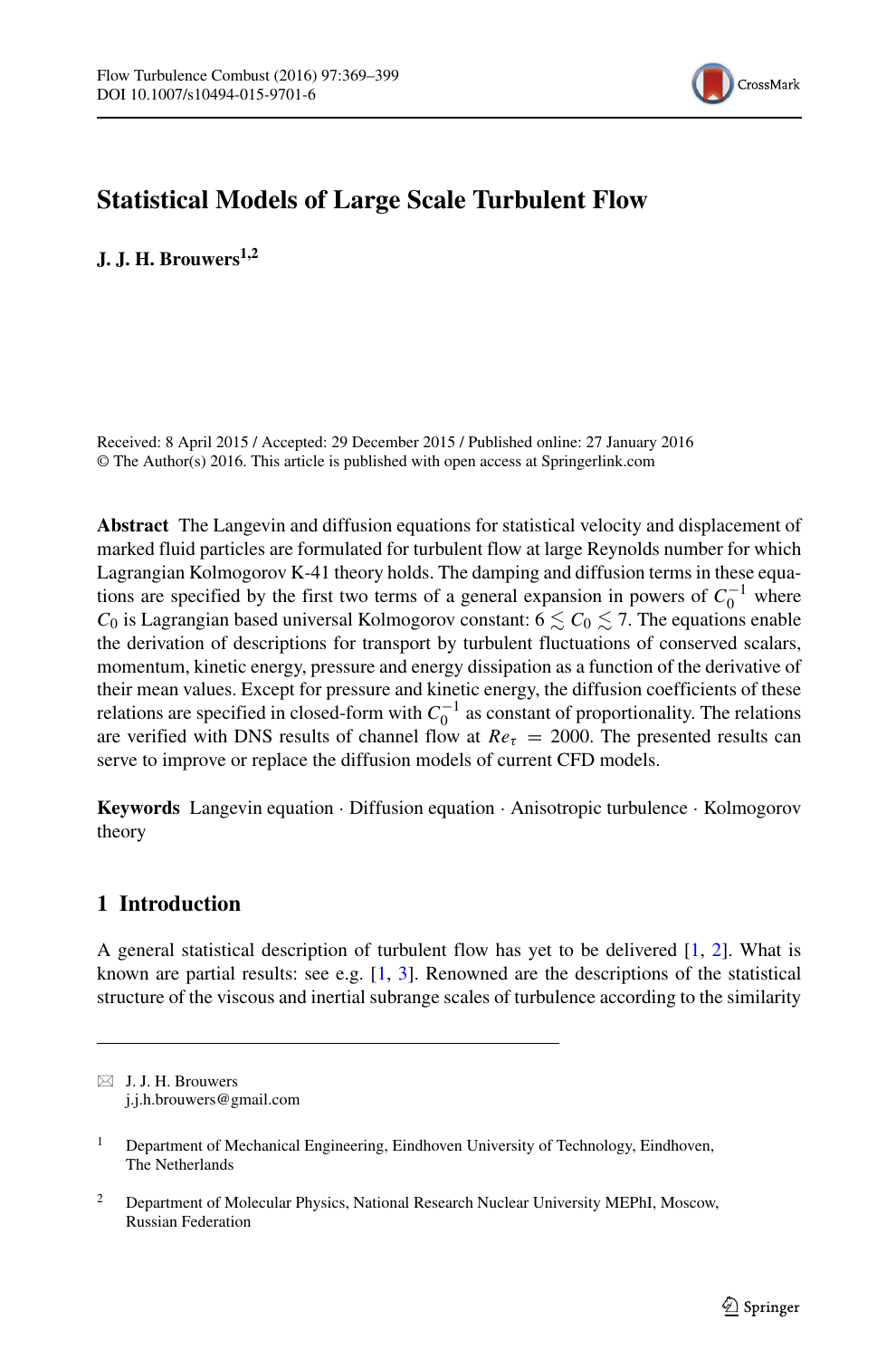

# **Statistical Models of Large Scale Turbulent Flow**

**J. J. H. Brouwers1,2**

Received: 8 April 2015 / Accepted: 29 December 2015 / Published online: 27 January 2016 © The Author(s) 2016. This article is published with open access at Springerlink.com

**Abstract** The Langevin and diffusion equations for statistical velocity and displacement of marked fluid particles are formulated for turbulent flow at large Reynolds number for which Lagrangian Kolmogorov K-41 theory holds. The damping and diffusion terms in these equations are specified by the first two terms of a general expansion in powers of  $C_0^{-1}$  where  $C_0$  is Lagrangian based universal Kolmogorov constant:  $6 \lesssim C_0 \lesssim 7$ . The equations enable the derivation of descriptions for transport by turbulent fluctuations of conserved scalars, momentum, kinetic energy, pressure and energy dissipation as a function of the derivative of their mean values. Except for pressure and kinetic energy, the diffusion coefficients of these relations are specified in closed-form with  $C_0^{-1}$  as constant of proportionality. The relations are verified with DNS results of channel flow at  $Re_\tau = 2000$ . The presented results can serve to improve or replace the diffusion models of current CFD models.

**Keywords** Langevin equation · Diffusion equation · Anisotropic turbulence · Kolmogorov theory

# **1 Introduction**

A general statistical description of turbulent flow has yet to be delivered [\[1,](#page-29-0) [2\]](#page-29-1). What is known are partial results: see e.g.  $\left[1, 3\right]$  $\left[1, 3\right]$  $\left[1, 3\right]$ . Renowned are the descriptions of the statistical structure of the viscous and inertial subrange scales of turbulence according to the similarity

 $\boxtimes$  J. J. H. Brouwers [j.j.h.brouwers@gmail.com](mailto:j.j.h.brouwers@gmail.com)

<sup>&</sup>lt;sup>1</sup> Department of Mechanical Engineering, Eindhoven University of Technology, Eindhoven, The Netherlands

<sup>&</sup>lt;sup>2</sup> Department of Molecular Physics, National Research Nuclear University MEPhI, Moscow, Russian Federation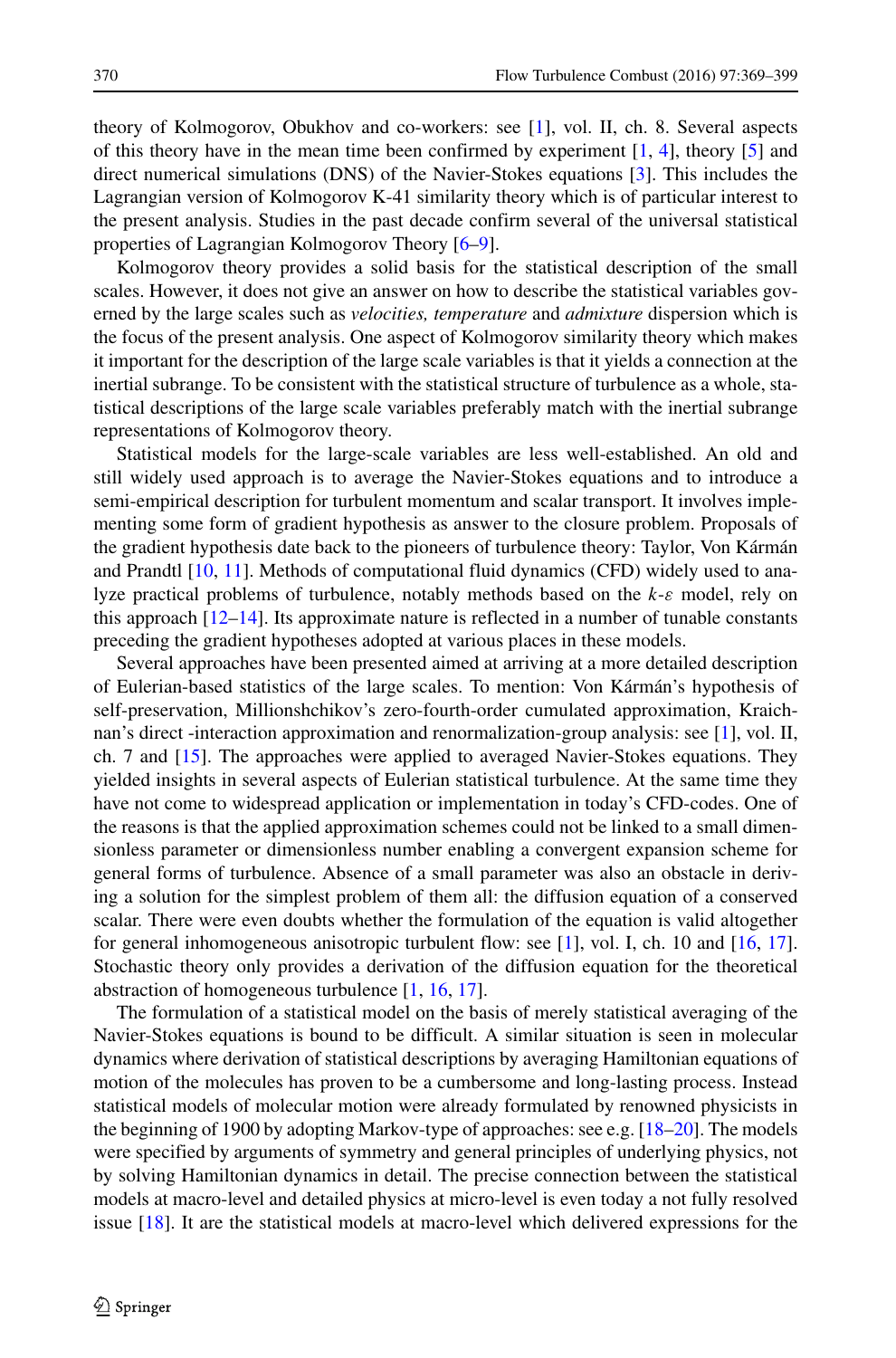theory of Kolmogorov, Obukhov and co-workers: see [\[1\]](#page-29-0), vol. II, ch. 8. Several aspects of this theory have in the mean time been confirmed by experiment  $[1, 4]$  $[1, 4]$  $[1, 4]$ , theory  $[5]$  and direct numerical simulations (DNS) of the Navier-Stokes equations [\[3\]](#page-29-2). This includes the Lagrangian version of Kolmogorov K-41 similarity theory which is of particular interest to the present analysis. Studies in the past decade confirm several of the universal statistical properties of Lagrangian Kolmogorov Theory [\[6](#page-29-5)[–9\]](#page-30-0).

Kolmogorov theory provides a solid basis for the statistical description of the small scales. However, it does not give an answer on how to describe the statistical variables governed by the large scales such as *velocities, temperature* and *admixture* dispersion which is the focus of the present analysis. One aspect of Kolmogorov similarity theory which makes it important for the description of the large scale variables is that it yields a connection at the inertial subrange. To be consistent with the statistical structure of turbulence as a whole, statistical descriptions of the large scale variables preferably match with the inertial subrange representations of Kolmogorov theory.

Statistical models for the large-scale variables are less well-established. An old and still widely used approach is to average the Navier-Stokes equations and to introduce a semi-empirical description for turbulent momentum and scalar transport. It involves implementing some form of gradient hypothesis as answer to the closure problem. Proposals of the gradient hypothesis date back to the pioneers of turbulence theory: Taylor, Von Kármán and Prandtl [\[10,](#page-30-1) [11\]](#page-30-2). Methods of computational fluid dynamics (CFD) widely used to analyze practical problems of turbulence, notably methods based on the *k*-*ε* model, rely on this approach  $[12-14]$  $[12-14]$ . Its approximate nature is reflected in a number of tunable constants preceding the gradient hypotheses adopted at various places in these models.

Several approaches have been presented aimed at arriving at a more detailed description of Eulerian-based statistics of the large scales. To mention: Von Kármán's hypothesis of self-preservation, Millionshchikov's zero-fourth-order cumulated approximation, Kraichnan's direct -interaction approximation and renormalization-group analysis: see [\[1\]](#page-29-0), vol. II, ch. 7 and [\[15\]](#page-30-5). The approaches were applied to averaged Navier-Stokes equations. They yielded insights in several aspects of Eulerian statistical turbulence. At the same time they have not come to widespread application or implementation in today's CFD-codes. One of the reasons is that the applied approximation schemes could not be linked to a small dimensionless parameter or dimensionless number enabling a convergent expansion scheme for general forms of turbulence. Absence of a small parameter was also an obstacle in deriving a solution for the simplest problem of them all: the diffusion equation of a conserved scalar. There were even doubts whether the formulation of the equation is valid altogether for general inhomogeneous anisotropic turbulent flow: see [\[1\]](#page-29-0), vol. I, ch. 10 and [\[16,](#page-30-6) [17\]](#page-30-7). Stochastic theory only provides a derivation of the diffusion equation for the theoretical abstraction of homogeneous turbulence [\[1,](#page-29-0) [16,](#page-30-6) [17\]](#page-30-7).

The formulation of a statistical model on the basis of merely statistical averaging of the Navier-Stokes equations is bound to be difficult. A similar situation is seen in molecular dynamics where derivation of statistical descriptions by averaging Hamiltonian equations of motion of the molecules has proven to be a cumbersome and long-lasting process. Instead statistical models of molecular motion were already formulated by renowned physicists in the beginning of 1900 by adopting Markov-type of approaches: see e.g. [\[18–](#page-30-8)[20\]](#page-30-9). The models were specified by arguments of symmetry and general principles of underlying physics, not by solving Hamiltonian dynamics in detail. The precise connection between the statistical models at macro-level and detailed physics at micro-level is even today a not fully resolved issue [\[18\]](#page-30-8). It are the statistical models at macro-level which delivered expressions for the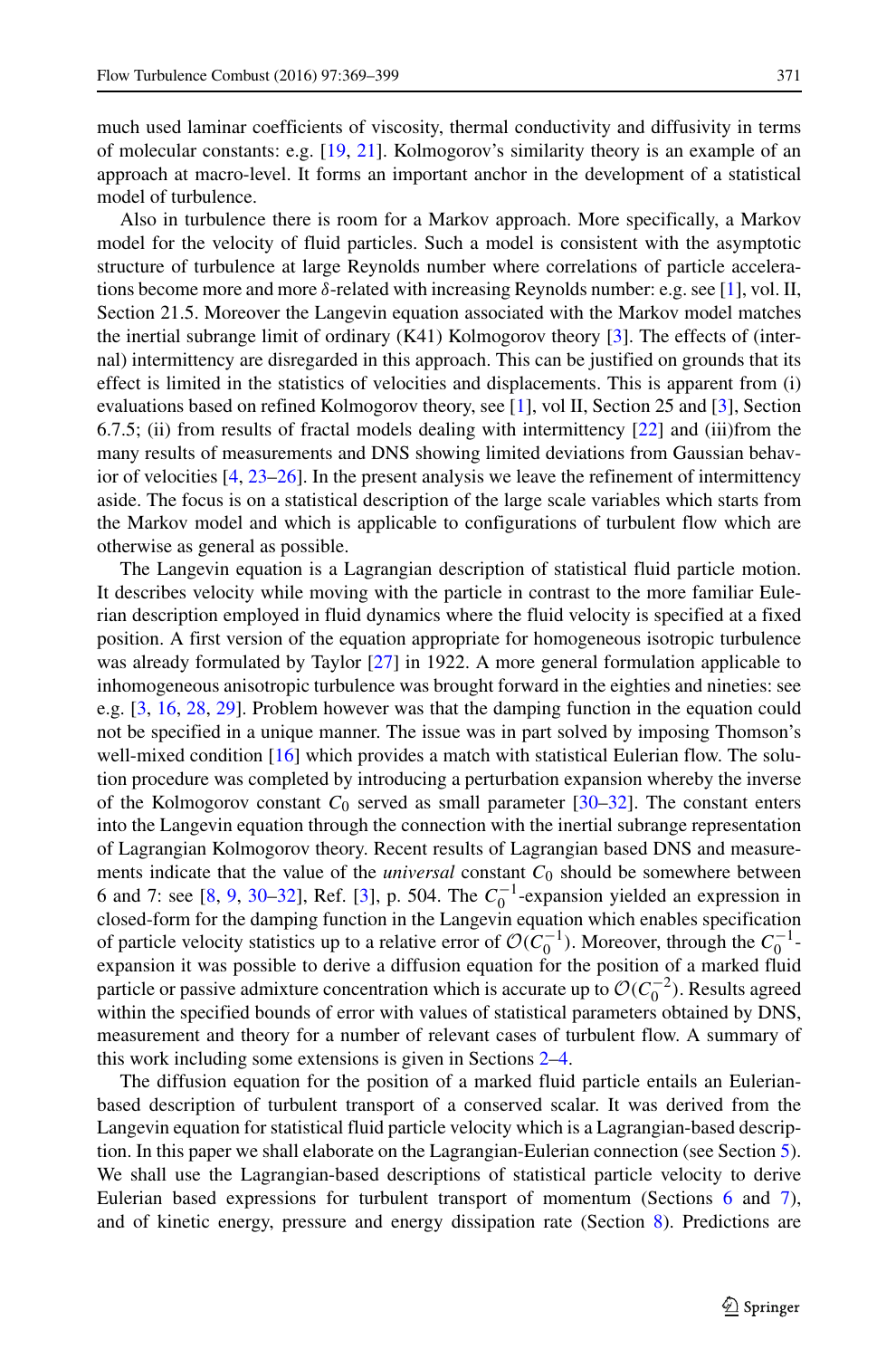much used laminar coefficients of viscosity, thermal conductivity and diffusivity in terms of molecular constants: e.g. [\[19,](#page-30-10) [21\]](#page-30-11). Kolmogorov's similarity theory is an example of an approach at macro-level. It forms an important anchor in the development of a statistical model of turbulence.

Also in turbulence there is room for a Markov approach. More specifically, a Markov model for the velocity of fluid particles. Such a model is consistent with the asymptotic structure of turbulence at large Reynolds number where correlations of particle accelerations become more and more *δ*-related with increasing Reynolds number: e.g. see [\[1\]](#page-29-0), vol. II, Section 21.5. Moreover the Langevin equation associated with the Markov model matches the inertial subrange limit of ordinary (K41) Kolmogorov theory [\[3\]](#page-29-2). The effects of (internal) intermittency are disregarded in this approach. This can be justified on grounds that its effect is limited in the statistics of velocities and displacements. This is apparent from (i) evaluations based on refined Kolmogorov theory, see [\[1\]](#page-29-0), vol II, Section 25 and [\[3\]](#page-29-2), Section 6.7.5; (ii) from results of fractal models dealing with intermittency [\[22\]](#page-30-12) and (iii)from the many results of measurements and DNS showing limited deviations from Gaussian behavior of velocities [\[4,](#page-29-3) [23](#page-30-13)[–26\]](#page-30-14). In the present analysis we leave the refinement of intermittency aside. The focus is on a statistical description of the large scale variables which starts from the Markov model and which is applicable to configurations of turbulent flow which are otherwise as general as possible.

The Langevin equation is a Lagrangian description of statistical fluid particle motion. It describes velocity while moving with the particle in contrast to the more familiar Eulerian description employed in fluid dynamics where the fluid velocity is specified at a fixed position. A first version of the equation appropriate for homogeneous isotropic turbulence was already formulated by Taylor [\[27\]](#page-30-15) in 1922. A more general formulation applicable to inhomogeneous anisotropic turbulence was brought forward in the eighties and nineties: see e.g. [\[3,](#page-29-2) [16,](#page-30-6) [28,](#page-30-16) [29\]](#page-30-17). Problem however was that the damping function in the equation could not be specified in a unique manner. The issue was in part solved by imposing Thomson's well-mixed condition [\[16\]](#page-30-6) which provides a match with statistical Eulerian flow. The solution procedure was completed by introducing a perturbation expansion whereby the inverse of the Kolmogorov constant  $C_0$  served as small parameter  $\lceil 30-32 \rceil$ . The constant enters into the Langevin equation through the connection with the inertial subrange representation of Lagrangian Kolmogorov theory. Recent results of Lagrangian based DNS and measurements indicate that the value of the *universal* constant  $C_0$  should be somewhere between 6 and 7: see [\[8,](#page-30-20) [9,](#page-30-0) [30](#page-30-18)[–32\]](#page-30-19), Ref. [\[3\]](#page-29-2), p. 504. The  $C_0^{-1}$ -expansion yielded an expression in closed-form for the damping function in the Langevin equation which enables specification of particle velocity statistics up to a relative error of  $\mathcal{O}(C_0^{-1})$ . Moreover, through the  $C_0^{-1}$ expansion it was possible to derive a diffusion equation for the position of a marked fluid particle or passive admixture concentration which is accurate up to  $\mathcal{O}(C_0^{-2})$ . Results agreed within the specified bounds of error with values of statistical parameters obtained by DNS, measurement and theory for a number of relevant cases of turbulent flow. A summary of this work including some extensions is given in Sections [2](#page-3-0)[–4.](#page-6-0)

The diffusion equation for the position of a marked fluid particle entails an Eulerianbased description of turbulent transport of a conserved scalar. It was derived from the Langevin equation for statistical fluid particle velocity which is a Lagrangian-based description. In this paper we shall elaborate on the Lagrangian-Eulerian connection (see Section [5\)](#page-8-0). We shall use the Lagrangian-based descriptions of statistical particle velocity to derive Eulerian based expressions for turbulent transport of momentum (Sections [6](#page-11-0) and [7\)](#page-12-0), and of kinetic energy, pressure and energy dissipation rate (Section [8\)](#page-14-0). Predictions are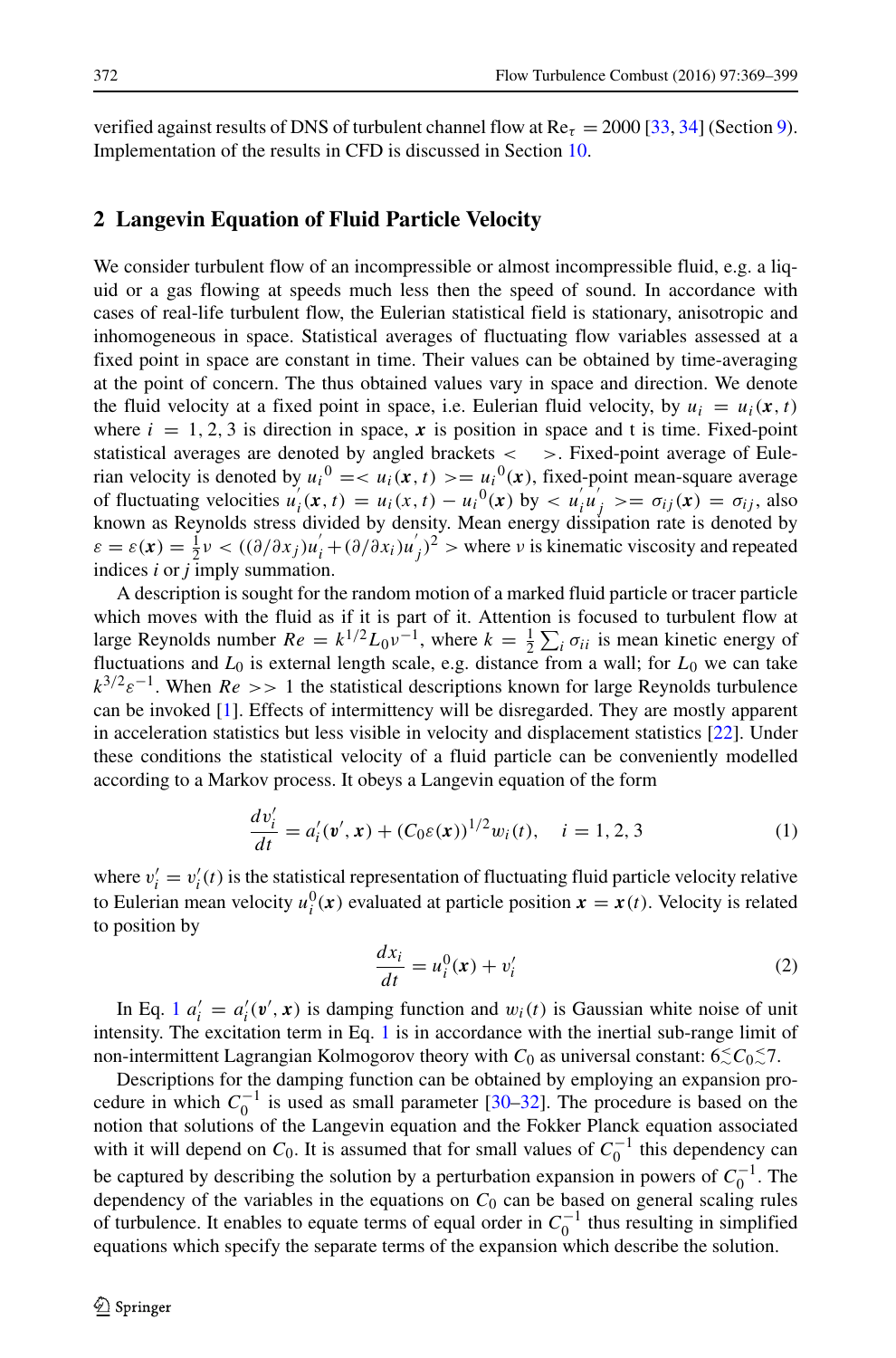verified against results of DNS of turbulent channel flow at Re*<sup>τ</sup>* = 2000 [\[33,](#page-30-21) [34\]](#page-30-22) (Section [9\)](#page-17-0). Implementation of the results in CFD is discussed in Section [10.](#page-23-0)

#### <span id="page-3-0"></span>**2 Langevin Equation of Fluid Particle Velocity**

We consider turbulent flow of an incompressible or almost incompressible fluid, e.g. a liquid or a gas flowing at speeds much less then the speed of sound. In accordance with cases of real-life turbulent flow, the Eulerian statistical field is stationary, anisotropic and inhomogeneous in space. Statistical averages of fluctuating flow variables assessed at a fixed point in space are constant in time. Their values can be obtained by time-averaging at the point of concern. The thus obtained values vary in space and direction. We denote the fluid velocity at a fixed point in space, i.e. Eulerian fluid velocity, by  $u_i = u_i(x, t)$ where  $i = 1, 2, 3$  is direction in space, x is position in space and t is time. Fixed-point statistical averages are denoted by angled brackets *< >*. Fixed-point average of Eulerian velocity is denoted by  $u_i^0 = \langle u_i(x, t) \rangle = u_i^0(x)$ , fixed-point mean-square average of fluctuating velocities  $u'_i(\mathbf{x}, t) = u_i(x, t) - u_i^0(\mathbf{x})$  by  $\langle u'_i u'_j \rangle = \sigma_{ij}(\mathbf{x}) = \sigma_{ij}$ , also known as Reynolds stress divided by density. Mean energy dissipation rate is denoted by  $\varepsilon = \varepsilon(\mathbf{x}) = \frac{1}{2}\nu < \left((\partial/\partial x_j)u'_i + (\partial/\partial x_i)u'_j\right)^2$  > where *ν* is kinematic viscosity and repeated indices *i* or *j* imply summation.

A description is sought for the random motion of a marked fluid particle or tracer particle which moves with the fluid as if it is part of it. Attention is focused to turbulent flow at large Reynolds number  $Re = k^{1/2}L_0v^{-1}$ , where  $k = \frac{1}{2}\sum_i \sigma_{ii}$  is mean kinetic energy of fluctuations and  $L_0$  is external length scale, e.g. distance from a wall; for  $L_0$  we can take  $k^{3/2} \varepsilon^{-1}$ . When  $Re \gg 1$  the statistical descriptions known for large Reynolds turbulence can be invoked [\[1\]](#page-29-0). Effects of intermittency will be disregarded. They are mostly apparent in acceleration statistics but less visible in velocity and displacement statistics [\[22\]](#page-30-12). Under these conditions the statistical velocity of a fluid particle can be conveniently modelled according to a Markov process. It obeys a Langevin equation of the form

<span id="page-3-1"></span>
$$
\frac{dv_i'}{dt} = a_i'(v', \mathbf{x}) + (C_0 \varepsilon(\mathbf{x}))^{1/2} w_i(t), \quad i = 1, 2, 3
$$
 (1)

where  $v_i' = v_i'(t)$  is the statistical representation of fluctuating fluid particle velocity relative to Eulerian mean velocity  $u_i^0(\mathbf{x})$  evaluated at particle position  $\mathbf{x} = \mathbf{x}(t)$ . Velocity is related to position by

<span id="page-3-2"></span>
$$
\frac{dx_i}{dt} = u_i^0(\mathbf{x}) + v_i' \tag{2}
$$

In Eq. [1](#page-3-1)  $a'_i = a'_i(v', x)$  is damping function and  $w_i(t)$  is Gaussian white noise of unit intensity. The excitation term in Eq. [1](#page-3-1) is in accordance with the inertial sub-range limit of non-intermittent Lagrangian Kolmogorov theory with  $C_0$  as universal constant: 6  $\leq C_0 \leq 7$ .

Descriptions for the damping function can be obtained by employing an expansion procedure in which  $C_0^{-1}$  is used as small parameter [\[30](#page-30-18)[–32\]](#page-30-19). The procedure is based on the notion that solutions of the Langevin equation and the Fokker Planck equation associated with it will depend on  $C_0$ . It is assumed that for small values of  $C_0^{-1}$  this dependency can be captured by describing the solution by a perturbation expansion in powers of  $C_0^{-1}$ . The dependency of the variables in the equations on  $C_0$  can be based on general scaling rules of turbulence. It enables to equate terms of equal order in  $C_0^{-1}$  thus resulting in simplified equations which specify the separate terms of the expansion which describe the solution.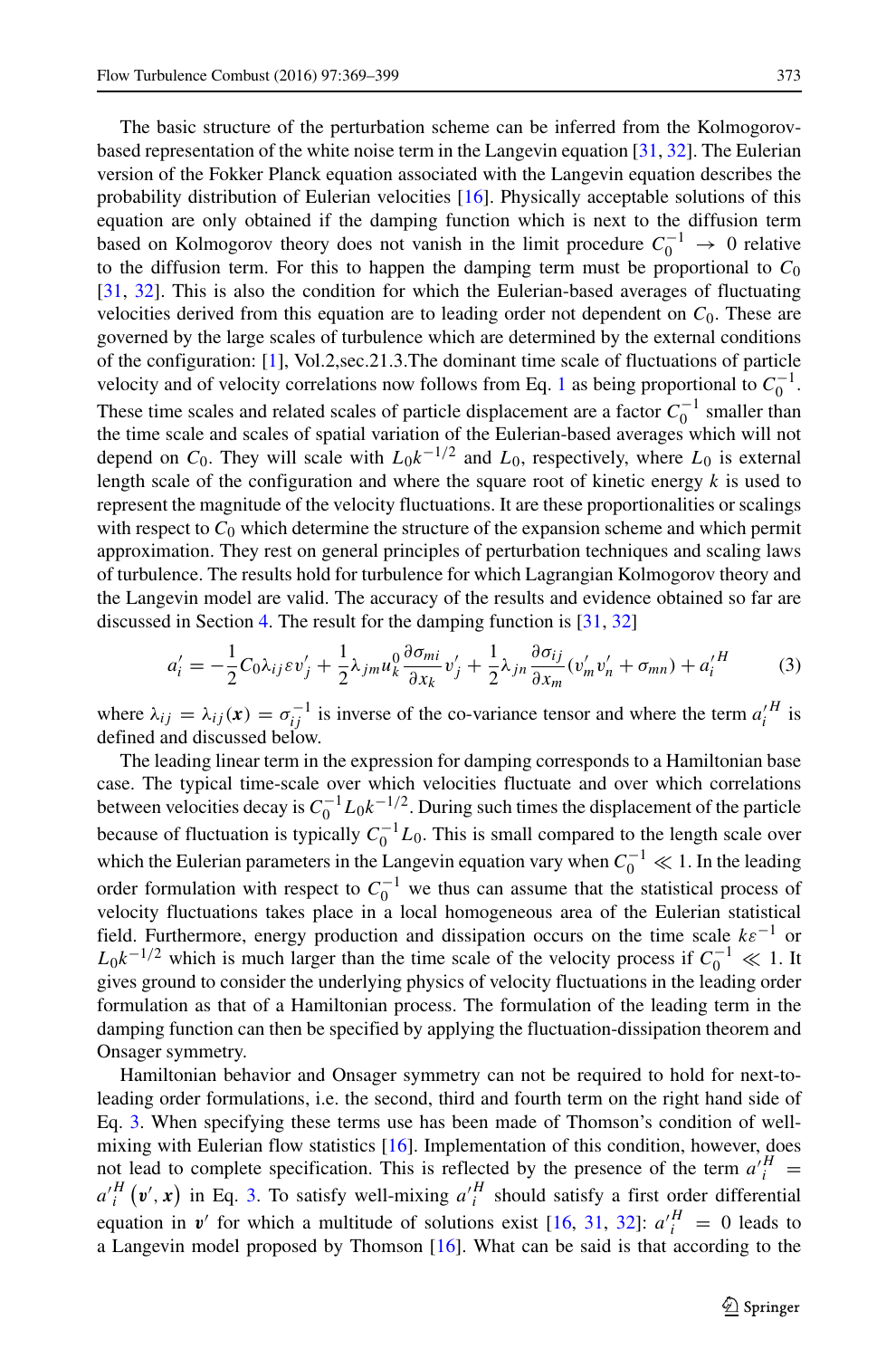The basic structure of the perturbation scheme can be inferred from the Kolmogorovbased representation of the white noise term in the Langevin equation [\[31,](#page-30-23) [32\]](#page-30-19). The Eulerian version of the Fokker Planck equation associated with the Langevin equation describes the probability distribution of Eulerian velocities [\[16\]](#page-30-6). Physically acceptable solutions of this equation are only obtained if the damping function which is next to the diffusion term based on Kolmogorov theory does not vanish in the limit procedure  $C_0^{-1} \rightarrow 0$  relative to the diffusion term. For this to happen the damping term must be proportional to  $C_0$ [\[31,](#page-30-23) [32\]](#page-30-19). This is also the condition for which the Eulerian-based averages of fluctuating velocities derived from this equation are to leading order not dependent on *C*0. These are governed by the large scales of turbulence which are determined by the external conditions of the configuration: [\[1\]](#page-29-0), Vol.2,sec.21.3.The dominant time scale of fluctuations of particle velocity and of velocity correlations now follows from Eq. [1](#page-3-1) as being proportional to  $C_0^{-1}$ . These time scales and related scales of particle displacement are a factor  $C_0^{-1}$  smaller than the time scale and scales of spatial variation of the Eulerian-based averages which will not depend on  $C_0$ . They will scale with  $L_0 k^{-1/2}$  and  $L_0$ , respectively, where  $L_0$  is external length scale of the configuration and where the square root of kinetic energy *k* is used to represent the magnitude of the velocity fluctuations. It are these proportionalities or scalings with respect to  $C_0$  which determine the structure of the expansion scheme and which permit approximation. They rest on general principles of perturbation techniques and scaling laws of turbulence. The results hold for turbulence for which Lagrangian Kolmogorov theory and the Langevin model are valid. The accuracy of the results and evidence obtained so far are discussed in Section [4.](#page-6-0) The result for the damping function is [\[31,](#page-30-23) [32\]](#page-30-19)

<span id="page-4-0"></span>
$$
a'_{i} = -\frac{1}{2}C_{0}\lambda_{ij}\varepsilon v'_{j} + \frac{1}{2}\lambda_{jm}u^{0}_{k}\frac{\partial\sigma_{mi}}{\partial x_{k}}v'_{j} + \frac{1}{2}\lambda_{jn}\frac{\partial\sigma_{ij}}{\partial x_{m}}(v'_{m}v'_{n} + \sigma_{mn}) + {a'_{i}}^{H}
$$
(3)

where  $\lambda_{ij} = \lambda_{ij}(\mathbf{x}) = \sigma_{ij}^{-1}$  is inverse of the co-variance tensor and where the term  $a_i'^H$  is defined and discussed below.

The leading linear term in the expression for damping corresponds to a Hamiltonian base case. The typical time-scale over which velocities fluctuate and over which correlations between velocities decay is  $C_0^{-1}L_0k^{-1/2}$ . During such times the displacement of the particle because of fluctuation is typically  $C_0^{-1}L_0$ . This is small compared to the length scale over which the Eulerian parameters in the Langevin equation vary when  $C_0^{-1} \ll 1$ . In the leading order formulation with respect to  $C_0^{-1}$  we thus can assume that the statistical process of velocity fluctuations takes place in a local homogeneous area of the Eulerian statistical field. Furthermore, energy production and dissipation occurs on the time scale  $k\varepsilon^{-1}$  or  $L_0 k^{-1/2}$  which is much larger than the time scale of the velocity process if  $C_0^{-1} \ll 1$ . It gives ground to consider the underlying physics of velocity fluctuations in the leading order formulation as that of a Hamiltonian process. The formulation of the leading term in the damping function can then be specified by applying the fluctuation-dissipation theorem and Onsager symmetry.

Hamiltonian behavior and Onsager symmetry can not be required to hold for next-toleading order formulations, i.e. the second, third and fourth term on the right hand side of Eq. [3.](#page-4-0) When specifying these terms use has been made of Thomson's condition of wellmixing with Eulerian flow statistics [\[16\]](#page-30-6). Implementation of this condition, however, does not lead to complete specification. This is reflected by the presence of the term  $a_i^H$  =  $a'^{H}_{i}$  (v', x) in Eq. [3.](#page-4-0) To satisfy well-mixing  $a'^{H}_{i}$  should satisfy a first order differential equation in  $v'$  for which a multitude of solutions exist [\[16,](#page-30-6) [31,](#page-30-23) [32\]](#page-30-19):  $a'_i$ <sup>H</sup> = 0 leads to a Langevin model proposed by Thomson [\[16\]](#page-30-6). What can be said is that according to the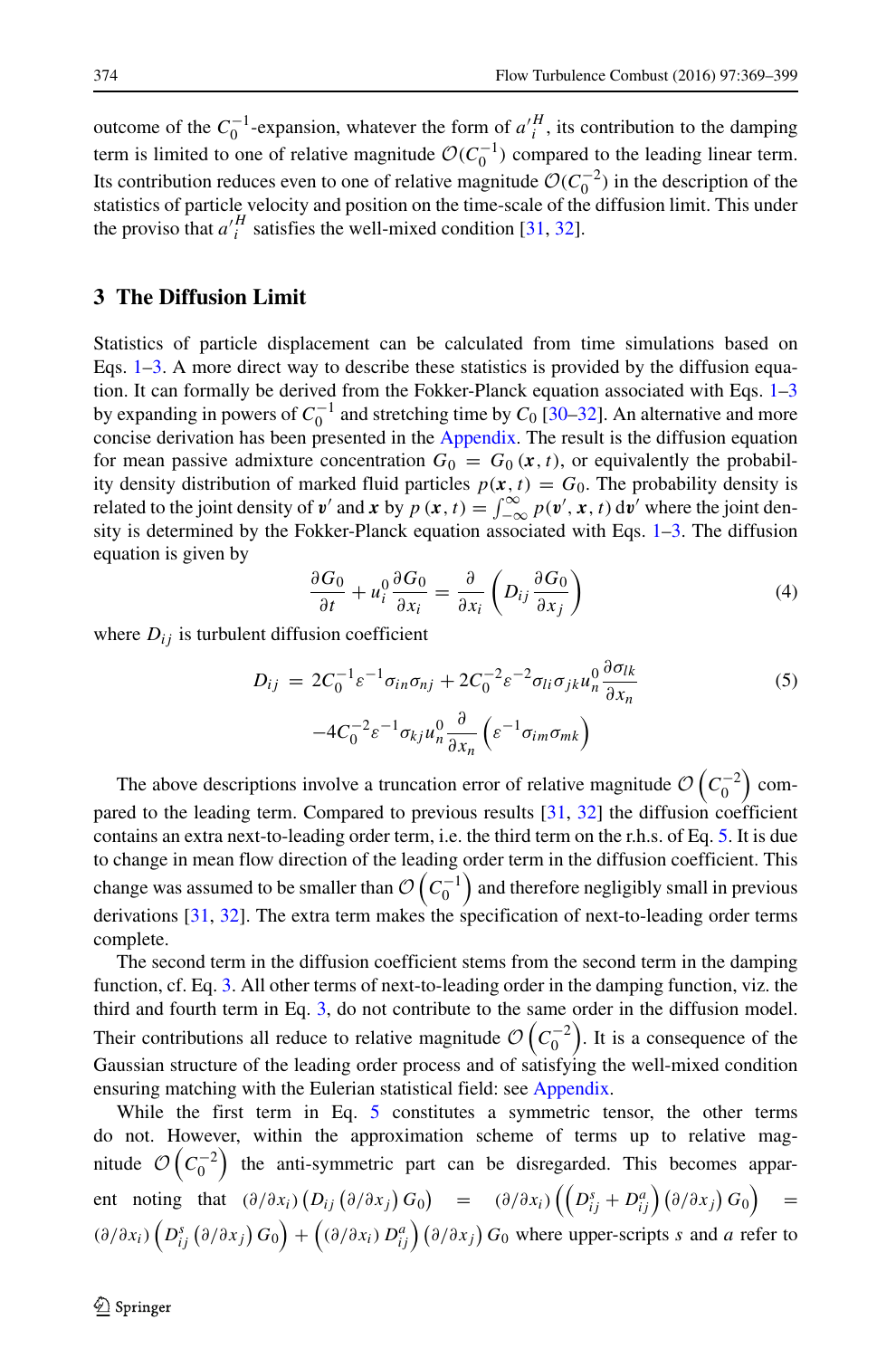outcome of the  $C_0^{-1}$ -expansion, whatever the form of  $a'_i$ , its contribution to the damping term is limited to one of relative magnitude  $O(C_0^{-1})$  compared to the leading linear term. Its contribution reduces even to one of relative magnitude  $O(C_0^{-2})$  in the description of the statistics of particle velocity and position on the time-scale of the diffusion limit. This under the proviso that  $a_i^H$  satisfies the well-mixed condition [\[31,](#page-30-23) [32\]](#page-30-19).

# <span id="page-5-2"></span>**3 The Diffusion Limit**

Statistics of particle displacement can be calculated from time simulations based on Eqs.  $1-3$ . A more direct way to describe these statistics is provided by the diffusion equation. It can formally be derived from the Fokker-Planck equation associated with Eqs.  $1-3$  $1-3$ by expanding in powers of  $C_0^{-1}$  and stretching time by  $C_0$  [\[30–](#page-30-18)[32\]](#page-30-19). An alternative and more concise derivation has been presented in the [Appendix.](#page-26-0) The result is the diffusion equation for mean passive admixture concentration  $G_0 = G_0(x, t)$ , or equivalently the probability density distribution of marked fluid particles  $p(x, t) = G_0$ . The probability density is related to the joint density of *v*<sup>-</sup> and *x* by  $p(x, t) = \int_{-\infty}^{\infty} p(v', x, t) dv'$  where the joint density is determined by the Fokker-Planck equation associated with Eqs. [1–](#page-3-1)[3.](#page-4-0) The diffusion equation is given by

<span id="page-5-1"></span>
$$
\frac{\partial G_0}{\partial t} + u_i^0 \frac{\partial G_0}{\partial x_i} = \frac{\partial}{\partial x_i} \left( D_{ij} \frac{\partial G_0}{\partial x_j} \right) \tag{4}
$$

where  $D_{ij}$  is turbulent diffusion coefficient

<span id="page-5-0"></span>
$$
D_{ij} = 2C_0^{-1} \varepsilon^{-1} \sigma_{in} \sigma_{nj} + 2C_0^{-2} \varepsilon^{-2} \sigma_{li} \sigma_{jk} u_n^0 \frac{\partial \sigma_{lk}}{\partial x_n}
$$
  

$$
-4C_0^{-2} \varepsilon^{-1} \sigma_{kj} u_n^0 \frac{\partial}{\partial x_n} \left( \varepsilon^{-1} \sigma_{im} \sigma_{mk} \right)
$$
 (5)

The above descriptions involve a truncation error of relative magnitude  $\mathcal{O}\left(C_0^{-2}\right)$  compared to the leading term. Compared to previous results [\[31,](#page-30-23) [32\]](#page-30-19) the diffusion coefficient contains an extra next-to-leading order term, i.e. the third term on the r.h.s. of Eq. [5.](#page-5-0) It is due to change in mean flow direction of the leading order term in the diffusion coefficient. This change was assumed to be smaller than  $\mathcal{O}\left(C_0^{-1}\right)$  and therefore negligibly small in previous derivations [\[31,](#page-30-23) [32\]](#page-30-19). The extra term makes the specification of next-to-leading order terms complete.

The second term in the diffusion coefficient stems from the second term in the damping function, cf. Eq. [3.](#page-4-0) All other terms of next-to-leading order in the damping function, viz. the third and fourth term in Eq. [3,](#page-4-0) do not contribute to the same order in the diffusion model. Their contributions all reduce to relative magnitude  $\mathcal{O}\left(C_0^{-2}\right)$ . It is a consequence of the Gaussian structure of the leading order process and of satisfying the well-mixed condition ensuring matching with the Eulerian statistical field: see [Appendix.](#page-26-0)

While the first term in Eq. [5](#page-5-0) constitutes a symmetric tensor, the other terms do not. However, within the approximation scheme of terms up to relative magnitude  $\mathcal{O}\left(C_0^{-2}\right)$  the anti-symmetric part can be disregarded. This becomes apparent noting that  $(\partial/\partial x_i) (D_{ij} (\partial/\partial x_j) G_0) = (\partial/\partial x_i) ((D_{ij}^s + D_{ij}^a) (\partial/\partial x_j) G_0)$ =  $(\partial/\partial x_i)\left(D_{ij}^s(\partial/\partial x_j)G_0\right) + ((\partial/\partial x_i)D_{ij}^a)(\partial/\partial x_j)G_0$  where upper-scripts *s* and *a* refer to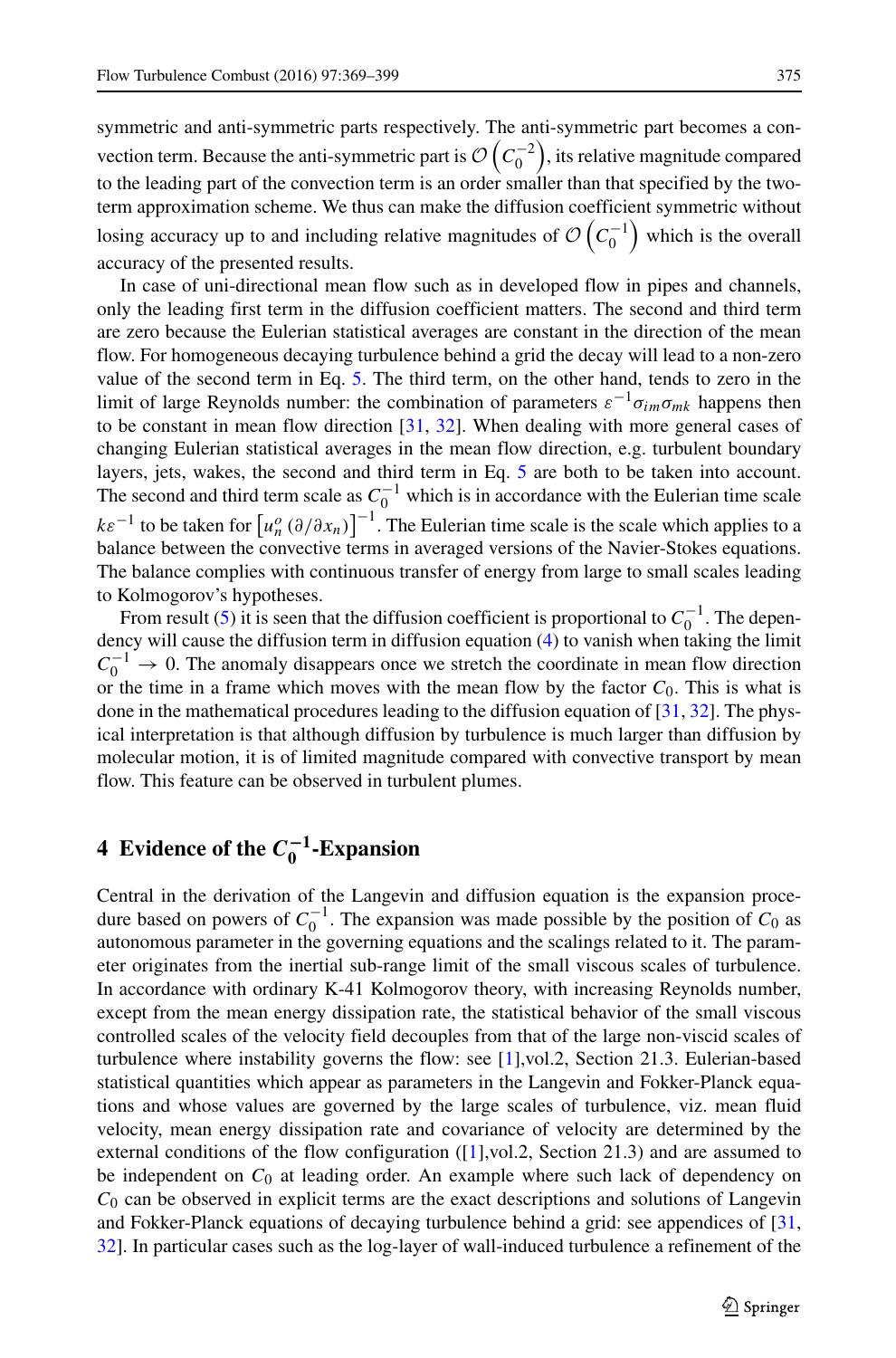symmetric and anti-symmetric parts respectively. The anti-symmetric part becomes a convection term. Because the anti-symmetric part is  $\mathcal{O}\left(C_0^{-2}\right)$ , its relative magnitude compared to the leading part of the convection term is an order smaller than that specified by the twoterm approximation scheme. We thus can make the diffusion coefficient symmetric without losing accuracy up to and including relative magnitudes of  $\mathcal{O}\left(C_0^{-1}\right)$  which is the overall accuracy of the presented results.

In case of uni-directional mean flow such as in developed flow in pipes and channels, only the leading first term in the diffusion coefficient matters. The second and third term are zero because the Eulerian statistical averages are constant in the direction of the mean flow. For homogeneous decaying turbulence behind a grid the decay will lead to a non-zero value of the second term in Eq. [5.](#page-5-0) The third term, on the other hand, tends to zero in the limit of large Reynolds number: the combination of parameters  $\varepsilon^{-1} \sigma_{im} \sigma_{mk}$  happens then to be constant in mean flow direction [\[31,](#page-30-23) [32\]](#page-30-19). When dealing with more general cases of changing Eulerian statistical averages in the mean flow direction, e.g. turbulent boundary layers, jets, wakes, the second and third term in Eq. [5](#page-5-0) are both to be taken into account. The second and third term scale as  $C_0^{-1}$  which is in accordance with the Eulerian time scale  $k\varepsilon^{-1}$  to be taken for  $\left[u_n^o\left(\partial/\partial x_n\right)\right]^{-1}$ . The Eulerian time scale is the scale which applies to a balance between the convective terms in averaged versions of the Navier-Stokes equations. The balance complies with continuous transfer of energy from large to small scales leading to Kolmogorov's hypotheses.

From result [\(5\)](#page-5-0) it is seen that the diffusion coefficient is proportional to  $C_0^{-1}$ . The dependency will cause the diffusion term in diffusion equation [\(4\)](#page-5-1) to vanish when taking the limit  $C_0^{-1} \to 0$ . The anomaly disappears once we stretch the coordinate in mean flow direction or the time in a frame which moves with the mean flow by the factor  $C_0$ . This is what is done in the mathematical procedures leading to the diffusion equation of [\[31,](#page-30-23) [32\]](#page-30-19). The physical interpretation is that although diffusion by turbulence is much larger than diffusion by molecular motion, it is of limited magnitude compared with convective transport by mean flow. This feature can be observed in turbulent plumes.

# <span id="page-6-0"></span>**4** Evidence of the  $C_0^{-1}$ -Expansion

Central in the derivation of the Langevin and diffusion equation is the expansion procedure based on powers of  $C_0^{-1}$ . The expansion was made possible by the position of  $C_0$  as autonomous parameter in the governing equations and the scalings related to it. The parameter originates from the inertial sub-range limit of the small viscous scales of turbulence. In accordance with ordinary K-41 Kolmogorov theory, with increasing Reynolds number, except from the mean energy dissipation rate, the statistical behavior of the small viscous controlled scales of the velocity field decouples from that of the large non-viscid scales of turbulence where instability governs the flow: see [\[1\]](#page-29-0),vol.2, Section 21.3. Eulerian-based statistical quantities which appear as parameters in the Langevin and Fokker-Planck equations and whose values are governed by the large scales of turbulence, viz. mean fluid velocity, mean energy dissipation rate and covariance of velocity are determined by the external conditions of the flow configuration ([\[1\]](#page-29-0),vol.2, Section 21.3) and are assumed to be independent on *C*<sup>0</sup> at leading order. An example where such lack of dependency on *C*<sup>0</sup> can be observed in explicit terms are the exact descriptions and solutions of Langevin and Fokker-Planck equations of decaying turbulence behind a grid: see appendices of [\[31,](#page-30-23) [32\]](#page-30-19). In particular cases such as the log-layer of wall-induced turbulence a refinement of the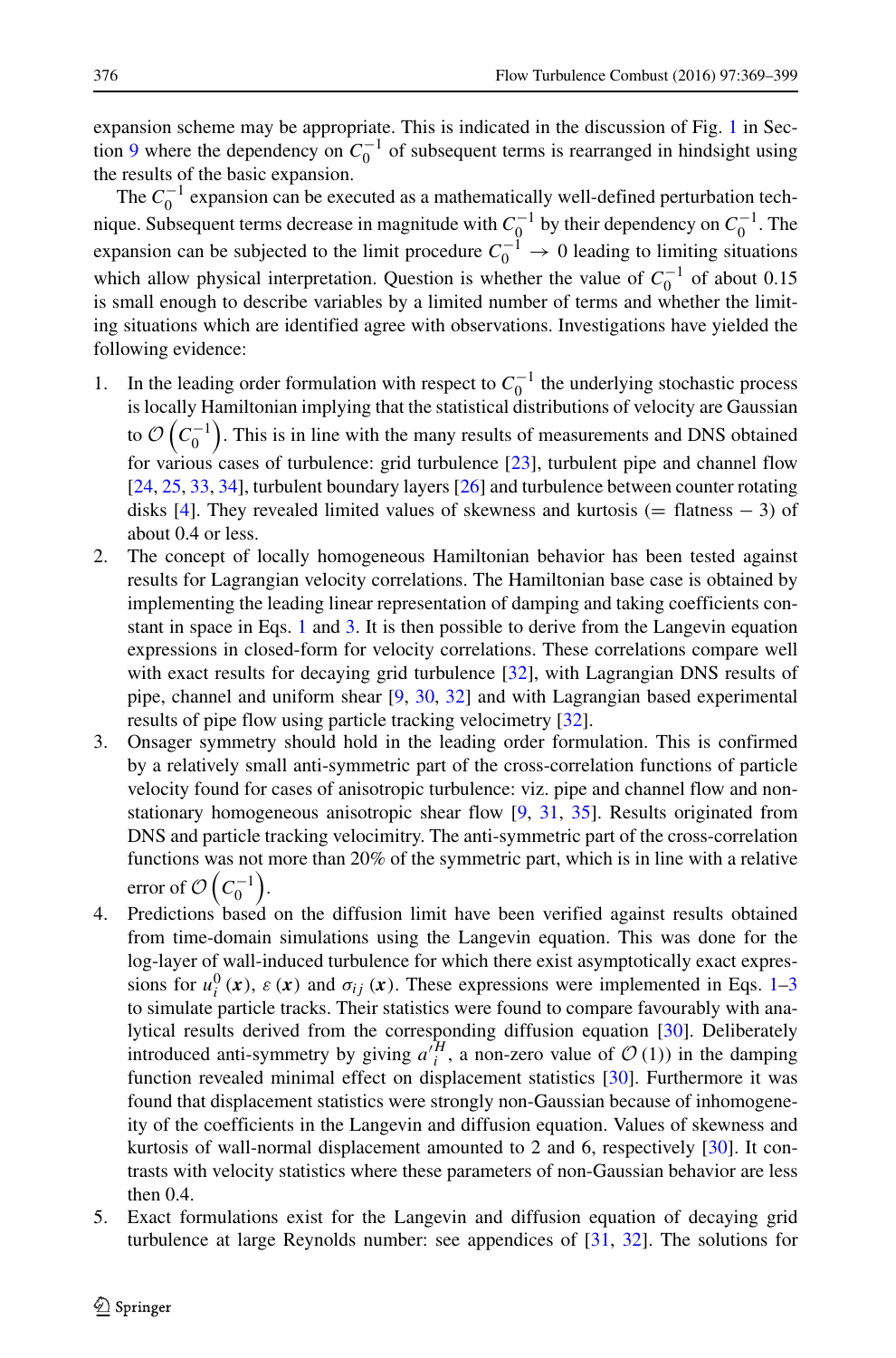expansion scheme may be appropriate. This is indicated in the discussion of Fig. [1](#page-18-0) in Sec-tion [9](#page-17-0) where the dependency on  $C_0^{-1}$  of subsequent terms is rearranged in hindsight using the results of the basic expansion.

The  $C_0^{-1}$  expansion can be executed as a mathematically well-defined perturbation technique. Subsequent terms decrease in magnitude with  $C_0^{-1}$  by their dependency on  $C_0^{-1}$ . The expansion can be subjected to the limit procedure  $C_0^{-1} \rightarrow 0$  leading to limiting situations which allow physical interpretation. Question is whether the value of  $C_0^{-1}$  of about 0.15 is small enough to describe variables by a limited number of terms and whether the limiting situations which are identified agree with observations. Investigations have yielded the following evidence:

- 1. In the leading order formulation with respect to  $C_0^{-1}$  the underlying stochastic process is locally Hamiltonian implying that the statistical distributions of velocity are Gaussian to  $\mathcal{O}\left(C_0^{-1}\right)$ . This is in line with the many results of measurements and DNS obtained for various cases of turbulence: grid turbulence [\[23\]](#page-30-13), turbulent pipe and channel flow [\[24,](#page-30-24) [25,](#page-30-25) [33,](#page-30-21) [34\]](#page-30-22), turbulent boundary layers [\[26\]](#page-30-14) and turbulence between counter rotating disks [\[4\]](#page-29-3). They revealed limited values of skewness and kurtosis (= flatness  $-$  3) of about 0.4 or less.
- 2. The concept of locally homogeneous Hamiltonian behavior has been tested against results for Lagrangian velocity correlations. The Hamiltonian base case is obtained by implementing the leading linear representation of damping and taking coefficients constant in space in Eqs. [1](#page-3-1) and [3.](#page-4-0) It is then possible to derive from the Langevin equation expressions in closed-form for velocity correlations. These correlations compare well with exact results for decaying grid turbulence [\[32\]](#page-30-19), with Lagrangian DNS results of pipe, channel and uniform shear [\[9,](#page-30-0) [30,](#page-30-18) [32\]](#page-30-19) and with Lagrangian based experimental results of pipe flow using particle tracking velocimetry [\[32\]](#page-30-19).
- 3. Onsager symmetry should hold in the leading order formulation. This is confirmed by a relatively small anti-symmetric part of the cross-correlation functions of particle velocity found for cases of anisotropic turbulence: viz. pipe and channel flow and nonstationary homogeneous anisotropic shear flow [\[9,](#page-30-0) [31,](#page-30-23) [35\]](#page-30-26). Results originated from DNS and particle tracking velocimitry. The anti-symmetric part of the cross-correlation functions was not more than 20% of the symmetric part, which is in line with a relative error of  $\mathcal{O}\left(C_0^{-1}\right)$ .
- 4. Predictions based on the diffusion limit have been verified against results obtained from time-domain simulations using the Langevin equation. This was done for the log-layer of wall-induced turbulence for which there exist asymptotically exact expressions for  $u_i^0(x)$ ,  $\varepsilon(x)$  and  $\sigma_{ij}(x)$ . These expressions were implemented in Eqs. [1](#page-3-1)[–3](#page-4-0) to simulate particle tracks. Their statistics were found to compare favourably with analytical results derived from the corresponding diffusion equation [\[30\]](#page-30-18). Deliberately introduced anti-symmetry by giving  $a_i^H$ , a non-zero value of  $\mathcal{O}(1)$ ) in the damping function revealed minimal effect on displacement statistics [\[30\]](#page-30-18). Furthermore it was found that displacement statistics were strongly non-Gaussian because of inhomogeneity of the coefficients in the Langevin and diffusion equation. Values of skewness and kurtosis of wall-normal displacement amounted to 2 and 6, respectively [\[30\]](#page-30-18). It contrasts with velocity statistics where these parameters of non-Gaussian behavior are less then 0.4.
- 5. Exact formulations exist for the Langevin and diffusion equation of decaying grid turbulence at large Reynolds number: see appendices of [\[31,](#page-30-23) [32\]](#page-30-19). The solutions for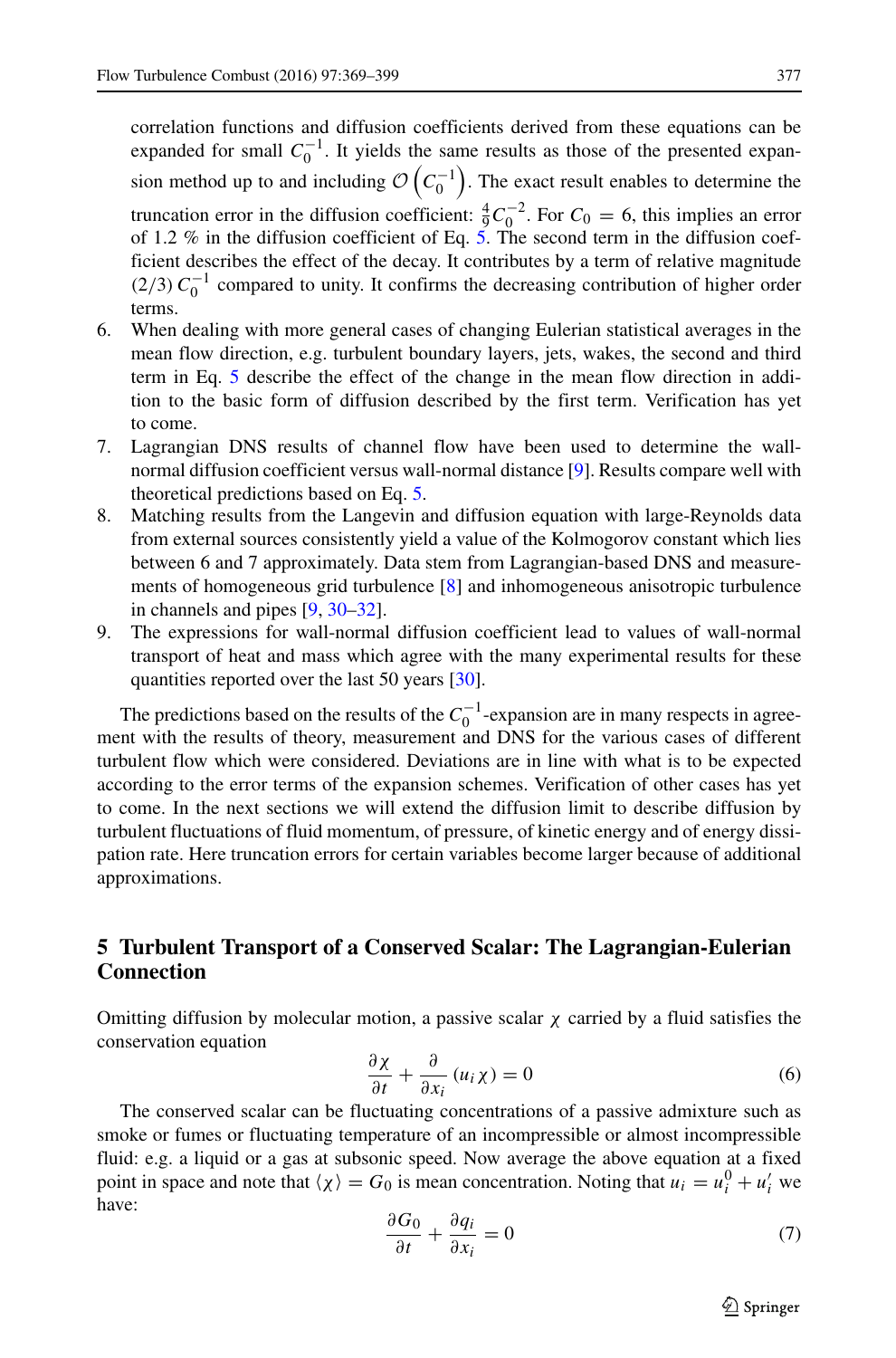correlation functions and diffusion coefficients derived from these equations can be expanded for small  $C_0^{-1}$ . It yields the same results as those of the presented expansion method up to and including  $\mathcal{O}\left(C_0^{-1}\right)$ . The exact result enables to determine the truncation error in the diffusion coefficient:  $\frac{4}{9}C_0^{-2}$ . For  $C_0 = 6$ , this implies an error of 1.2  $\%$  in the diffusion coefficient of Eq. [5.](#page-5-0) The second term in the diffusion coefficient describes the effect of the decay. It contributes by a term of relative magnitude (2/3)  $C_0^{-1}$  compared to unity. It confirms the decreasing contribution of higher order terms.

- 6. When dealing with more general cases of changing Eulerian statistical averages in the mean flow direction, e.g. turbulent boundary layers, jets, wakes, the second and third term in Eq. [5](#page-5-0) describe the effect of the change in the mean flow direction in addition to the basic form of diffusion described by the first term. Verification has yet to come.
- 7. Lagrangian DNS results of channel flow have been used to determine the wallnormal diffusion coefficient versus wall-normal distance [\[9\]](#page-30-0). Results compare well with theoretical predictions based on Eq. [5.](#page-5-0)
- 8. Matching results from the Langevin and diffusion equation with large-Reynolds data from external sources consistently yield a value of the Kolmogorov constant which lies between 6 and 7 approximately. Data stem from Lagrangian-based DNS and measurements of homogeneous grid turbulence [\[8\]](#page-30-20) and inhomogeneous anisotropic turbulence in channels and pipes [\[9,](#page-30-0) [30](#page-30-18)[–32\]](#page-30-19).
- 9. The expressions for wall-normal diffusion coefficient lead to values of wall-normal transport of heat and mass which agree with the many experimental results for these quantities reported over the last 50 years [\[30\]](#page-30-18).

The predictions based on the results of the  $C_0^{-1}$ -expansion are in many respects in agreement with the results of theory, measurement and DNS for the various cases of different turbulent flow which were considered. Deviations are in line with what is to be expected according to the error terms of the expansion schemes. Verification of other cases has yet to come. In the next sections we will extend the diffusion limit to describe diffusion by turbulent fluctuations of fluid momentum, of pressure, of kinetic energy and of energy dissipation rate. Here truncation errors for certain variables become larger because of additional approximations.

# <span id="page-8-0"></span>**5 Turbulent Transport of a Conserved Scalar: The Lagrangian-Eulerian Connection**

Omitting diffusion by molecular motion, a passive scalar  $\chi$  carried by a fluid satisfies the conservation equation

$$
\frac{\partial \chi}{\partial t} + \frac{\partial}{\partial x_i} (u_i \chi) = 0 \tag{6}
$$

The conserved scalar can be fluctuating concentrations of a passive admixture such as smoke or fumes or fluctuating temperature of an incompressible or almost incompressible fluid: e.g. a liquid or a gas at subsonic speed. Now average the above equation at a fixed point in space and note that  $\langle \chi \rangle = G_0$  is mean concentration. Noting that  $u_i = u_i^0 + u'_i$  we have:

<span id="page-8-1"></span>
$$
\frac{\partial G_0}{\partial t} + \frac{\partial q_i}{\partial x_i} = 0 \tag{7}
$$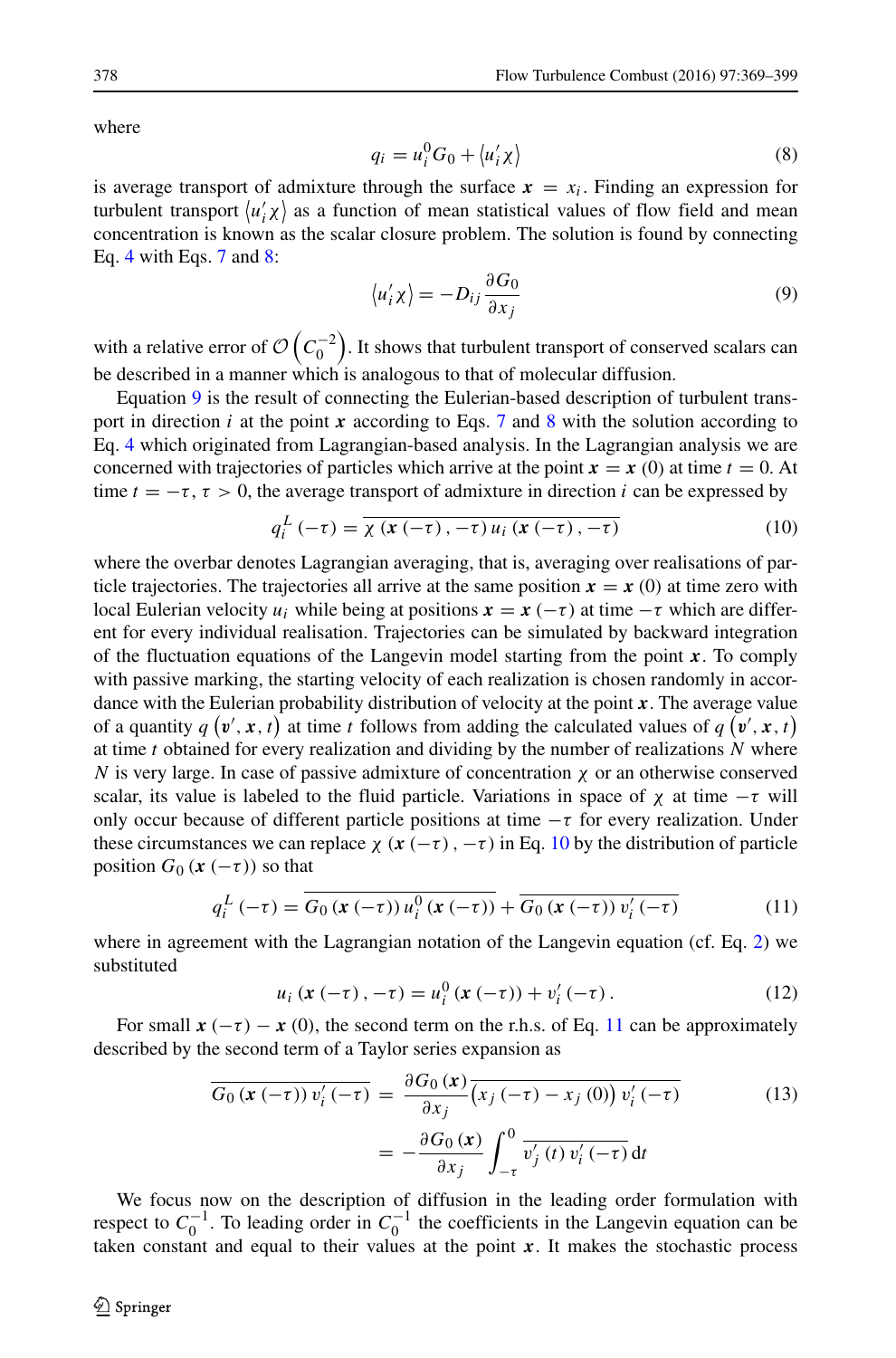where

<span id="page-9-0"></span>
$$
q_i = u_i^0 G_0 + \langle u'_i \chi \rangle \tag{8}
$$

is average transport of admixture through the surface  $x = x_i$ . Finding an expression for turbulent transport  $\langle u_i' \rangle$  as a function of mean statistical values of flow field and mean concentration is known as the scalar closure problem. The solution is found by connecting Eq. [4](#page-5-1) with Eqs. [7](#page-8-1) and [8:](#page-9-0)

<span id="page-9-1"></span>
$$
\langle u'_i \chi \rangle = -D_{ij} \frac{\partial G_0}{\partial x_j} \tag{9}
$$

with a relative error of  $\mathcal{O}\left(C_0^{-2}\right)$ . It shows that turbulent transport of conserved scalars can be described in a manner which is analogous to that of molecular diffusion.

Equation [9](#page-9-1) is the result of connecting the Eulerian-based description of turbulent transport in direction *i* at the point *x* according to Eqs. [7](#page-8-1) and [8](#page-9-0) with the solution according to Eq. [4](#page-5-1) which originated from Lagrangian-based analysis. In the Lagrangian analysis we are concerned with trajectories of particles which arrive at the point  $\mathbf{x} = \mathbf{x}$  (0) at time  $t = 0$ . At time  $t = -\tau$ ,  $\tau > 0$ , the average transport of admixture in direction *i* can be expressed by

<span id="page-9-2"></span>
$$
q_i^L(-\tau) = \overline{\chi\left(\mathbf{x}\left(-\tau\right), -\tau\right)u_i\left(\mathbf{x}\left(-\tau\right), -\tau\right)}\tag{10}
$$

where the overbar denotes Lagrangian averaging, that is, averaging over realisations of particle trajectories. The trajectories all arrive at the same position  $x = x(0)$  at time zero with local Eulerian velocity  $u_i$  while being at positions  $x = x$  ( $-\tau$ ) at time  $-\tau$  which are different for every individual realisation. Trajectories can be simulated by backward integration of the fluctuation equations of the Langevin model starting from the point *x*. To comply with passive marking, the starting velocity of each realization is chosen randomly in accordance with the Eulerian probability distribution of velocity at the point *x*. The average value of a quantity  $q(\mathbf{v}', \mathbf{x}, t)$  at time *t* follows from adding the calculated values of  $q(\mathbf{v}', \mathbf{x}, t)$ at time *t* obtained for every realization and dividing by the number of realizations *N* where *N* is very large. In case of passive admixture of concentration *χ* or an otherwise conserved scalar, its value is labeled to the fluid particle. Variations in space of  $\chi$  at time  $-\tau$  will only occur because of different particle positions at time −*τ* for every realization. Under these circumstances we can replace  $\chi$  ( $\chi$  ( $-\tau$ ),  $-\tau$ ) in Eq. [10](#page-9-2) by the distribution of particle position  $G_0$  ( $\mathbf{x}$  (−*τ*)) so that

<span id="page-9-3"></span>
$$
q_i^L(-\tau) = \overline{G_0(\mathbf{x}(-\tau))u_i^0(\mathbf{x}(-\tau))} + \overline{G_0(\mathbf{x}(-\tau))v_i'(-\tau)}
$$
(11)

where in agreement with the Lagrangian notation of the Langevin equation (cf. Eq. [2\)](#page-3-2) we substituted

$$
u_i(x(-\tau), -\tau) = u_i^0(x(-\tau)) + v_i'(-\tau).
$$
 (12)

For small  $\mathbf{x}(-\tau) - \mathbf{x}(0)$ , the second term on the r.h.s. of Eq. [11](#page-9-3) can be approximately described by the second term of a Taylor series expansion as

$$
\overline{G_0(x(-\tau))v_i'(-\tau)} = \frac{\partial G_0(x)}{\partial x_j} \overline{(x_j(-\tau) - x_j(0))v_i'(-\tau)}
$$
\n
$$
= -\frac{\partial G_0(x)}{\partial x_j} \int_{-\tau}^0 \overline{v_j'(t)v_i'(-\tau)} dt
$$
\n(13)

We focus now on the description of diffusion in the leading order formulation with respect to  $C_0^{-1}$ . To leading order in  $C_0^{-1}$  the coefficients in the Langevin equation can be taken constant and equal to their values at the point  $x$ . It makes the stochastic process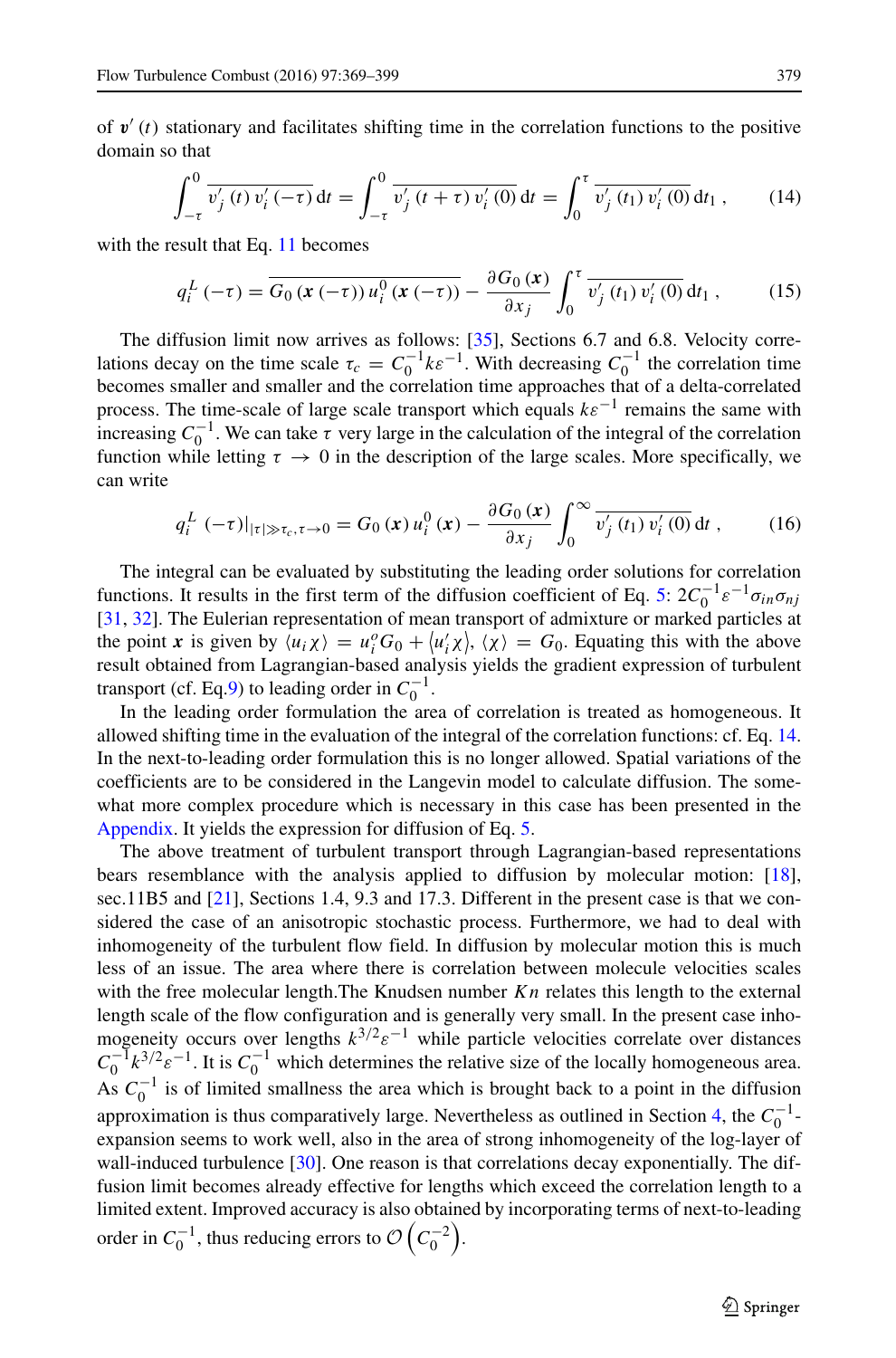<span id="page-10-0"></span>
$$
\int_{-\tau}^{0} \overline{v'_{j}(t) v'_{i}(-\tau)} dt = \int_{-\tau}^{0} \overline{v'_{j}(t+\tau) v'_{i}(0)} dt = \int_{0}^{\tau} \overline{v'_{j}(t_{1}) v'_{i}(0)} dt_{1}, \qquad (14)
$$

with the result that Eq. [11](#page-9-3) becomes

$$
q_i^L\left(-\tau\right) = \overline{G_0\left(\mathbf{x}\left(-\tau\right)\right)u_i^0\left(\mathbf{x}\left(-\tau\right)\right)} - \frac{\partial G_0\left(\mathbf{x}\right)}{\partial x_j} \int_0^\tau \overline{v_j'\left(t_1\right)v_i'\left(0\right)} \, \mathrm{d}t_1 \,,\tag{15}
$$

The diffusion limit now arrives as follows: [\[35\]](#page-30-26), Sections 6.7 and 6.8. Velocity correlations decay on the time scale  $\tau_c = C_0^{-1} k \varepsilon^{-1}$ . With decreasing  $C_0^{-1}$  the correlation time becomes smaller and smaller and the correlation time approaches that of a delta-correlated process. The time-scale of large scale transport which equals  $k\varepsilon^{-1}$  remains the same with increasing  $C_0^{-1}$ . We can take  $\tau$  very large in the calculation of the integral of the correlation function while letting  $\tau \to 0$  in the description of the large scales. More specifically, we can write

<span id="page-10-1"></span>
$$
q_i^L \left( -\tau \right) |_{|\tau| \gg \tau_c, \tau \to 0} = G_0 \left( \mathbf{x} \right) u_i^0 \left( \mathbf{x} \right) - \frac{\partial G_0 \left( \mathbf{x} \right)}{\partial x_j} \int_0^\infty \overline{v'_j \left( t_1 \right) v'_i \left( 0 \right)} \, \mathrm{d}t \;, \tag{16}
$$

The integral can be evaluated by substituting the leading order solutions for correlation functions. It results in the first term of the diffusion coefficient of Eq. [5:](#page-5-0)  $2C_0^{-1} \varepsilon^{-1} \sigma_{in} \sigma_{nj}$ [\[31,](#page-30-23) [32\]](#page-30-19). The Eulerian representation of mean transport of admixture or marked particles at the point *x* is given by  $\langle u_i \chi \rangle = u_i^o G_0 + \langle u_i' \chi \rangle$ ,  $\langle \chi \rangle = G_0$ . Equating this with the above result obtained from Lagrangian-based analysis yields the gradient expression of turbulent transport (cf. Eq[.9\)](#page-9-1) to leading order in  $C_0^{-1}$ .

In the leading order formulation the area of correlation is treated as homogeneous. It allowed shifting time in the evaluation of the integral of the correlation functions: cf. Eq. [14.](#page-10-0) In the next-to-leading order formulation this is no longer allowed. Spatial variations of the coefficients are to be considered in the Langevin model to calculate diffusion. The somewhat more complex procedure which is necessary in this case has been presented in the [Appendix.](#page-26-0) It yields the expression for diffusion of Eq. [5.](#page-5-0)

The above treatment of turbulent transport through Lagrangian-based representations bears resemblance with the analysis applied to diffusion by molecular motion: [\[18\]](#page-30-8), sec.11B5 and [\[21\]](#page-30-11), Sections 1.4, 9.3 and 17.3. Different in the present case is that we considered the case of an anisotropic stochastic process. Furthermore, we had to deal with inhomogeneity of the turbulent flow field. In diffusion by molecular motion this is much less of an issue. The area where there is correlation between molecule velocities scales with the free molecular length.The Knudsen number *Kn* relates this length to the external length scale of the flow configuration and is generally very small. In the present case inhomogeneity occurs over lengths *k*3*/*2*ε*−<sup>1</sup> while particle velocities correlate over distances  $C_0^{-1}k^{3/2} \varepsilon^{-1}$ . It is  $C_0^{-1}$  which determines the relative size of the locally homogeneous area. As  $C_0^{-1}$  is of limited smallness the area which is brought back to a point in the diffusion approximation is thus comparatively large. Nevertheless as outlined in Section [4,](#page-6-0) the  $C_0^{-1}$ expansion seems to work well, also in the area of strong inhomogeneity of the log-layer of wall-induced turbulence [\[30\]](#page-30-18). One reason is that correlations decay exponentially. The diffusion limit becomes already effective for lengths which exceed the correlation length to a limited extent. Improved accuracy is also obtained by incorporating terms of next-to-leading order in  $C_0^{-1}$ , thus reducing errors to  $\mathcal{O}\left(C_0^{-2}\right)$ .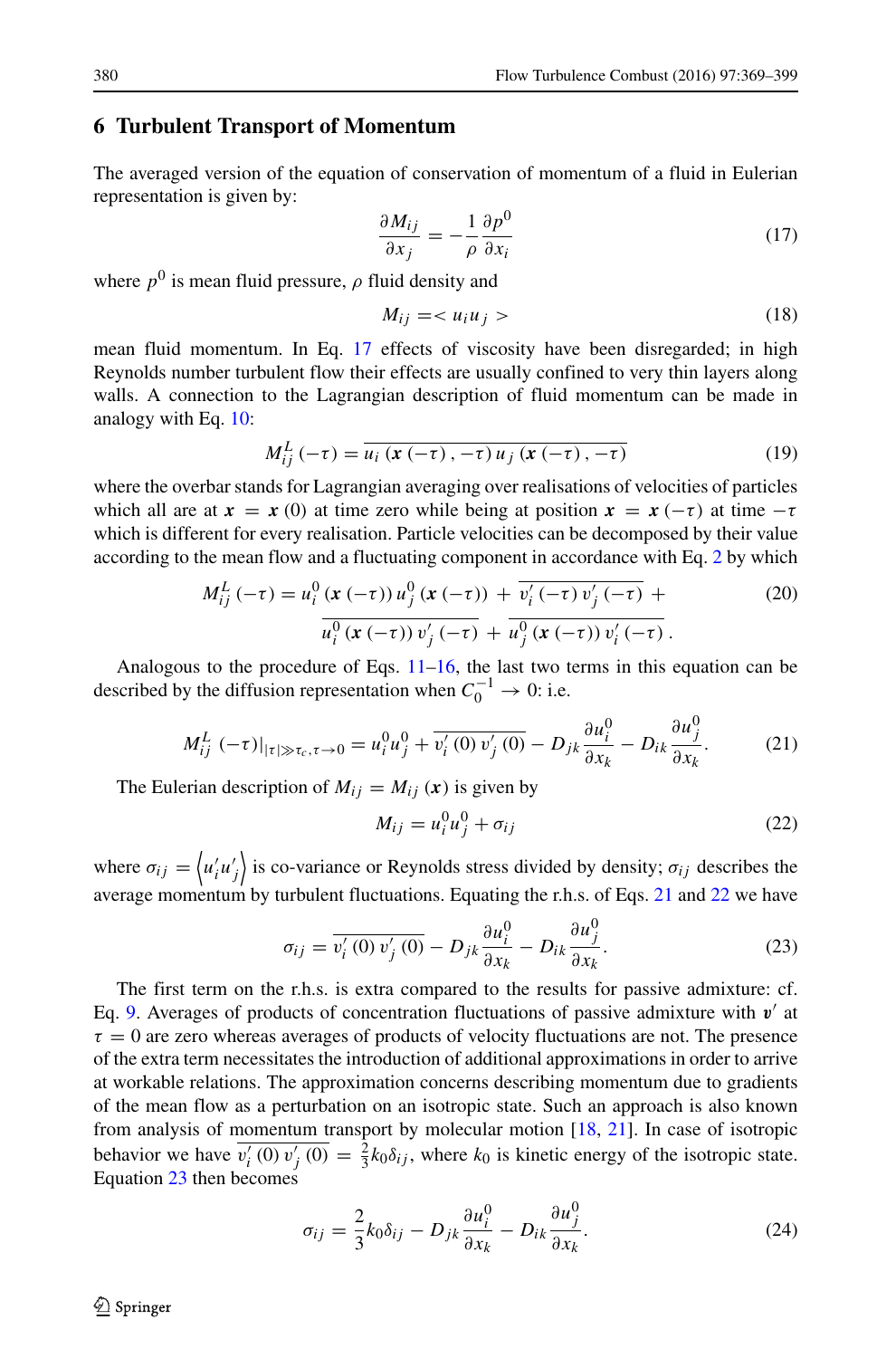#### <span id="page-11-0"></span>**6 Turbulent Transport of Momentum**

The averaged version of the equation of conservation of momentum of a fluid in Eulerian representation is given by:

<span id="page-11-1"></span>
$$
\frac{\partial M_{ij}}{\partial x_j} = -\frac{1}{\rho} \frac{\partial p^0}{\partial x_i} \tag{17}
$$

where  $p^0$  is mean fluid pressure,  $\rho$  fluid density and

$$
M_{ij} = \langle u_i u_j \rangle \tag{18}
$$

mean fluid momentum. In Eq. [17](#page-11-1) effects of viscosity have been disregarded; in high Reynolds number turbulent flow their effects are usually confined to very thin layers along walls. A connection to the Lagrangian description of fluid momentum can be made in analogy with Eq. [10:](#page-9-2)

$$
M_{ij}^{L}\left(-\tau\right) = \overline{u_i\left(\mathbf{x}\left(-\tau\right), -\tau\right)u_j\left(\mathbf{x}\left(-\tau\right), -\tau\right)}
$$
\n<sup>(19)</sup>

where the overbar stands for Lagrangian averaging over realisations of velocities of particles which all are at  $x = x(0)$  at time zero while being at position  $x = x(-\tau)$  at time  $-\tau$ which is different for every realisation. Particle velocities can be decomposed by their value according to the mean flow and a fluctuating component in accordance with Eq. [2](#page-3-2) by which

<span id="page-11-6"></span>
$$
M_{ij}^{L}(-\tau) = u_i^0(\mathbf{x}(-\tau))u_j^0(\mathbf{x}(-\tau)) + \frac{v_i'(-\tau)v_j'(-\tau)}{u_i^0(\mathbf{x}(-\tau))v_j'(-\tau)} + \frac{v_i''(-\tau)v_j'(-\tau)}{u_j^0(\mathbf{x}(-\tau))v_i'(-\tau)}.
$$
 (20)

Analogous to the procedure of Eqs.  $11-16$  $11-16$ , the last two terms in this equation can be described by the diffusion representation when  $C_0^{-1} \to 0$ : i.e.

<span id="page-11-2"></span>
$$
M_{ij}^L \left( -\tau \right)|_{|\tau| \gg \tau_c, \tau \to 0} = u_i^0 u_j^0 + \overline{v_i'(0) v_j'(0)} - D_{jk} \frac{\partial u_i^0}{\partial x_k} - D_{ik} \frac{\partial u_j^0}{\partial x_k}.
$$
 (21)

The Eulerian description of  $M_{ij} = M_{ij}(x)$  is given by

<span id="page-11-3"></span>
$$
M_{ij} = u_i^0 u_j^0 + \sigma_{ij} \tag{22}
$$

where  $\sigma_{ij} = \langle u'_i u'_j \rangle$  is co-variance or Reynolds stress divided by density;  $\sigma_{ij}$  describes the average momentum by turbulent fluctuations. Equating the r.h.s. of Eqs. [21](#page-11-2) and [22](#page-11-3) we have

<span id="page-11-4"></span>
$$
\sigma_{ij} = \overline{v_i'(0) v_j'(0)} - D_{jk} \frac{\partial u_i^0}{\partial x_k} - D_{ik} \frac{\partial u_j^0}{\partial x_k}.
$$
 (23)

The first term on the r.h.s. is extra compared to the results for passive admixture: cf. Eq. [9.](#page-9-1) Averages of products of concentration fluctuations of passive admixture with  $v'$  at  $\tau = 0$  are zero whereas averages of products of velocity fluctuations are not. The presence of the extra term necessitates the introduction of additional approximations in order to arrive at workable relations. The approximation concerns describing momentum due to gradients of the mean flow as a perturbation on an isotropic state. Such an approach is also known from analysis of momentum transport by molecular motion [\[18,](#page-30-8) [21\]](#page-30-11). In case of isotropic behavior we have  $\overline{v'_i(0) v'_j(0)} = \frac{2}{3} k_0 \delta_{ij}$ , where  $k_0$  is kinetic energy of the isotropic state. Equation [23](#page-11-4) then becomes

<span id="page-11-5"></span>
$$
\sigma_{ij} = \frac{2}{3} k_0 \delta_{ij} - D_{jk} \frac{\partial u_i^0}{\partial x_k} - D_{ik} \frac{\partial u_j^0}{\partial x_k}.
$$
\n(24)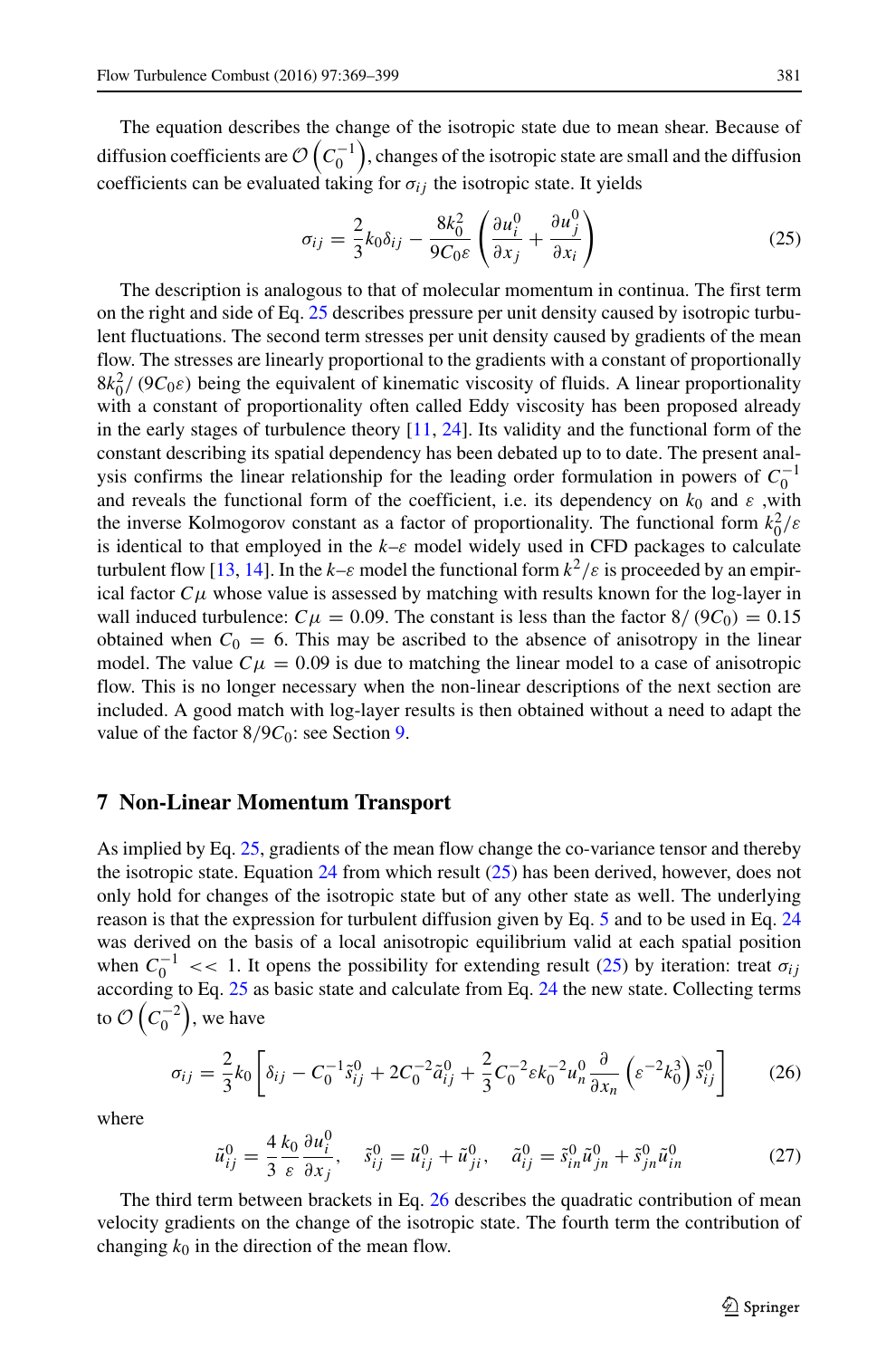The equation describes the change of the isotropic state due to mean shear. Because of diffusion coefficients are  $\mathcal{O}\left(C_0^{-1}\right)$ , changes of the isotropic state are small and the diffusion coefficients can be evaluated taking for  $\sigma_{ij}$  the isotropic state. It yields

<span id="page-12-1"></span>
$$
\sigma_{ij} = \frac{2}{3} k_0 \delta_{ij} - \frac{8k_0^2}{9C_0 \varepsilon} \left( \frac{\partial u_i^0}{\partial x_j} + \frac{\partial u_j^0}{\partial x_i} \right) \tag{25}
$$

The description is analogous to that of molecular momentum in continua. The first term on the right and side of Eq. [25](#page-12-1) describes pressure per unit density caused by isotropic turbulent fluctuations. The second term stresses per unit density caused by gradients of the mean flow. The stresses are linearly proportional to the gradients with a constant of proportionally  $8k_0^2/(9C_0\varepsilon)$  being the equivalent of kinematic viscosity of fluids. A linear proportionality with a constant of proportionality often called Eddy viscosity has been proposed already in the early stages of turbulence theory [\[11,](#page-30-2) [24\]](#page-30-24). Its validity and the functional form of the constant describing its spatial dependency has been debated up to to date. The present analysis confirms the linear relationship for the leading order formulation in powers of  $C_0^{-1}$ and reveals the functional form of the coefficient, i.e. its dependency on  $k_0$  and  $\varepsilon$ , with the inverse Kolmogorov constant as a factor of proportionality. The functional form  $k_0^2/\varepsilon$ is identical to that employed in the  $k-\varepsilon$  model widely used in CFD packages to calculate turbulent flow [\[13,](#page-30-27) [14\]](#page-30-4). In the  $k$ – $\varepsilon$  model the functional form  $k^2/\varepsilon$  is proceeded by an empirical factor  $C\mu$  whose value is assessed by matching with results known for the log-layer in wall induced turbulence:  $C\mu = 0.09$ . The constant is less than the factor  $8/(9C_0) = 0.15$ obtained when  $C_0 = 6$ . This may be ascribed to the absence of anisotropy in the linear model. The value  $C\mu = 0.09$  is due to matching the linear model to a case of anisotropic flow. This is no longer necessary when the non-linear descriptions of the next section are included. A good match with log-layer results is then obtained without a need to adapt the value of the factor  $8/9C_0$ : see Section [9.](#page-17-0)

### <span id="page-12-0"></span>**7 Non-Linear Momentum Transport**

As implied by Eq. [25,](#page-12-1) gradients of the mean flow change the co-variance tensor and thereby the isotropic state. Equation [24](#page-11-5) from which result [\(25\)](#page-12-1) has been derived, however, does not only hold for changes of the isotropic state but of any other state as well. The underlying reason is that the expression for turbulent diffusion given by Eq. [5](#page-5-0) and to be used in Eq. [24](#page-11-5) was derived on the basis of a local anisotropic equilibrium valid at each spatial position when  $C_0^{-1}$  << 1. It opens the possibility for extending result [\(25\)](#page-12-1) by iteration: treat  $\sigma_{ij}$ according to Eq. [25](#page-12-1) as basic state and calculate from Eq. [24](#page-11-5) the new state. Collecting terms to  $\mathcal{O}\left(C_0^{-2}\right)$ , we have

<span id="page-12-2"></span>
$$
\sigma_{ij} = \frac{2}{3} k_0 \left[ \delta_{ij} - C_0^{-1} \tilde{s}_{ij}^0 + 2C_0^{-2} \tilde{a}_{ij}^0 + \frac{2}{3} C_0^{-2} \epsilon k_0^{-2} u_n^0 \frac{\partial}{\partial x_n} \left( \epsilon^{-2} k_0^3 \right) \tilde{s}_{ij}^0 \right] \tag{26}
$$

where

$$
\tilde{u}_{ij}^0 = \frac{4}{3} \frac{k_0}{\varepsilon} \frac{\partial u_i^0}{\partial x_j}, \quad \tilde{s}_{ij}^0 = \tilde{u}_{ij}^0 + \tilde{u}_{ji}^0, \quad \tilde{a}_{ij}^0 = \tilde{s}_{in}^0 \tilde{u}_{jn}^0 + \tilde{s}_{jn}^0 \tilde{u}_{in}^0
$$
\n(27)

The third term between brackets in Eq. [26](#page-12-2) describes the quadratic contribution of mean velocity gradients on the change of the isotropic state. The fourth term the contribution of changing  $k_0$  in the direction of the mean flow.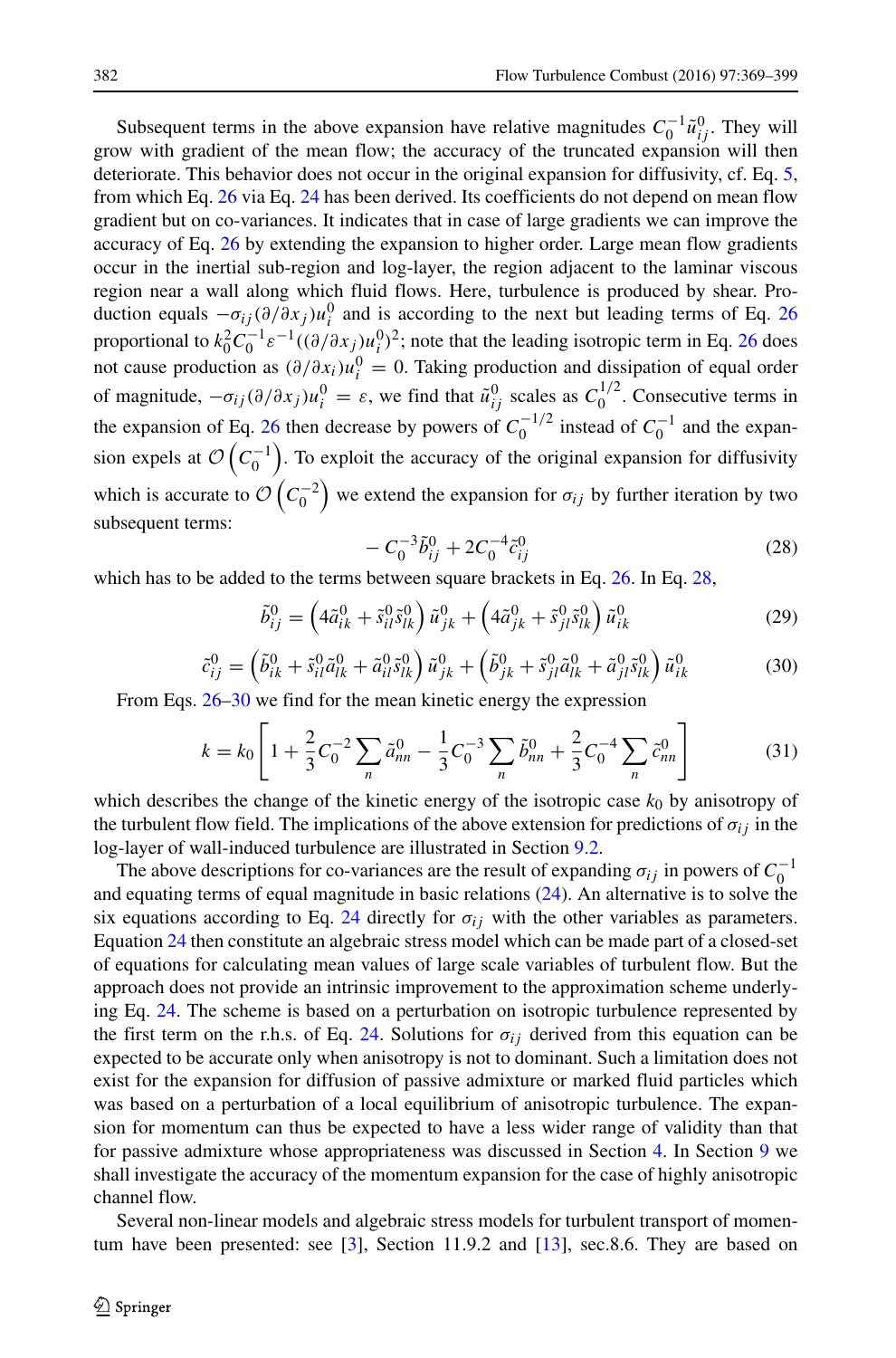Subsequent terms in the above expansion have relative magnitudes  $C_0^{-1}\tilde{u}_{ij}^0$ . They will grow with gradient of the mean flow; the accuracy of the truncated expansion will then deteriorate. This behavior does not occur in the original expansion for diffusivity, cf. Eq. [5,](#page-5-0) from which Eq. [26](#page-12-2) via Eq. [24](#page-11-5) has been derived. Its coefficients do not depend on mean flow gradient but on co-variances. It indicates that in case of large gradients we can improve the accuracy of Eq. [26](#page-12-2) by extending the expansion to higher order. Large mean flow gradients occur in the inertial sub-region and log-layer, the region adjacent to the laminar viscous region near a wall along which fluid flows. Here, turbulence is produced by shear. Production equals  $-\sigma_{ij}(\partial/\partial x_j)u_i^0$  and is according to the next but leading terms of Eq. [26](#page-12-2) proportional to  $k_0^2 C_0^{-1} \varepsilon^{-1}((\partial/\partial x_j)u_i^0)^2$ ; note that the leading isotropic term in Eq. [26](#page-12-2) does not cause production as  $(\partial/\partial x_i)u_i^0 = 0$ . Taking production and dissipation of equal order of magnitude,  $-\sigma_{ij}(\partial/\partial x_j)u_i^0 = \varepsilon$ , we find that  $\tilde{u}_{ij}^0$  scales as  $C_0^{1/2}$ . Consecutive terms in the expansion of Eq. [26](#page-12-2) then decrease by powers of  $C_0^{-1/2}$  instead of  $C_0^{-1}$  and the expansion expels at  $\mathcal{O}(C_0^{-1})$ . To exploit the accuracy of the original expansion for diffusivity which is accurate to  $\mathcal{O}\left(C_0^{-2}\right)$  we extend the expansion for  $\sigma_{ij}$  by further iteration by two subsequent terms:

<span id="page-13-0"></span>
$$
-C_0^{-3}\tilde{b}_{ij}^0 + 2C_0^{-4}\tilde{c}_{ij}^0
$$
 (28)

which has to be added to the terms between square brackets in Eq. [26.](#page-12-2) In Eq. [28,](#page-13-0)

$$
\tilde{b}_{ij}^0 = \left(4\tilde{a}_{ik}^0 + \tilde{s}_{il}^0 \tilde{s}_{lk}^0\right) \tilde{u}_{jk}^0 + \left(4\tilde{a}_{jk}^0 + \tilde{s}_{jl}^0 \tilde{s}_{lk}^0\right) \tilde{u}_{ik}^0 \tag{29}
$$

<span id="page-13-1"></span>
$$
\tilde{c}_{ij}^0 = \left(\tilde{b}_{ik}^0 + \tilde{s}_{il}^0 \tilde{a}_{lk}^0 + \tilde{a}_{il}^0 \tilde{s}_{lk}^0\right) \tilde{u}_{jk}^0 + \left(\tilde{b}_{jk}^0 + \tilde{s}_{jl}^0 \tilde{a}_{lk}^0 + \tilde{a}_{jl}^0 \tilde{s}_{lk}^0\right) \tilde{u}_{ik}^0
$$
\n(30)

From Eqs. [26](#page-12-2)[–30](#page-13-1) we find for the mean kinetic energy the expression

<span id="page-13-2"></span>
$$
k = k_0 \left[ 1 + \frac{2}{3} C_0^{-2} \sum_n \tilde{a}_{nn}^0 - \frac{1}{3} C_0^{-3} \sum_n \tilde{b}_{nn}^0 + \frac{2}{3} C_0^{-4} \sum_n \tilde{c}_{nn}^0 \right]
$$
(31)

which describes the change of the kinetic energy of the isotropic case  $k_0$  by anisotropy of the turbulent flow field. The implications of the above extension for predictions of  $\sigma_{ij}$  in the log-layer of wall-induced turbulence are illustrated in Section [9.2.](#page-17-1)

The above descriptions for co-variances are the result of expanding  $\sigma_{ij}$  in powers of  $C_0^{-1}$ and equating terms of equal magnitude in basic relations [\(24\)](#page-11-5). An alternative is to solve the six equations according to Eq. [24](#page-11-5) directly for  $\sigma_{ij}$  with the other variables as parameters. Equation [24](#page-11-5) then constitute an algebraic stress model which can be made part of a closed-set of equations for calculating mean values of large scale variables of turbulent flow. But the approach does not provide an intrinsic improvement to the approximation scheme underlying Eq. [24.](#page-11-5) The scheme is based on a perturbation on isotropic turbulence represented by the first term on the r.h.s. of Eq. [24.](#page-11-5) Solutions for  $\sigma_{ij}$  derived from this equation can be expected to be accurate only when anisotropy is not to dominant. Such a limitation does not exist for the expansion for diffusion of passive admixture or marked fluid particles which was based on a perturbation of a local equilibrium of anisotropic turbulence. The expansion for momentum can thus be expected to have a less wider range of validity than that for passive admixture whose appropriateness was discussed in Section [4.](#page-6-0) In Section [9](#page-17-0) we shall investigate the accuracy of the momentum expansion for the case of highly anisotropic channel flow.

Several non-linear models and algebraic stress models for turbulent transport of momentum have been presented: see [\[3\]](#page-29-2), Section 11.9.2 and [\[13\]](#page-30-27), sec.8.6. They are based on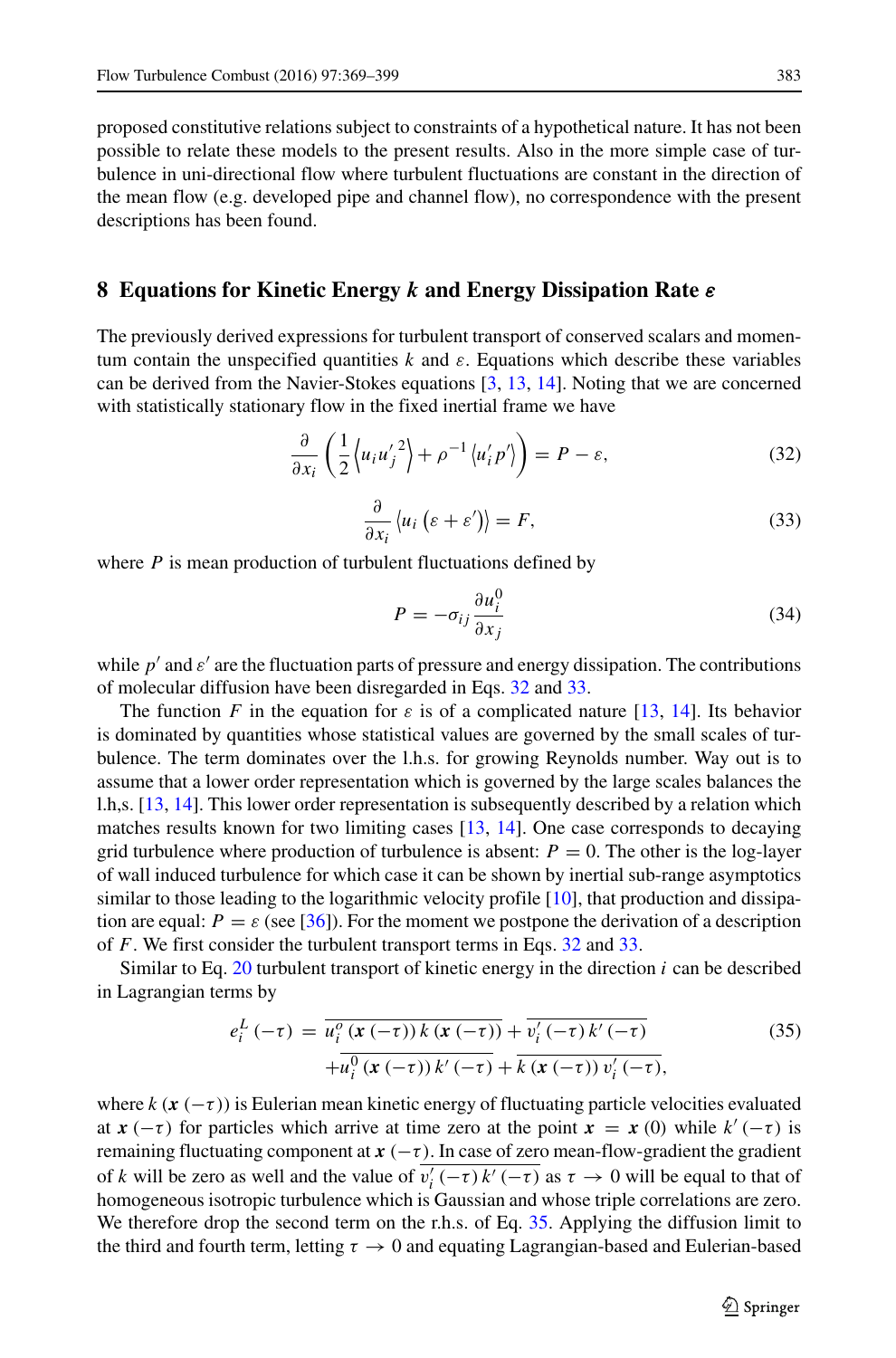proposed constitutive relations subject to constraints of a hypothetical nature. It has not been possible to relate these models to the present results. Also in the more simple case of tur-

bulence in uni-directional flow where turbulent fluctuations are constant in the direction of the mean flow (e.g. developed pipe and channel flow), no correspondence with the present descriptions has been found.

# <span id="page-14-0"></span>**8 Equations for Kinetic Energy** *k* **and Energy Dissipation Rate** *ε*

The previously derived expressions for turbulent transport of conserved scalars and momentum contain the unspecified quantities *k* and *ε*. Equations which describe these variables can be derived from the Navier-Stokes equations [\[3,](#page-29-2) [13,](#page-30-27) [14\]](#page-30-4). Noting that we are concerned with statistically stationary flow in the fixed inertial frame we have

<span id="page-14-1"></span>
$$
\frac{\partial}{\partial x_i} \left( \frac{1}{2} \left\langle u_i u'_j{}^2 \right\rangle + \rho^{-1} \left\langle u'_i p' \right\rangle \right) = P - \varepsilon,\tag{32}
$$

<span id="page-14-2"></span>
$$
\frac{\partial}{\partial x_i} \langle u_i \left( \varepsilon + \varepsilon' \right) \rangle = F,\tag{33}
$$

where  $P$  is mean production of turbulent fluctuations defined by

$$
P = -\sigma_{ij} \frac{\partial u_i^0}{\partial x_j} \tag{34}
$$

while  $p'$  and  $\varepsilon'$  are the fluctuation parts of pressure and energy dissipation. The contributions of molecular diffusion have been disregarded in Eqs. [32](#page-14-1) and [33.](#page-14-2)

The function *F* in the equation for  $\varepsilon$  is of a complicated nature [\[13,](#page-30-27) [14\]](#page-30-4). Its behavior is dominated by quantities whose statistical values are governed by the small scales of turbulence. The term dominates over the l.h.s. for growing Reynolds number. Way out is to assume that a lower order representation which is governed by the large scales balances the l.h,s. [\[13,](#page-30-27) [14\]](#page-30-4). This lower order representation is subsequently described by a relation which matches results known for two limiting cases [\[13,](#page-30-27) [14\]](#page-30-4). One case corresponds to decaying grid turbulence where production of turbulence is absent:  $P = 0$ . The other is the log-layer of wall induced turbulence for which case it can be shown by inertial sub-range asymptotics similar to those leading to the logarithmic velocity profile [\[10\]](#page-30-1), that production and dissipation are equal:  $P = \varepsilon$  (see [\[36\]](#page-30-28)). For the moment we postpone the derivation of a description of *F*. We first consider the turbulent transport terms in Eqs. [32](#page-14-1) and [33.](#page-14-2)

Similar to Eq. [20](#page-11-6) turbulent transport of kinetic energy in the direction *i* can be described in Lagrangian terms by

<span id="page-14-3"></span>
$$
e_i^L(-\tau) = \frac{u_i^o(\mathbf{x}(-\tau))k(\mathbf{x}(-\tau))}{u_i^o(\mathbf{x}(-\tau))k'(-\tau)} + \frac{v_i^{\prime}(-\tau)k'(-\tau)}{k(\mathbf{x}(-\tau))v_i^{\prime}(-\tau)},
$$
\n(35)

where  $k$   $(\mathbf{x}(-\tau))$  is Eulerian mean kinetic energy of fluctuating particle velocities evaluated at  $x$  (−*τ*) for particles which arrive at time zero at the point  $x = x(0)$  while  $k'(-\tau)$  is remaining fluctuating component at  $x$  ( $-\tau$ ). In case of zero mean-flow-gradient the gradient of *k* will be zero as well and the value of  $v_i'(-\tau) k'(-\tau)$  as  $\tau \to 0$  will be equal to that of homogeneous isotropic turbulence which is Gaussian and whose triple correlations are zero. We therefore drop the second term on the r.h.s. of Eq. [35.](#page-14-3) Applying the diffusion limit to the third and fourth term, letting *τ* → 0 and equating Lagrangian-based and Eulerian-based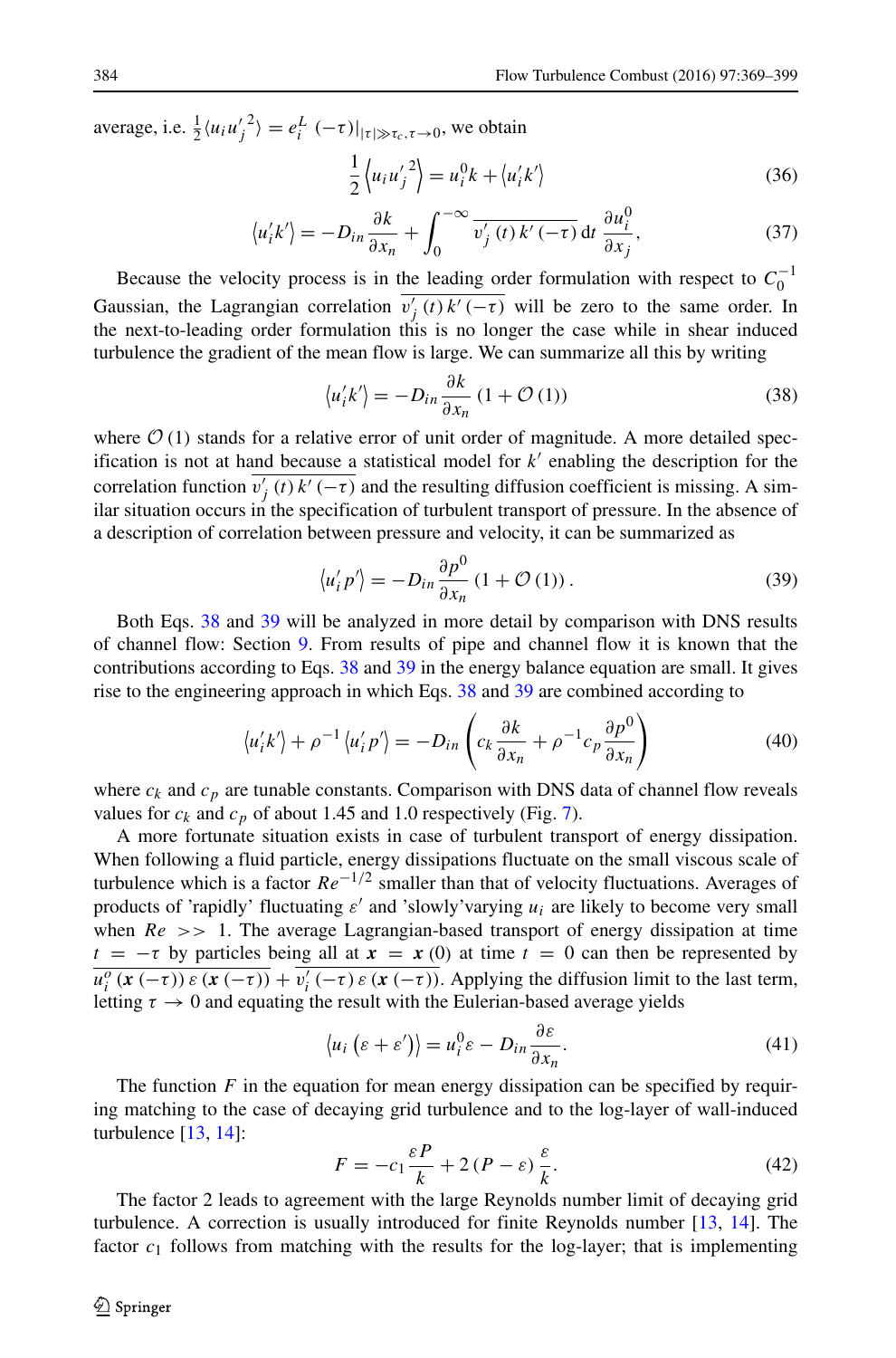average, i.e.  $\frac{1}{2} \langle u_i u'_j{}^2 \rangle = e_i^L \left( -\tau \right) |_{|\tau| \gg \tau_c, \tau \to 0}$ , we obtain

$$
\frac{1}{2} \left\langle u_i u'_j{}^2 \right\rangle = u_i^0 k + \left\langle u'_i k' \right\rangle \tag{36}
$$

$$
\langle u'_i k' \rangle = -D_{in} \frac{\partial k}{\partial x_n} + \int_0^{-\infty} \overline{v'_j(t) k'(-\tau)} dt \frac{\partial u_i^0}{\partial x_j},
$$
(37)

Because the velocity process is in the leading order formulation with respect to  $C_0^{-1}$ Gaussian, the Lagrangian correlation  $v'_{j}(t) k'(-\tau)$  will be zero to the same order. In the next-to-leading order formulation this is no longer the case while in shear induced turbulence the gradient of the mean flow is large. We can summarize all this by writing

<span id="page-15-0"></span>
$$
\langle u'_i k' \rangle = -D_{in} \frac{\partial k}{\partial x_n} (1 + \mathcal{O}(1)) \tag{38}
$$

where  $\mathcal{O}(1)$  stands for a relative error of unit order of magnitude. A more detailed specification is not at hand because a statistical model for  $k'$  enabling the description for the correlation function  $v'_j(t)$  *k*'  $(-\tau)$  and the resulting diffusion coefficient is missing. A similar situation occurs in the specification of turbulent transport of pressure. In the absence of a description of correlation between pressure and velocity, it can be summarized as

<span id="page-15-1"></span>
$$
\langle u'_i p' \rangle = -D_{in} \frac{\partial p^0}{\partial x_n} (1 + \mathcal{O}(1)). \tag{39}
$$

Both Eqs. [38](#page-15-0) and [39](#page-15-1) will be analyzed in more detail by comparison with DNS results of channel flow: Section [9.](#page-17-0) From results of pipe and channel flow it is known that the contributions according to Eqs. [38](#page-15-0) and [39](#page-15-1) in the energy balance equation are small. It gives rise to the engineering approach in which Eqs. [38](#page-15-0) and [39](#page-15-1) are combined according to

<span id="page-15-4"></span>
$$
\langle u'_i k' \rangle + \rho^{-1} \langle u'_i p' \rangle = -D_{in} \left( c_k \frac{\partial k}{\partial x_n} + \rho^{-1} c_p \frac{\partial p^0}{\partial x_n} \right)
$$
(40)

where  $c_k$  and  $c_p$  are tunable constants. Comparison with DNS data of channel flow reveals values for  $c_k$  and  $c_p$  of about 1.45 and 1.0 respectively (Fig. [7\)](#page-24-0).

A more fortunate situation exists in case of turbulent transport of energy dissipation. When following a fluid particle, energy dissipations fluctuate on the small viscous scale of turbulence which is a factor *Re*−1*/*<sup>2</sup> smaller than that of velocity fluctuations. Averages of products of 'rapidly' fluctuating *ε'* and 'slowly'varying *u<sub>i</sub>* are likely to become very small when  $Re \gg 1$ . The average Lagrangian-based transport of energy dissipation at time  $t = -\tau$  by particles being all at  $x = x(0)$  at time  $t = 0$  can then be represented by  $\overline{u_i^o(\mathbf{x}(-\tau))\,\varepsilon(\mathbf{x}(-\tau))} + \overline{v_i^{\prime}(-\tau)\,\varepsilon(\mathbf{x}(-\tau))}$ . Applying the diffusion limit to the last term, letting  $\tau \to 0$  and equating the result with the Eulerian-based average yields

<span id="page-15-2"></span>
$$
\langle u_i \left( \varepsilon + \varepsilon' \right) \rangle = u_i^0 \varepsilon - D_{in} \frac{\partial \varepsilon}{\partial x_n}.
$$
 (41)

The function  $F$  in the equation for mean energy dissipation can be specified by requiring matching to the case of decaying grid turbulence and to the log-layer of wall-induced turbulence [\[13,](#page-30-27) [14\]](#page-30-4):

<span id="page-15-3"></span>
$$
F = -c_1 \frac{\varepsilon P}{k} + 2 (P - \varepsilon) \frac{\varepsilon}{k}.
$$
 (42)

The factor 2 leads to agreement with the large Reynolds number limit of decaying grid turbulence. A correction is usually introduced for finite Reynolds number [\[13,](#page-30-27) [14\]](#page-30-4). The factor  $c_1$  follows from matching with the results for the log-layer; that is implementing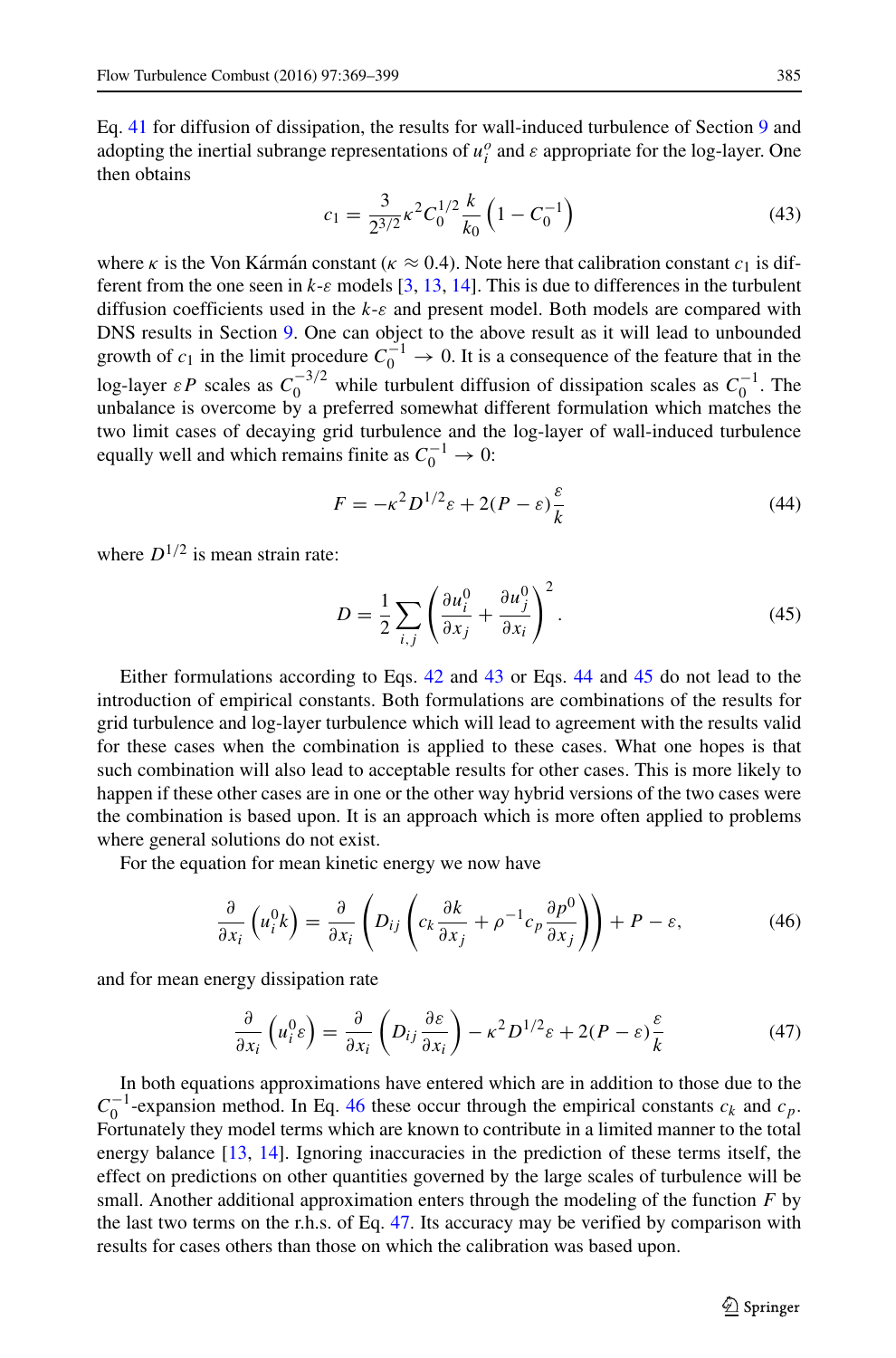Eq. [41](#page-15-2) for diffusion of dissipation, the results for wall-induced turbulence of Section [9](#page-17-0) and adopting the inertial subrange representations of  $u_i^o$  and  $\varepsilon$  appropriate for the log-layer. One then obtains

<span id="page-16-0"></span>
$$
c_1 = \frac{3}{2^{3/2}} \kappa^2 C_0^{1/2} \frac{k}{k_0} \left( 1 - C_0^{-1} \right)
$$
 (43)

where *κ* is the Von Karman constant ( $\kappa \approx 0.4$ ). Note here that calibration constant  $c_1$  is different from the one seen in *k*-*ε* models [\[3,](#page-29-2) [13,](#page-30-27) [14\]](#page-30-4). This is due to differences in the turbulent diffusion coefficients used in the *k*-*ε* and present model. Both models are compared with DNS results in Section [9.](#page-17-0) One can object to the above result as it will lead to unbounded growth of  $c_1$  in the limit procedure  $C_0^{-1} \to 0$ . It is a consequence of the feature that in the log-layer  $\varepsilon P$  scales as  $C_0^{-3/2}$  while turbulent diffusion of dissipation scales as  $C_0^{-1}$ . The unbalance is overcome by a preferred somewhat different formulation which matches the two limit cases of decaying grid turbulence and the log-layer of wall-induced turbulence equally well and which remains finite as  $C_0^{-1} \to 0$ :

<span id="page-16-1"></span>
$$
F = -\kappa^2 D^{1/2} \varepsilon + 2(P - \varepsilon) \frac{\varepsilon}{k}
$$
 (44)

where  $D^{1/2}$  is mean strain rate:

<span id="page-16-2"></span>
$$
D = \frac{1}{2} \sum_{i,j} \left( \frac{\partial u_i^0}{\partial x_j} + \frac{\partial u_j^0}{\partial x_i} \right)^2.
$$
 (45)

Either formulations according to Eqs. [42](#page-15-3) and [43](#page-16-0) or Eqs. [44](#page-16-1) and [45](#page-16-2) do not lead to the introduction of empirical constants. Both formulations are combinations of the results for grid turbulence and log-layer turbulence which will lead to agreement with the results valid for these cases when the combination is applied to these cases. What one hopes is that such combination will also lead to acceptable results for other cases. This is more likely to happen if these other cases are in one or the other way hybrid versions of the two cases were the combination is based upon. It is an approach which is more often applied to problems where general solutions do not exist.

For the equation for mean kinetic energy we now have

<span id="page-16-3"></span>
$$
\frac{\partial}{\partial x_i} \left( u_i^0 k \right) = \frac{\partial}{\partial x_i} \left( D_{ij} \left( c_k \frac{\partial k}{\partial x_j} + \rho^{-1} c_p \frac{\partial p^0}{\partial x_j} \right) \right) + P - \varepsilon, \tag{46}
$$

and for mean energy dissipation rate

<span id="page-16-4"></span>
$$
\frac{\partial}{\partial x_i} \left( u_i^0 \varepsilon \right) = \frac{\partial}{\partial x_i} \left( D_{ij} \frac{\partial \varepsilon}{\partial x_i} \right) - \kappa^2 D^{1/2} \varepsilon + 2(P - \varepsilon) \frac{\varepsilon}{k} \tag{47}
$$

In both equations approximations have entered which are in addition to those due to the  $C_0^{-1}$ -expansion method. In Eq. [46](#page-16-3) these occur through the empirical constants  $c_k$  and  $c_p$ . Fortunately they model terms which are known to contribute in a limited manner to the total energy balance [\[13,](#page-30-27) [14\]](#page-30-4). Ignoring inaccuracies in the prediction of these terms itself, the effect on predictions on other quantities governed by the large scales of turbulence will be small. Another additional approximation enters through the modeling of the function *F* by the last two terms on the r.h.s. of Eq. [47.](#page-16-4) Its accuracy may be verified by comparison with results for cases others than those on which the calibration was based upon.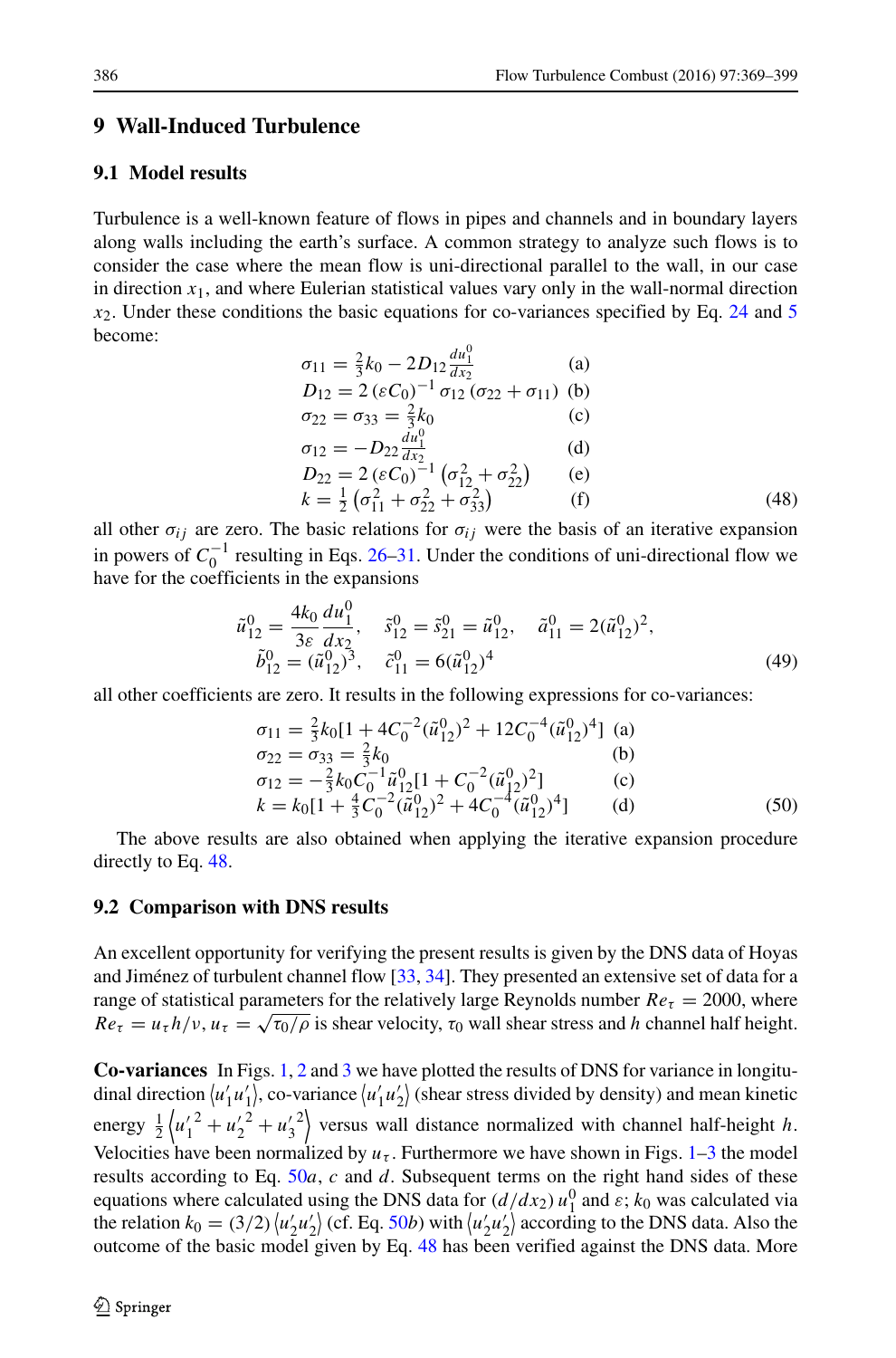# <span id="page-17-0"></span>**9 Wall-Induced Turbulence**

#### **9.1 Model results**

Turbulence is a well-known feature of flows in pipes and channels and in boundary layers along walls including the earth's surface. A common strategy to analyze such flows is to consider the case where the mean flow is uni-directional parallel to the wall, in our case in direction  $x_1$ , and where Eulerian statistical values vary only in the wall-normal direction  $x_2$ . Under these conditions the basic equations for co-variances specified by Eq. [24](#page-11-5) and [5](#page-5-0) become:

$$
\sigma_{11} = \frac{2}{3}k_0 - 2D_{12}\frac{du_1^0}{dx_2}
$$
\n(a)  
\n
$$
D_{12} = 2 ( \varepsilon C_0 )^{-1} \sigma_{12} (\sigma_{22} + \sigma_{11})
$$
\n(b)  
\n
$$
\sigma_{22} = \sigma_{33} = \frac{2}{3}k_0
$$
\n(c)  
\n
$$
\sigma_{12} = -D_{22}\frac{du_1^0}{dx_2}
$$
\n(d)  
\n
$$
D_{22} = 2 (\varepsilon C_0)^{-1} (\sigma_{12}^2 + \sigma_{22}^2)
$$
\n(e)  
\n
$$
k = \frac{1}{2} (\sigma_{11}^2 + \sigma_{22}^2 + \sigma_{33}^2)
$$
\n(f) (48)

all other  $\sigma_{ij}$  are zero. The basic relations for  $\sigma_{ij}$  were the basis of an iterative expansion in powers of  $C_0^{-1}$  resulting in Eqs. [26–](#page-12-2)[31.](#page-13-2) Under the conditions of uni-directional flow we have for the coefficients in the expansions

<span id="page-17-2"></span>
$$
\tilde{u}_{12}^{0} = \frac{4k_0}{3\varepsilon} \frac{du_1^{0}}{dx_2}, \quad \tilde{s}_{12}^{0} = \tilde{s}_{21}^{0} = \tilde{u}_{12}^{0}, \quad \tilde{a}_{11}^{0} = 2(\tilde{u}_{12}^{0})^2, \n\tilde{b}_{12}^{0} = (\tilde{u}_{12}^{0})^3, \quad \tilde{c}_{11}^{0} = 6(\tilde{u}_{12}^{0})^4
$$
\n(49)

all other coefficients are zero. It results in the following expressions for co-variances:

<span id="page-17-3"></span>
$$
\sigma_{11} = \frac{2}{3}k_0[1 + 4C_0^{-2}(\tilde{u}_{12}^0)^2 + 12C_0^{-4}(\tilde{u}_{12}^0)^4]
$$
 (a)  
\n
$$
\sigma_{22} = \sigma_{33} = \frac{2}{3}k_0
$$
 (b)  
\n
$$
\sigma_{12} = -\frac{2}{3}k_0C_0^{-1}\tilde{u}_{12}^0[1 + C_0^{-2}(\tilde{u}_{12}^0)^2]
$$
 (c)  
\n
$$
k = k_0[1 + \frac{4}{3}C_0^{-2}(\tilde{u}_{12}^0)^2 + 4C_0^{-4}(\tilde{u}_{12}^0)^4]
$$
 (d) (50)

The above results are also obtained when applying the iterative expansion procedure directly to Eq. [48.](#page-17-2)

#### <span id="page-17-1"></span>**9.2 Comparison with DNS results**

An excellent opportunity for verifying the present results is given by the DNS data of Hoyas and Jiménez of turbulent channel flow [[33,](#page-30-21) [34\]](#page-30-22). They presented an extensive set of data for a range of statistical parameters for the relatively large Reynolds number  $Re<sub>\tau</sub> = 2000$ , where  $Re_{\tau} = u_{\tau} h/v$ ,  $u_{\tau} = \sqrt{\tau_0/\rho}$  is shear velocity,  $\tau_0$  wall shear stress and *h* channel half height.

**Co-variances** In Figs. [1,](#page-18-0) [2](#page-19-0) and [3](#page-20-0) we have plotted the results of DNS for variance in longitudinal direction  $\langle u'_1 u'_1 \rangle$ , co-variance  $\langle u'_1 u'_2 \rangle$  (shear stress divided by density) and mean kinetic energy  $\frac{1}{2} (u_1'^2 + u_2'^2 + u_3'^2)$  versus wall distance normalized with channel half-height *h*. Velocities have been normalized by  $u_{\tau}$ . Furthermore we have shown in Figs. [1](#page-18-0)[–3](#page-20-0) the model results according to Eq. [50](#page-17-3)*a*, *c* and *d*. Subsequent terms on the right hand sides of these equations where calculated using the DNS data for  $(d/dx_2) u_1^0$  and  $\varepsilon$ ;  $k_0$  was calculated via the relation  $k_0 = (3/2) \langle u_2' u_2' \rangle$  (cf. Eq. [50](#page-17-3)*b*) with  $\langle u_2' u_2' \rangle$  according to the DNS data. Also the outcome of the basic model given by Eq. [48](#page-17-2) has been verified against the DNS data. More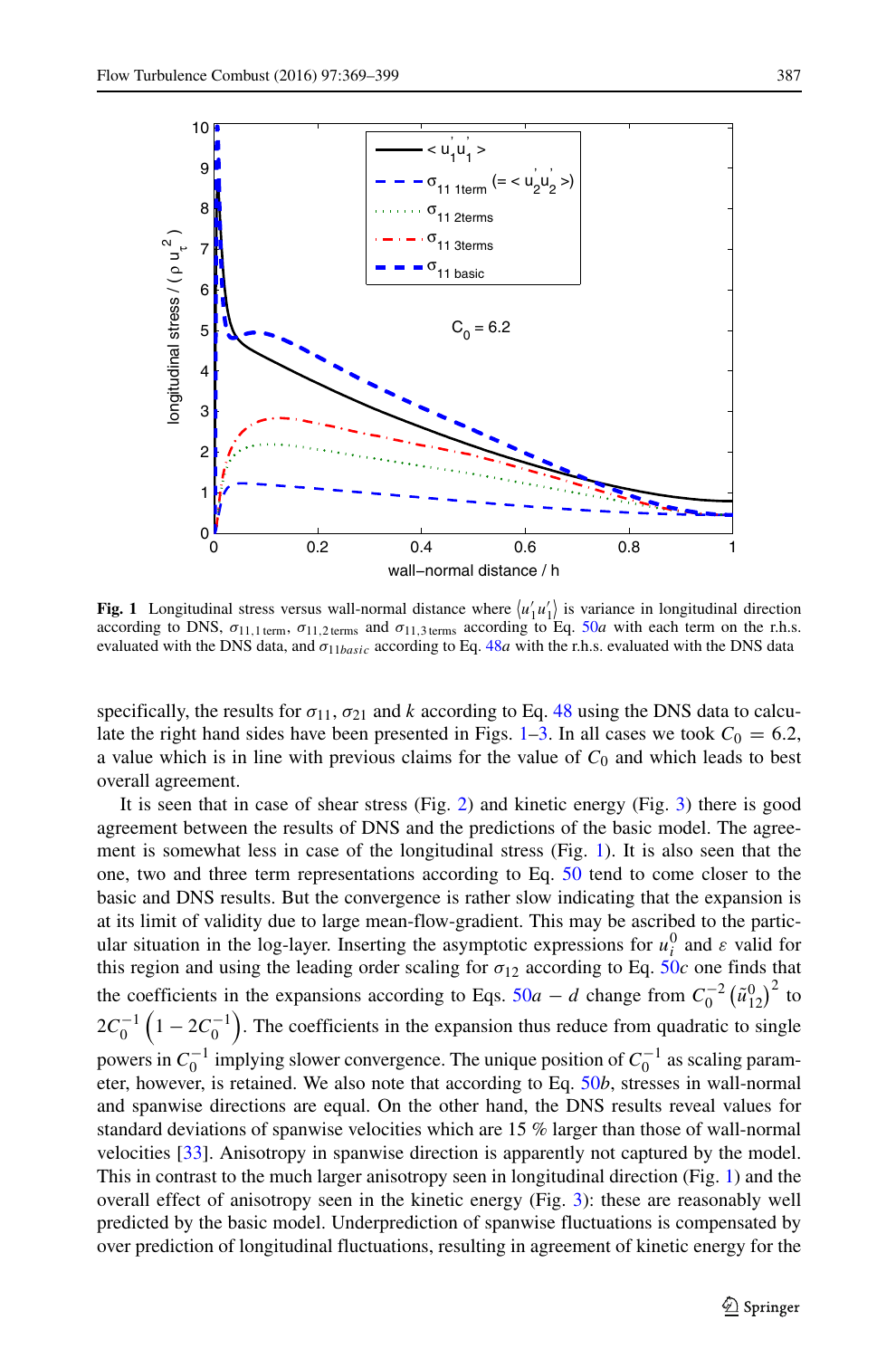10

<span id="page-18-0"></span>

**Fig. 1** Longitudinal stress versus wall-normal distance where  $\langle u'_1 u'_1 \rangle$  is variance in longitudinal direction according to DNS,  $\sigma_{11,1 \text{ terms}}$ ,  $\sigma_{11,2 \text{ terms}}$  and  $\sigma_{11,3 \text{ terms}}$  according to Eq. [50](#page-17-3)*a* with each term on the r.h.s. evaluated with the DNS data, and  $\sigma_{11\,basic}$  according to Eq. [48](#page-17-2)*a* with the r.h.s. evaluated with the DNS data

specifically, the results for  $\sigma_{11}$ ,  $\sigma_{21}$  and *k* according to Eq. [48](#page-17-2) using the DNS data to calculate the right hand sides have been presented in Figs.  $1-3$ . In all cases we took  $C_0 = 6.2$ , a value which is in line with previous claims for the value of  $C_0$  and which leads to best overall agreement.

It is seen that in case of shear stress (Fig. [2\)](#page-19-0) and kinetic energy (Fig. [3\)](#page-20-0) there is good agreement between the results of DNS and the predictions of the basic model. The agreement is somewhat less in case of the longitudinal stress (Fig. [1\)](#page-18-0). It is also seen that the one, two and three term representations according to Eq. [50](#page-17-3) tend to come closer to the basic and DNS results. But the convergence is rather slow indicating that the expansion is at its limit of validity due to large mean-flow-gradient. This may be ascribed to the particular situation in the log-layer. Inserting the asymptotic expressions for  $u_i^0$  and  $\varepsilon$  valid for this region and using the leading order scaling for  $\sigma_{12}$  according to Eq. [50](#page-17-3)*c* one finds that the coefficients in the expansions according to Eqs.  $50a - d$  $50a - d$  change from  $C_0^{-2} (\tilde{u}_{12}^0)^2$  to  $2C_0^{-1} (1 - 2C_0^{-1})$ . The coefficients in the expansion thus reduce from quadratic to single powers in  $C_0^{-1}$  implying slower convergence. The unique position of  $C_0^{-1}$  as scaling parameter, however, is retained. We also note that according to Eq. [50](#page-17-3)*b*, stresses in wall-normal and spanwise directions are equal. On the other hand, the DNS results reveal values for standard deviations of spanwise velocities which are 15 % larger than those of wall-normal velocities [\[33\]](#page-30-21). Anisotropy in spanwise direction is apparently not captured by the model. This in contrast to the much larger anisotropy seen in longitudinal direction (Fig. [1\)](#page-18-0) and the overall effect of anisotropy seen in the kinetic energy (Fig. [3\)](#page-20-0): these are reasonably well predicted by the basic model. Underprediction of spanwise fluctuations is compensated by over prediction of longitudinal fluctuations, resulting in agreement of kinetic energy for the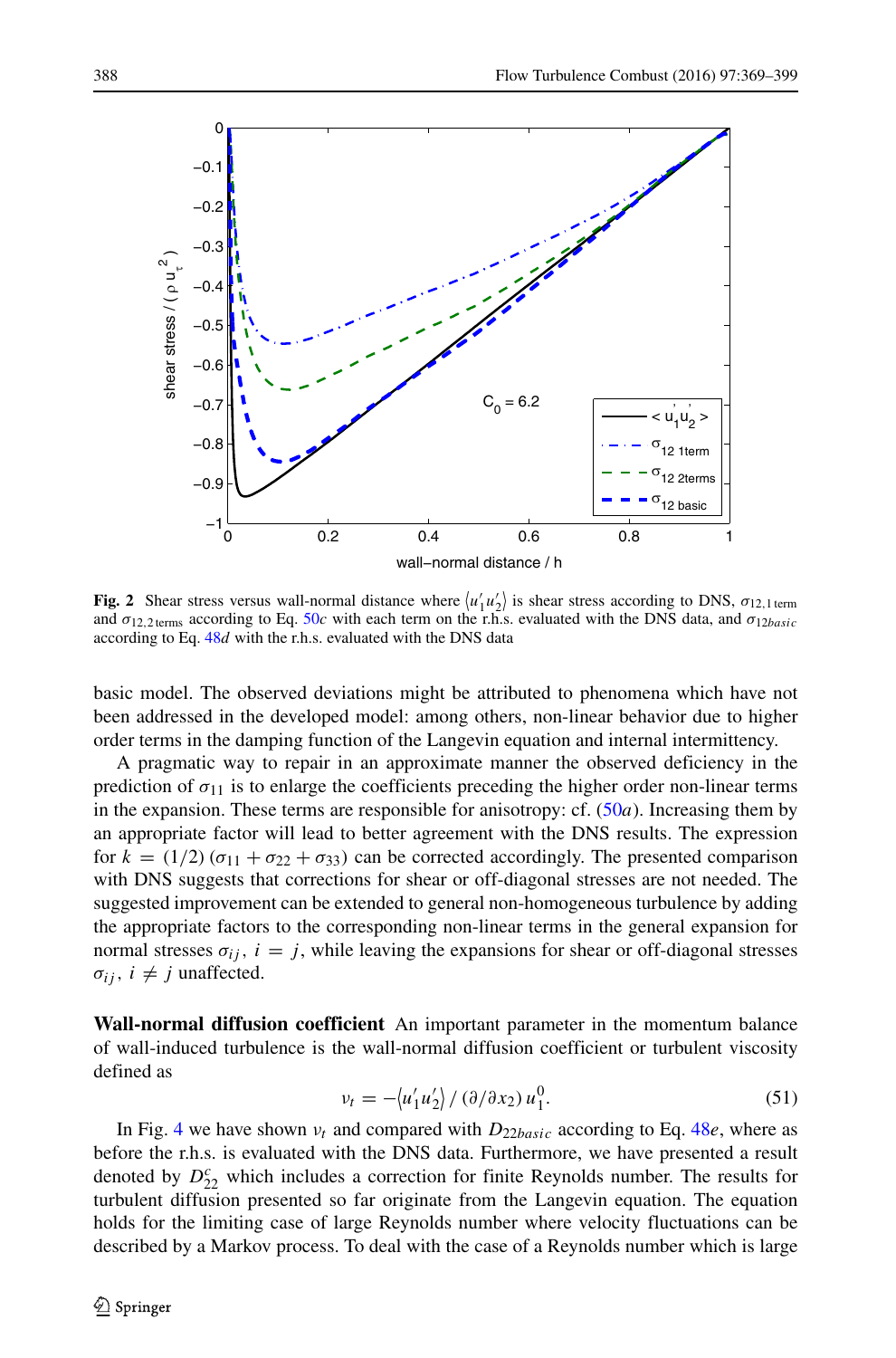<span id="page-19-0"></span>

**Fig. 2** Shear stress versus wall-normal distance where  $\langle u'_1 u'_2 \rangle$  is shear stress according to DNS,  $\sigma_{12,1 \text{ term}}$ and  $\sigma_{12,2 \text{ terms}}$  according to Eq. [50](#page-17-3)*c* with each term on the r.h.s. evaluated with the DNS data, and  $\sigma_{12 \text{ basic}}$ according to Eq. [48](#page-17-2)*d* with the r.h.s. evaluated with the DNS data

basic model. The observed deviations might be attributed to phenomena which have not been addressed in the developed model: among others, non-linear behavior due to higher order terms in the damping function of the Langevin equation and internal intermittency.

A pragmatic way to repair in an approximate manner the observed deficiency in the prediction of  $\sigma_{11}$  is to enlarge the coefficients preceding the higher order non-linear terms in the expansion. These terms are responsible for anisotropy:  $cf. (50a)$  $cf. (50a)$  $cf. (50a)$ . Increasing them by an appropriate factor will lead to better agreement with the DNS results. The expression for  $k = (1/2)(\sigma_{11} + \sigma_{22} + \sigma_{33})$  can be corrected accordingly. The presented comparison with DNS suggests that corrections for shear or off-diagonal stresses are not needed. The suggested improvement can be extended to general non-homogeneous turbulence by adding the appropriate factors to the corresponding non-linear terms in the general expansion for normal stresses  $\sigma_{ij}$ ,  $i = j$ , while leaving the expansions for shear or off-diagonal stresses  $\sigma_{ij}$ ,  $i \neq j$  unaffected.

**Wall-normal diffusion coefficient** An important parameter in the momentum balance of wall-induced turbulence is the wall-normal diffusion coefficient or turbulent viscosity defined as

<span id="page-19-1"></span>
$$
v_t = -\langle u_1' u_2' \rangle / \left( \frac{\partial}{\partial x_2} \right) u_1^0. \tag{51}
$$

In Fig. [4](#page-21-0) we have shown  $v_t$  and compared with  $D_{22<sub>basic</sub>}$  according to Eq. [48](#page-17-2)*e*, where as before the r.h.s. is evaluated with the DNS data. Furthermore, we have presented a result denoted by  $D_{22}^c$  which includes a correction for finite Reynolds number. The results for turbulent diffusion presented so far originate from the Langevin equation. The equation holds for the limiting case of large Reynolds number where velocity fluctuations can be described by a Markov process. To deal with the case of a Reynolds number which is large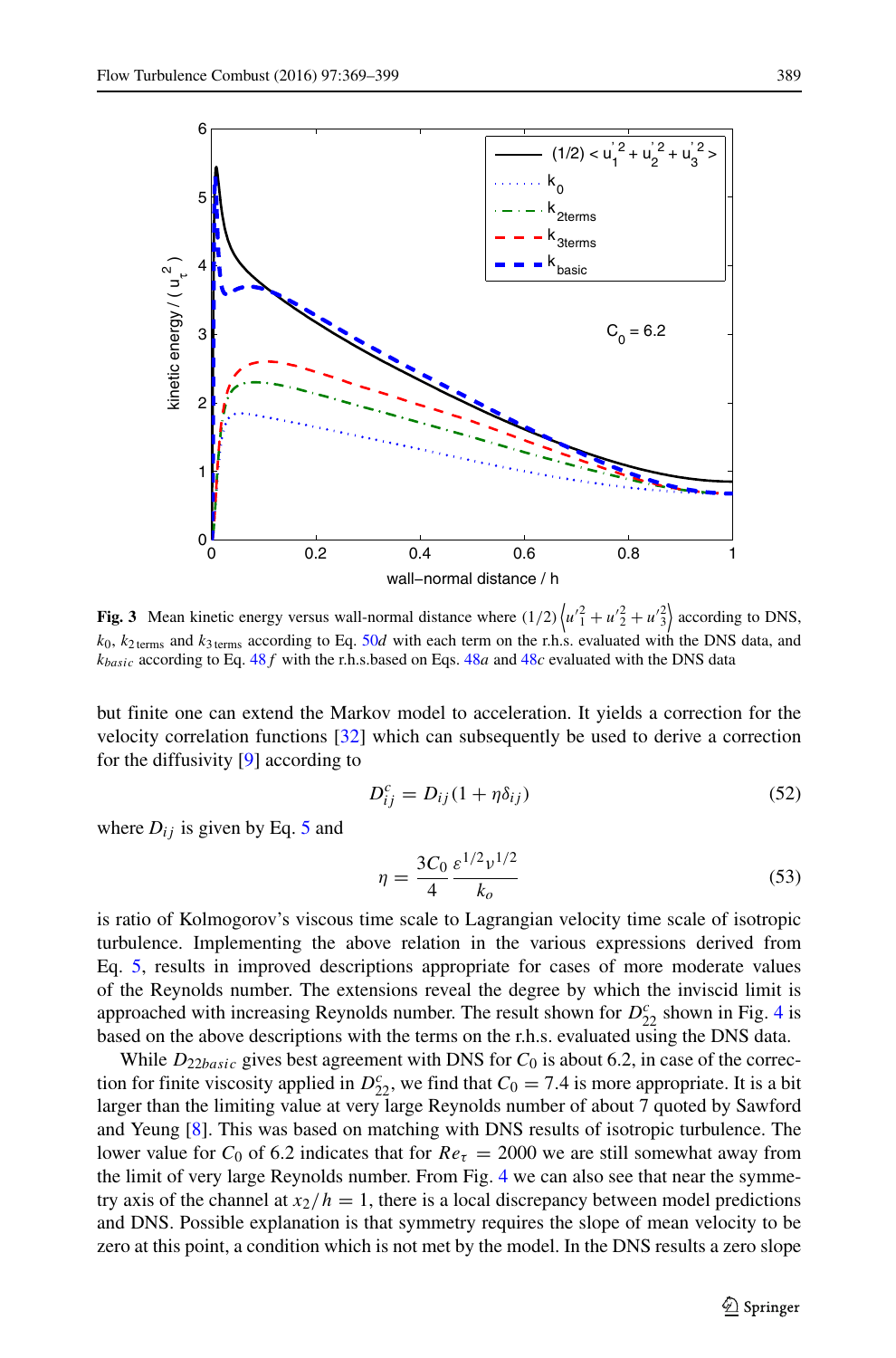<span id="page-20-0"></span>

**Fig. 3** Mean kinetic energy versus wall-normal distance where  $(1/2)\left(u_1^2 + u_2^2 + u_3^2\right)$  according to DNS, *k*0, *k*2 terms and *k*3 terms according to Eq. [50](#page-17-3)*d* with each term on the r.h.s. evaluated with the DNS data, and *kbasic* according to Eq. [48](#page-17-2)*f* with the r.h.s.based on Eqs. [48](#page-17-2)*a* and [48](#page-17-2)*c* evaluated with the DNS data

but finite one can extend the Markov model to acceleration. It yields a correction for the velocity correlation functions [\[32\]](#page-30-19) which can subsequently be used to derive a correction for the diffusivity [\[9\]](#page-30-0) according to

<span id="page-20-1"></span>
$$
D_{ij}^c = D_{ij}(1 + \eta \delta_{ij})
$$
\n(52)

where  $D_{ij}$  is given by Eq. [5](#page-5-0) and

<span id="page-20-2"></span>
$$
\eta = \frac{3C_0}{4} \frac{\varepsilon^{1/2} v^{1/2}}{k_o} \tag{53}
$$

is ratio of Kolmogorov's viscous time scale to Lagrangian velocity time scale of isotropic turbulence. Implementing the above relation in the various expressions derived from Eq. [5,](#page-5-0) results in improved descriptions appropriate for cases of more moderate values of the Reynolds number. The extensions reveal the degree by which the inviscid limit is approached with increasing Reynolds number. The result shown for  $D_{22}^c$  shown in Fig. [4](#page-21-0) is based on the above descriptions with the terms on the r.h.s. evaluated using the DNS data.

While  $D_{22<sub>basic</sub>}$  gives best agreement with DNS for  $C_0$  is about 6.2, in case of the correction for finite viscosity applied in  $D_{22}^c$ , we find that  $C_0 = 7.4$  is more appropriate. It is a bit larger than the limiting value at very large Reynolds number of about 7 quoted by Sawford and Yeung [\[8\]](#page-30-20). This was based on matching with DNS results of isotropic turbulence. The lower value for  $C_0$  of 6.2 indicates that for  $Re_\tau = 2000$  we are still somewhat away from the limit of very large Reynolds number. From Fig. [4](#page-21-0) we can also see that near the symmetry axis of the channel at  $x_2/h = 1$ , there is a local discrepancy between model predictions and DNS. Possible explanation is that symmetry requires the slope of mean velocity to be zero at this point, a condition which is not met by the model. In the DNS results a zero slope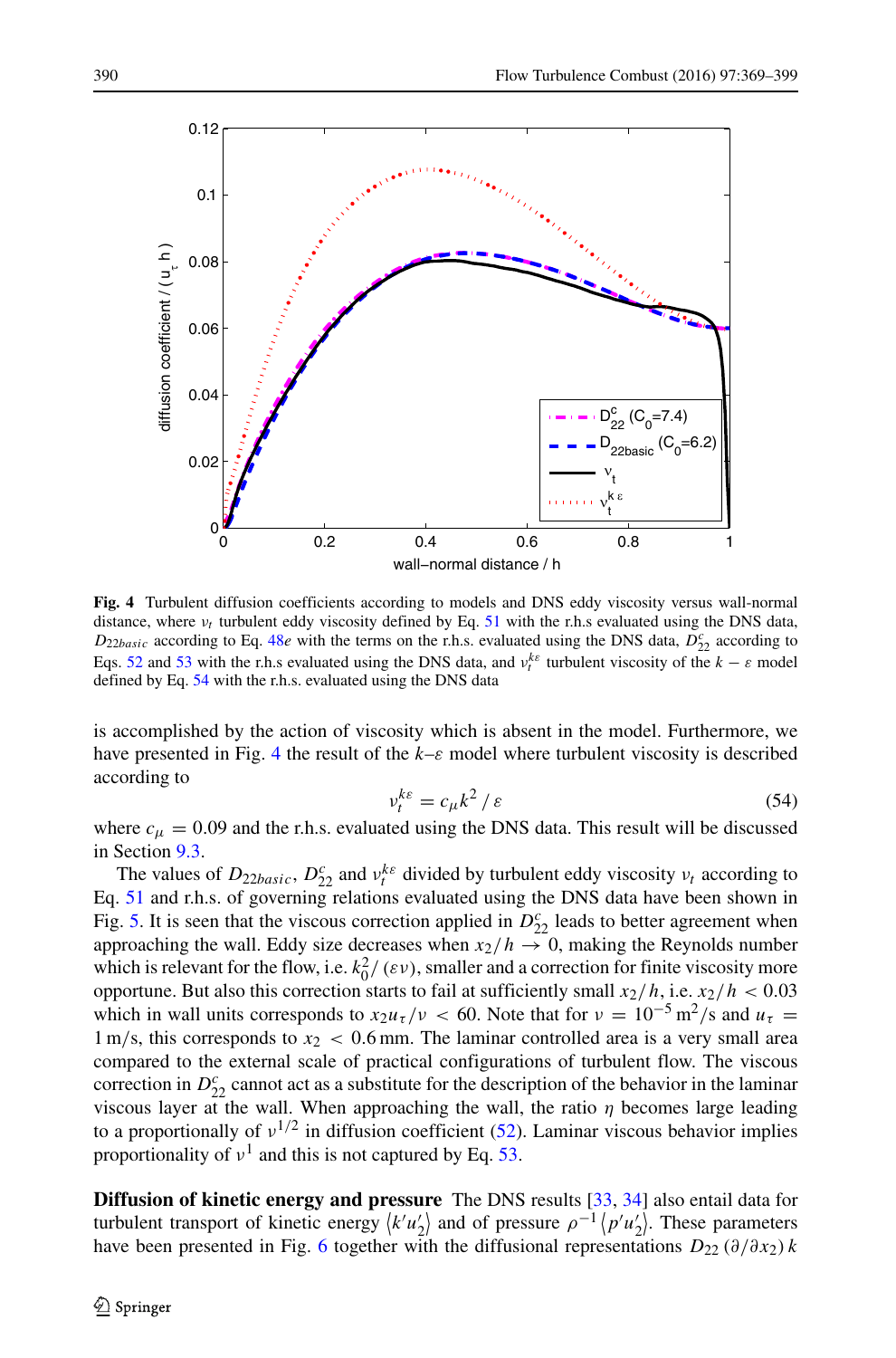<span id="page-21-0"></span>

**Fig. 4** Turbulent diffusion coefficients according to models and DNS eddy viscosity versus wall-normal distance, where *νt* turbulent eddy viscosity defined by Eq. [51](#page-19-1) with the r.h.s evaluated using the DNS data,  $D_{22\text{basic}}$  according to Eq. [48](#page-17-2)*e* with the terms on the r.h.s. evaluated using the DNS data,  $\dot{D}_{22}^c$  according to Eqs. [52](#page-20-1) and [53](#page-20-2) with the r.h.s evaluated using the DNS data, and  $v_t^{k\epsilon}$  turbulent viscosity of the  $k - \epsilon$  model defined by Eq. [54](#page-21-1) with the r.h.s. evaluated using the DNS data

is accomplished by the action of viscosity which is absent in the model. Furthermore, we have presented in Fig. [4](#page-21-0) the result of the *k*–*ε* model where turbulent viscosity is described according to

<span id="page-21-1"></span>
$$
v_t^{k\varepsilon} = c_\mu k^2 / \varepsilon \tag{54}
$$

where  $c<sub>µ</sub> = 0.09$  and the r.h.s. evaluated using the DNS data. This result will be discussed in Section [9.3.](#page-22-0)

The values of  $D_{22\text{basic}}$ ,  $D_{22}^c$  and  $v_t^k$  divided by turbulent eddy viscosity  $v_t$  according to Eq. [51](#page-19-1) and r.h.s. of governing relations evaluated using the DNS data have been shown in Fig. [5.](#page-22-1) It is seen that the viscous correction applied in  $D_{22}^c$  leads to better agreement when approaching the wall. Eddy size decreases when  $x_2/h \rightarrow 0$ , making the Reynolds number which is relevant for the flow, i.e.  $k_0^2/(\varepsilon \nu)$ , smaller and a correction for finite viscosity more opportune. But also this correction starts to fail at sufficiently small  $x_2/h$ , i.e.  $x_2/h < 0.03$ which in wall units corresponds to  $x_2 u_\tau / \nu < 60$ . Note that for  $\nu = 10^{-5} \text{ m}^2/\text{s}$  and  $u_\tau =$ 1 m/s, this corresponds to  $x_2$  < 0.6 mm. The laminar controlled area is a very small area compared to the external scale of practical configurations of turbulent flow. The viscous correction in  $D_{22}^c$  cannot act as a substitute for the description of the behavior in the laminar viscous layer at the wall. When approaching the wall, the ratio  $\eta$  becomes large leading to a proportionally of  $v^{1/2}$  in diffusion coefficient [\(52\)](#page-20-1). Laminar viscous behavior implies proportionality of  $v^1$  and this is not captured by Eq. [53.](#page-20-2)

**Diffusion of kinetic energy and pressure** The DNS results [\[33,](#page-30-21) [34\]](#page-30-22) also entail data for turbulent transport of kinetic energy  $\langle k' u'_2 \rangle$  and of pressure  $\rho^{-1} \langle p' u'_2 \rangle$ . These parameters have been presented in Fig. [6](#page-23-1) together with the diffusional representations  $D_{22}(\partial/\partial x_2)$  *k*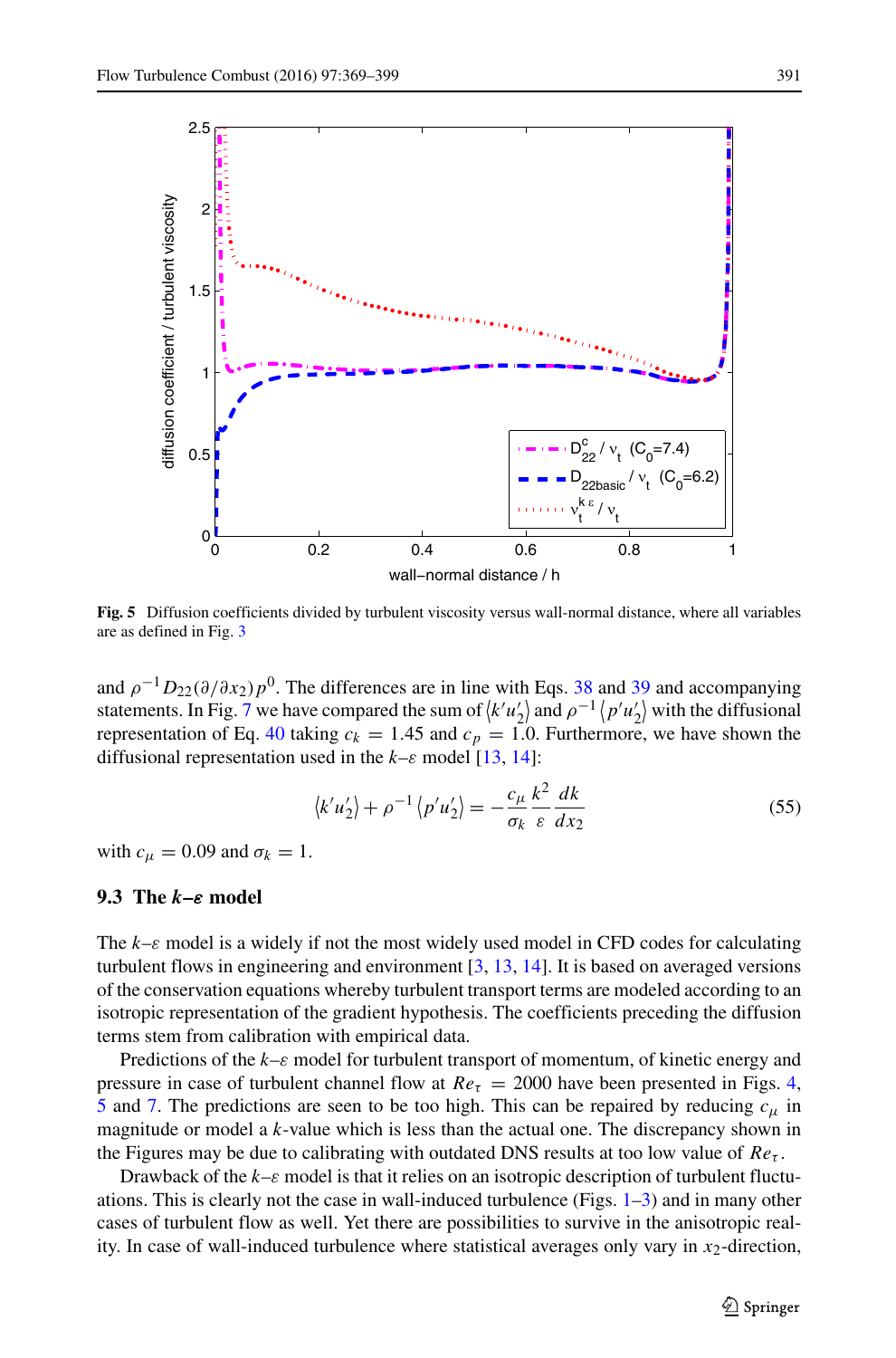<span id="page-22-1"></span>

**Fig. 5** Diffusion coefficients divided by turbulent viscosity versus wall-normal distance, where all variables are as defined in Fig. [3](#page-20-0)

and  $\rho^{-1}D_{22}(\partial/\partial x_2)p^0$ . The differences are in line with Eqs. [38](#page-15-0) and [39](#page-15-1) and accompanying statements. In Fig. [7](#page-24-0) we have compared the sum of  $\langle k' u'_2 \rangle$  and  $\rho^{-1} \langle p' u'_2 \rangle$  with the diffusional representation of Eq. [40](#page-15-4) taking  $c_k = 1.45$  and  $c_p = 1.0$ . Furthermore, we have shown the diffusional representation used in the  $k$ – $\varepsilon$  model [\[13,](#page-30-27) [14\]](#page-30-4):

$$
\langle k'u_2'\rangle + \rho^{-1} \langle p'u_2'\rangle = -\frac{c_\mu}{\sigma_k} \frac{k^2}{\varepsilon} \frac{dk}{dx_2}
$$
 (55)

with  $c_{\mu} = 0.09$  and  $\sigma_k = 1$ .

### <span id="page-22-0"></span>**9.3 The** *k***–***ε* **model**

The  $k-\varepsilon$  model is a widely if not the most widely used model in CFD codes for calculating turbulent flows in engineering and environment  $[3, 13, 14]$  $[3, 13, 14]$  $[3, 13, 14]$  $[3, 13, 14]$  $[3, 13, 14]$ . It is based on averaged versions of the conservation equations whereby turbulent transport terms are modeled according to an isotropic representation of the gradient hypothesis. The coefficients preceding the diffusion terms stem from calibration with empirical data.

Predictions of the *k*–*ε* model for turbulent transport of momentum, of kinetic energy and pressure in case of turbulent channel flow at  $Re<sub>\tau</sub> = 2000$  have been presented in Figs. [4,](#page-21-0) [5](#page-22-1) and [7.](#page-24-0) The predictions are seen to be too high. This can be repaired by reducing  $c<sub>u</sub>$  in magnitude or model a *k*-value which is less than the actual one. The discrepancy shown in the Figures may be due to calibrating with outdated DNS results at too low value of *Reτ* .

Drawback of the *k*–*ε* model is that it relies on an isotropic description of turbulent fluctuations. This is clearly not the case in wall-induced turbulence (Figs. [1](#page-18-0)[–3\)](#page-20-0) and in many other cases of turbulent flow as well. Yet there are possibilities to survive in the anisotropic reality. In case of wall-induced turbulence where statistical averages only vary in *x*2-direction,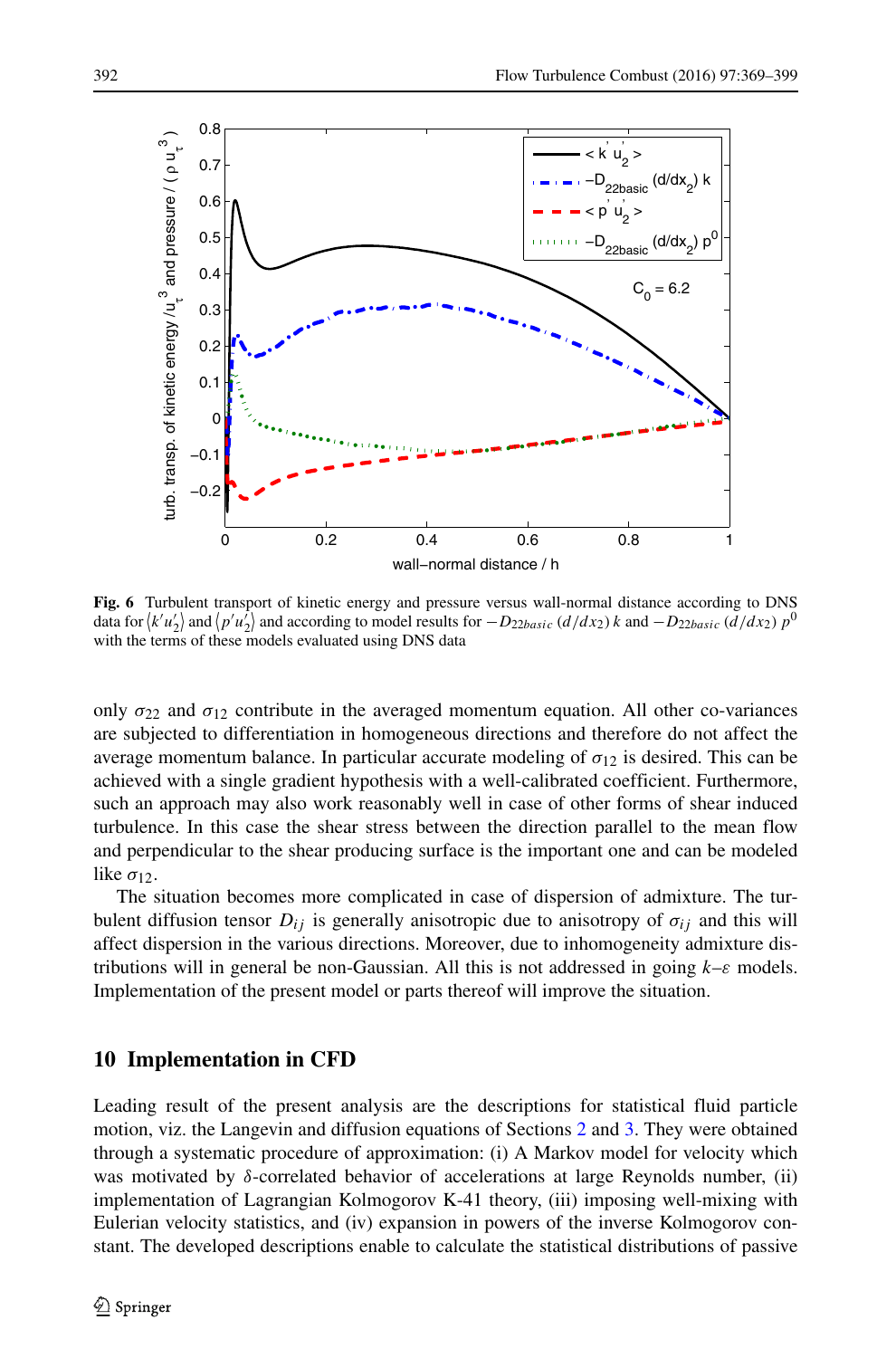<span id="page-23-1"></span>

**Fig. 6** Turbulent transport of kinetic energy and pressure versus wall-normal distance according to DNS data for  $\langle k'u_2'\rangle$  and  $\langle p'u_2'\rangle$  and according to model results for  $-D_{22\text{basic}}(d/dx_2)$  *k* and  $-D_{22\text{basic}}(d/dx_2)$  *p*<sup>0</sup> with the terms of these models evaluated using DNS data

only  $\sigma_{22}$  and  $\sigma_{12}$  contribute in the averaged momentum equation. All other co-variances are subjected to differentiation in homogeneous directions and therefore do not affect the average momentum balance. In particular accurate modeling of  $\sigma_{12}$  is desired. This can be achieved with a single gradient hypothesis with a well-calibrated coefficient. Furthermore, such an approach may also work reasonably well in case of other forms of shear induced turbulence. In this case the shear stress between the direction parallel to the mean flow and perpendicular to the shear producing surface is the important one and can be modeled like *σ*12.

The situation becomes more complicated in case of dispersion of admixture. The turbulent diffusion tensor  $D_{ij}$  is generally anisotropic due to anisotropy of  $\sigma_{ij}$  and this will affect dispersion in the various directions. Moreover, due to inhomogeneity admixture distributions will in general be non-Gaussian. All this is not addressed in going *k*–*ε* models. Implementation of the present model or parts thereof will improve the situation.

## <span id="page-23-0"></span>**10 Implementation in CFD**

Leading result of the present analysis are the descriptions for statistical fluid particle motion, viz. the Langevin and diffusion equations of Sections [2](#page-3-0) and [3.](#page-5-2) They were obtained through a systematic procedure of approximation: (i) A Markov model for velocity which was motivated by *δ*-correlated behavior of accelerations at large Reynolds number, (ii) implementation of Lagrangian Kolmogorov K-41 theory, (iii) imposing well-mixing with Eulerian velocity statistics, and (iv) expansion in powers of the inverse Kolmogorov constant. The developed descriptions enable to calculate the statistical distributions of passive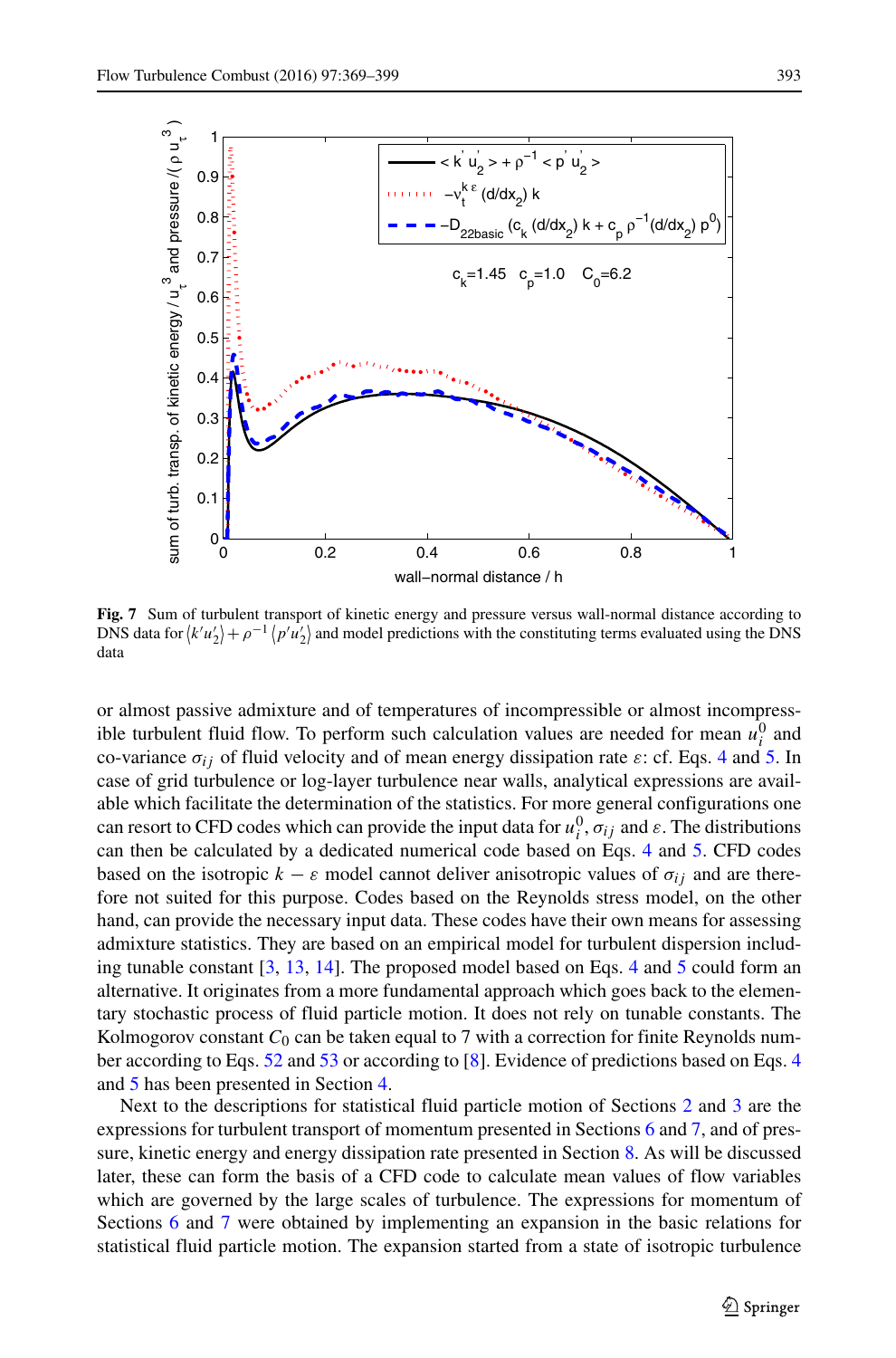<span id="page-24-0"></span>

**Fig. 7** Sum of turbulent transport of kinetic energy and pressure versus wall-normal distance according to DNS data for  $\left\langle k'u_2'\right\rangle + \rho^{-1}\left\langle p'u_2'\right\rangle$  and model predictions with the constituting terms evaluated using the DNS data

or almost passive admixture and of temperatures of incompressible or almost incompressible turbulent fluid flow. To perform such calculation values are needed for mean  $u_i^0$  and co-variance  $σ<sub>ij</sub>$  of fluid velocity and of mean energy dissipation rate  $ε$ : cf. Eqs. [4](#page-5-1) and [5.](#page-5-0) In case of grid turbulence or log-layer turbulence near walls, analytical expressions are available which facilitate the determination of the statistics. For more general configurations one can resort to CFD codes which can provide the input data for  $u_i^0$ ,  $\sigma_{ij}$  and  $\varepsilon$ . The distributions can then be calculated by a dedicated numerical code based on Eqs. [4](#page-5-1) and [5.](#page-5-0) CFD codes based on the isotropic  $k - \varepsilon$  model cannot deliver anisotropic values of  $\sigma_{ij}$  and are therefore not suited for this purpose. Codes based on the Reynolds stress model, on the other hand, can provide the necessary input data. These codes have their own means for assessing admixture statistics. They are based on an empirical model for turbulent dispersion including tunable constant [\[3,](#page-29-2) [13,](#page-30-27) [14\]](#page-30-4). The proposed model based on Eqs. [4](#page-5-1) and [5](#page-5-0) could form an alternative. It originates from a more fundamental approach which goes back to the elementary stochastic process of fluid particle motion. It does not rely on tunable constants. The Kolmogorov constant  $C_0$  can be taken equal to 7 with a correction for finite Reynolds number according to Eqs. [52](#page-20-1) and [53](#page-20-2) or according to [\[8\]](#page-30-20). Evidence of predictions based on Eqs. [4](#page-5-1) and [5](#page-5-0) has been presented in Section [4.](#page-6-0)

Next to the descriptions for statistical fluid particle motion of Sections [2](#page-3-0) and [3](#page-5-2) are the expressions for turbulent transport of momentum presented in Sections [6](#page-11-0) and [7,](#page-12-0) and of pressure, kinetic energy and energy dissipation rate presented in Section [8.](#page-14-0) As will be discussed later, these can form the basis of a CFD code to calculate mean values of flow variables which are governed by the large scales of turbulence. The expressions for momentum of Sections [6](#page-11-0) and [7](#page-12-0) were obtained by implementing an expansion in the basic relations for statistical fluid particle motion. The expansion started from a state of isotropic turbulence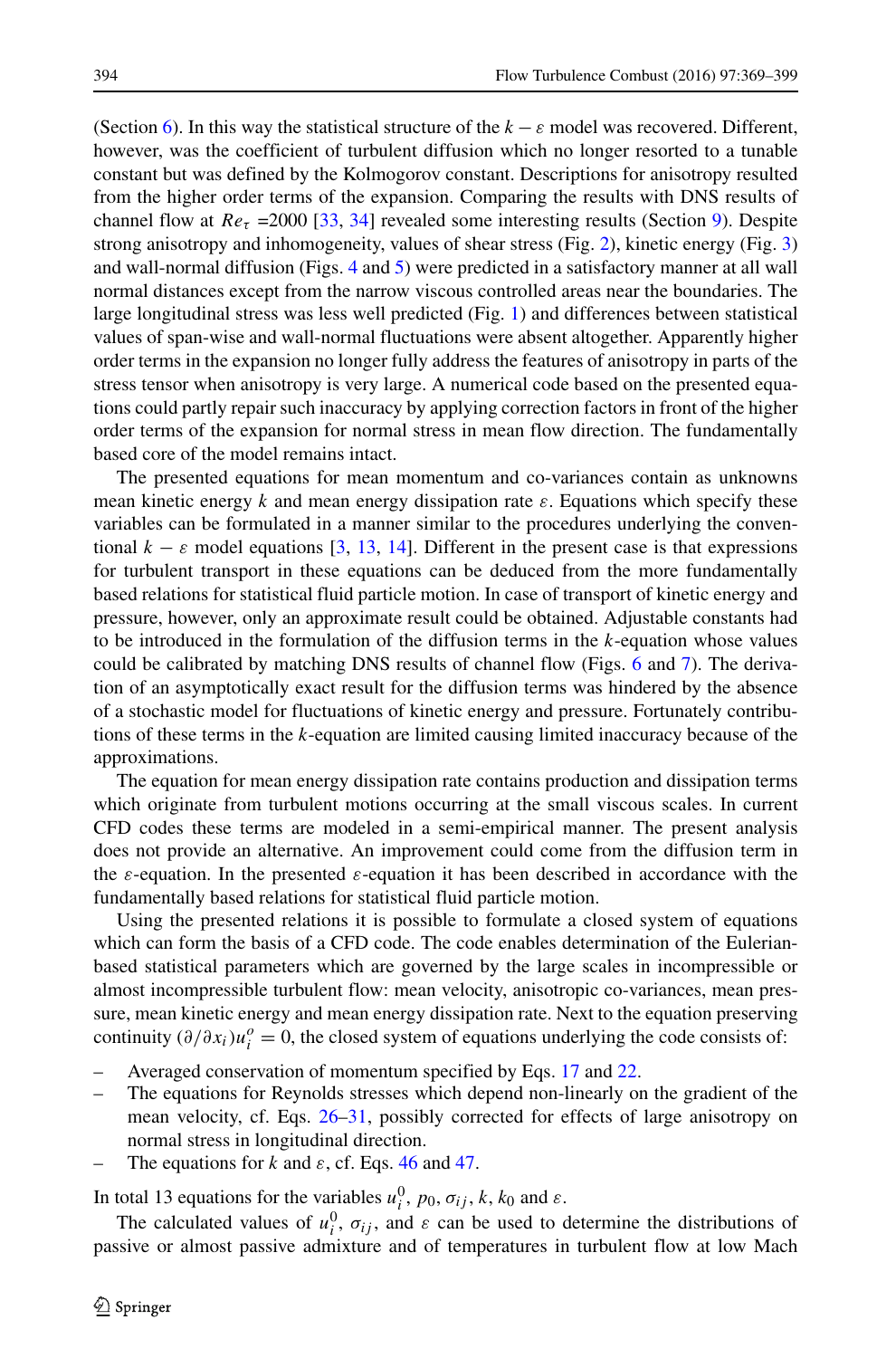(Section [6\)](#page-11-0). In this way the statistical structure of the  $k - \varepsilon$  model was recovered. Different, however, was the coefficient of turbulent diffusion which no longer resorted to a tunable constant but was defined by the Kolmogorov constant. Descriptions for anisotropy resulted from the higher order terms of the expansion. Comparing the results with DNS results of channel flow at  $Re_\tau$  =2000 [\[33,](#page-30-21) [34\]](#page-30-22) revealed some interesting results (Section [9\)](#page-17-0). Despite strong anisotropy and inhomogeneity, values of shear stress (Fig. [2\)](#page-19-0), kinetic energy (Fig. [3\)](#page-20-0) and wall-normal diffusion (Figs. [4](#page-21-0) and [5\)](#page-22-1) were predicted in a satisfactory manner at all wall normal distances except from the narrow viscous controlled areas near the boundaries. The large longitudinal stress was less well predicted (Fig. [1\)](#page-18-0) and differences between statistical values of span-wise and wall-normal fluctuations were absent altogether. Apparently higher order terms in the expansion no longer fully address the features of anisotropy in parts of the stress tensor when anisotropy is very large. A numerical code based on the presented equations could partly repair such inaccuracy by applying correction factors in front of the higher order terms of the expansion for normal stress in mean flow direction. The fundamentally based core of the model remains intact.

The presented equations for mean momentum and co-variances contain as unknowns mean kinetic energy *k* and mean energy dissipation rate  $\varepsilon$ . Equations which specify these variables can be formulated in a manner similar to the procedures underlying the conventional  $k - \varepsilon$  model equations [\[3,](#page-29-2) [13,](#page-30-27) [14\]](#page-30-4). Different in the present case is that expressions for turbulent transport in these equations can be deduced from the more fundamentally based relations for statistical fluid particle motion. In case of transport of kinetic energy and pressure, however, only an approximate result could be obtained. Adjustable constants had to be introduced in the formulation of the diffusion terms in the *k*-equation whose values could be calibrated by matching DNS results of channel flow (Figs. [6](#page-23-1) and [7\)](#page-24-0). The derivation of an asymptotically exact result for the diffusion terms was hindered by the absence of a stochastic model for fluctuations of kinetic energy and pressure. Fortunately contributions of these terms in the *k*-equation are limited causing limited inaccuracy because of the approximations.

The equation for mean energy dissipation rate contains production and dissipation terms which originate from turbulent motions occurring at the small viscous scales. In current CFD codes these terms are modeled in a semi-empirical manner. The present analysis does not provide an alternative. An improvement could come from the diffusion term in the *ε*-equation. In the presented *ε*-equation it has been described in accordance with the fundamentally based relations for statistical fluid particle motion.

Using the presented relations it is possible to formulate a closed system of equations which can form the basis of a CFD code. The code enables determination of the Eulerianbased statistical parameters which are governed by the large scales in incompressible or almost incompressible turbulent flow: mean velocity, anisotropic co-variances, mean pressure, mean kinetic energy and mean energy dissipation rate. Next to the equation preserving continuity  $(\partial/\partial x_i)u_i^o = 0$ , the closed system of equations underlying the code consists of:

- Averaged conservation of momentum specified by Eqs. [17](#page-11-1) and [22.](#page-11-3)
- The equations for Reynolds stresses which depend non-linearly on the gradient of the mean velocity, cf. Eqs. [26–](#page-12-2)[31,](#page-13-2) possibly corrected for effects of large anisotropy on normal stress in longitudinal direction.
- The equations for *k* and  $\varepsilon$ , cf. Eqs. [46](#page-16-3) and [47.](#page-16-4)

In total 13 equations for the variables  $u_i^0$ ,  $p_0$ ,  $\sigma_{ij}$ ,  $k$ ,  $k_0$  and  $\varepsilon$ .

The calculated values of  $u_i^0$ ,  $\sigma_{ij}$ , and  $\varepsilon$  can be used to determine the distributions of passive or almost passive admixture and of temperatures in turbulent flow at low Mach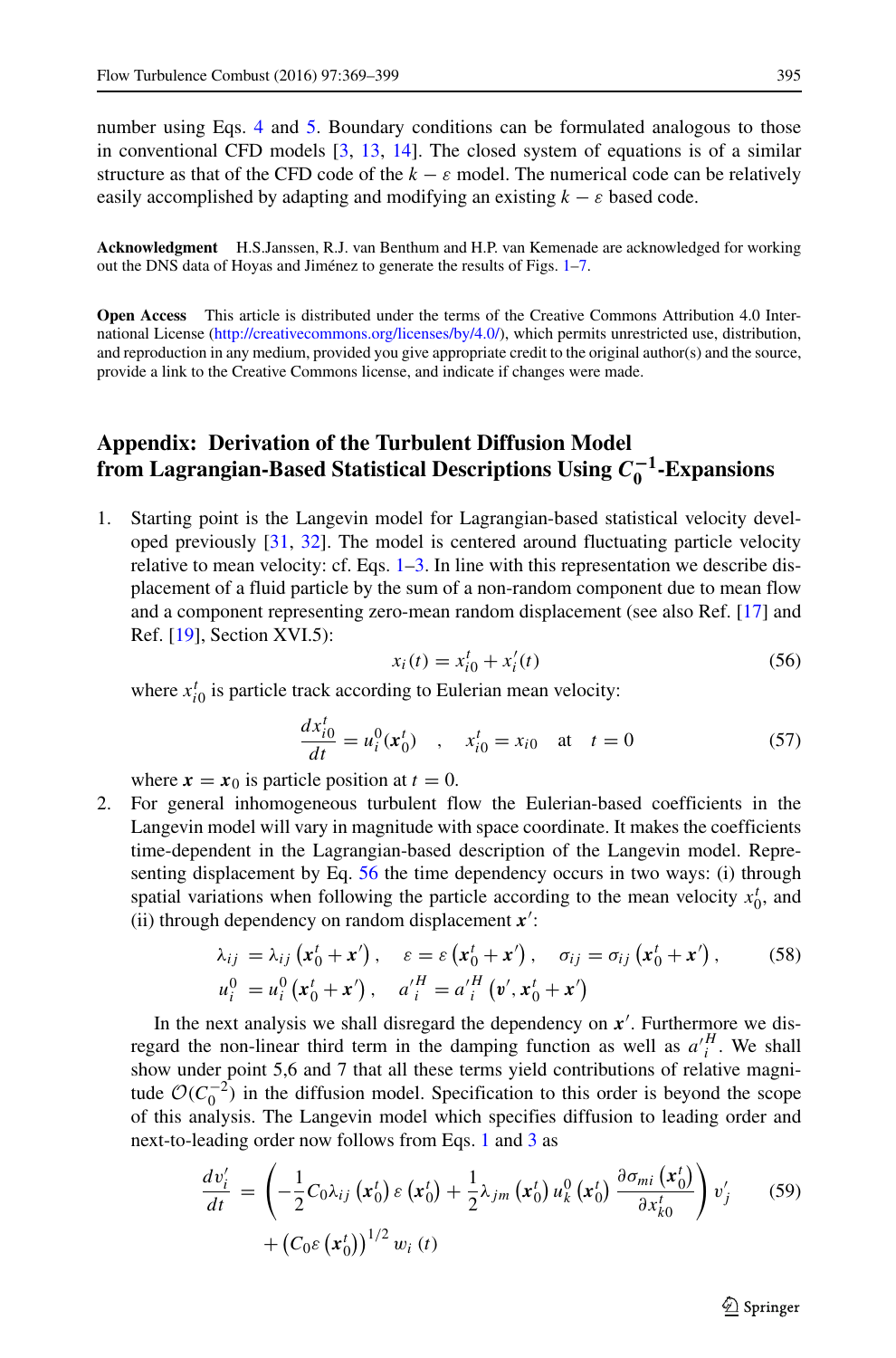number using Eqs. [4](#page-5-1) and [5.](#page-5-0) Boundary conditions can be formulated analogous to those in conventional CFD models  $[3, 13, 14]$  $[3, 13, 14]$  $[3, 13, 14]$  $[3, 13, 14]$  $[3, 13, 14]$ . The closed system of equations is of a similar structure as that of the CFD code of the  $k - \varepsilon$  model. The numerical code can be relatively easily accomplished by adapting and modifying an existing  $k - \varepsilon$  based code.

**Acknowledgment** H.S.Janssen, R.J. van Benthum and H.P. van Kemenade are acknowledged for working out the DNS data of Hoyas and Jiménez to generate the results of Figs. [1](#page-18-0)[–7.](#page-24-0)

**Open Access** This article is distributed under the terms of the Creative Commons Attribution 4.0 International License [\(http://creativecommons.org/licenses/by/4.0/\)](http://creativecommons.org/licenses/by/4.0/), which permits unrestricted use, distribution, and reproduction in any medium, provided you give appropriate credit to the original author(s) and the source, provide a link to the Creative Commons license, and indicate if changes were made.

# <span id="page-26-0"></span>**Appendix: Derivation of the Turbulent Diffusion Model from Lagrangian-Based Statistical Descriptions Using**  $C_0^{-1}$ **-Expansions**

1. Starting point is the Langevin model for Lagrangian-based statistical velocity developed previously [\[31,](#page-30-23) [32\]](#page-30-19). The model is centered around fluctuating particle velocity relative to mean velocity: cf. Eqs.  $1-3$ . In line with this representation we describe displacement of a fluid particle by the sum of a non-random component due to mean flow and a component representing zero-mean random displacement (see also Ref. [\[17\]](#page-30-7) and Ref. [\[19\]](#page-30-10), Section XVI.5):

<span id="page-26-1"></span>
$$
x_i(t) = x_{i0}^t + x_i'(t)
$$
 (56)

where  $x_{i0}^t$  is particle track according to Eulerian mean velocity:

<span id="page-26-2"></span>
$$
\frac{dx_{i0}^t}{dt} = u_i^0(\mathbf{x}_0^t) \quad , \quad x_{i0}^t = x_{i0} \quad \text{at} \quad t = 0 \tag{57}
$$

where  $x = x_0$  is particle position at  $t = 0$ .

2. For general inhomogeneous turbulent flow the Eulerian-based coefficients in the Langevin model will vary in magnitude with space coordinate. It makes the coefficients time-dependent in the Lagrangian-based description of the Langevin model. Representing displacement by Eq. [56](#page-26-1) the time dependency occurs in two ways: (i) through spatial variations when following the particle according to the mean velocity  $x_0^t$ , and (ii) through dependency on random displacement  $x'$ :

$$
\lambda_{ij} = \lambda_{ij} \left( \mathbf{x}_0^t + \mathbf{x}' \right), \quad \varepsilon = \varepsilon \left( \mathbf{x}_0^t + \mathbf{x}' \right), \quad \sigma_{ij} = \sigma_{ij} \left( \mathbf{x}_0^t + \mathbf{x}' \right), \tag{58}
$$
  

$$
u_i^0 = u_i^0 \left( \mathbf{x}_0^t + \mathbf{x}' \right), \quad a_i^{\prime H} = a_i^H \left( \mathbf{v}', \mathbf{x}_0^t + \mathbf{x}' \right)
$$

In the next analysis we shall disregard the dependency on  $x'$ . Furthermore we disregard the non-linear third term in the damping function as well as  $a_i^H$ . We shall show under point 5,6 and 7 that all these terms yield contributions of relative magnitude  $\mathcal{O}(C_0^{-2})$  in the diffusion model. Specification to this order is beyond the scope of this analysis. The Langevin model which specifies diffusion to leading order and next-to-leading order now follows from Eqs. [1](#page-3-1) and [3](#page-4-0) as

<span id="page-26-3"></span>
$$
\frac{dv_i'}{dt} = \left(-\frac{1}{2}C_0\lambda_{ij}\left(\mathbf{x}_0^t\right)\varepsilon\left(\mathbf{x}_0^t\right) + \frac{1}{2}\lambda_{jm}\left(\mathbf{x}_0^t\right)u_k^0\left(\mathbf{x}_0^t\right)\frac{\partial\sigma_{mi}\left(\mathbf{x}_0^t\right)}{\partial x_{k0}^t}\right)v_j' \qquad (59) \\ + \left(C_0\varepsilon\left(\mathbf{x}_0^t\right)\right)^{1/2}w_i\left(t\right)
$$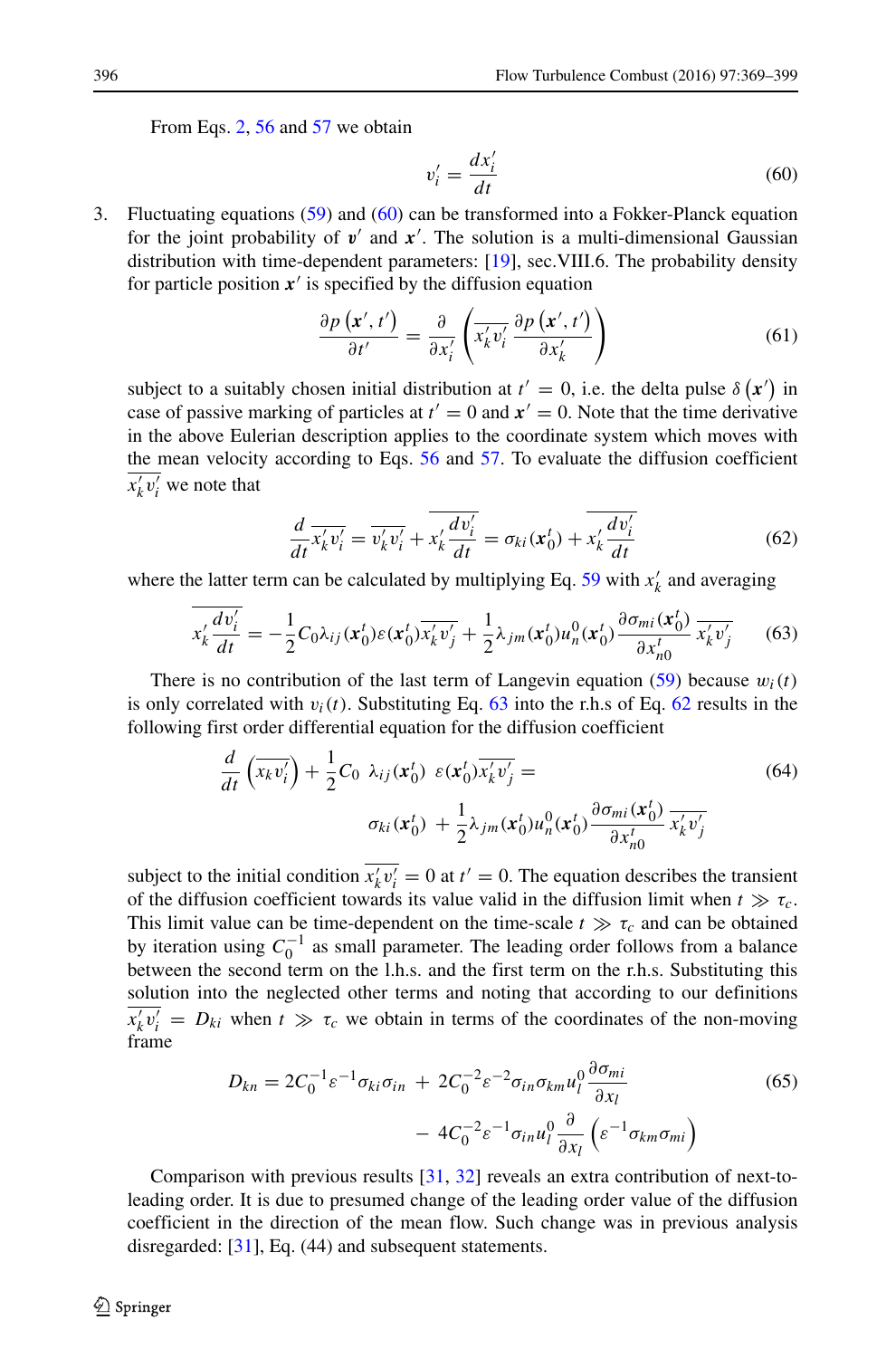From Eqs. [2,](#page-3-2) [56](#page-26-1) and [57](#page-26-2) we obtain

<span id="page-27-0"></span>
$$
v_i' = \frac{dx_i'}{dt} \tag{60}
$$

3. Fluctuating equations [\(59\)](#page-26-3) and [\(60\)](#page-27-0) can be transformed into a Fokker-Planck equation for the joint probability of  $v'$  and  $x'$ . The solution is a multi-dimensional Gaussian distribution with time-dependent parameters: [\[19\]](#page-30-10), sec.VIII.6. The probability density for particle position  $x'$  is specified by the diffusion equation

$$
\frac{\partial p\left(\mathbf{x}',t'\right)}{\partial t'} = \frac{\partial}{\partial x'_i} \left( \overline{x'_k v'_i} \frac{\partial p\left(\mathbf{x}',t'\right)}{\partial x'_k} \right) \tag{61}
$$

subject to a suitably chosen initial distribution at  $t' = 0$ , i.e. the delta pulse  $\delta(x')$  in case of passive marking of particles at  $t' = 0$  and  $x' = 0$ . Note that the time derivative in the above Eulerian description applies to the coordinate system which moves with the mean velocity according to Eqs. [56](#page-26-1) and [57.](#page-26-2) To evaluate the diffusion coefficient  $x'_k v'_i$  we note that

<span id="page-27-2"></span>
$$
\frac{d}{dt}\overline{x'_k v'_i} = \overline{v'_k v'_i} + \overline{x'_k \frac{d v'_i}{d t}} = \sigma_{ki}(\mathbf{x}'_0) + \overline{x'_k \frac{d v'_i}{d t}} \tag{62}
$$

where the latter term can be calculated by multiplying Eq. [59](#page-26-3) with  $x'_{k}$  and averaging

<span id="page-27-1"></span>
$$
\overline{x'_k}\frac{dv'_i}{dt} = -\frac{1}{2}C_0\lambda_{ij}(\mathbf{x}'_0)\varepsilon(\mathbf{x}'_0)\overline{x'_k v'_j} + \frac{1}{2}\lambda_{jm}(\mathbf{x}'_0)u_n^0(\mathbf{x}'_0)\frac{\partial \sigma_{mi}(\mathbf{x}'_0)}{\partial x'_{n0}}\overline{x'_k v'_j} \tag{63}
$$

There is no contribution of the last term of Langevin equation [\(59\)](#page-26-3) because  $w_i(t)$ is only correlated with  $v_i(t)$ . Substituting Eq. [63](#page-27-1) into the r.h.s of Eq. [62](#page-27-2) results in the following first order differential equation for the diffusion coefficient

<span id="page-27-4"></span>
$$
\frac{d}{dt}\left(\overline{x_k v_i'}\right) + \frac{1}{2}C_0 \lambda_{ij}(\mathbf{x}_0') \varepsilon(\mathbf{x}_0') \overline{x_k' v_j'} =
$$
\n
$$
\sigma_{ki}(\mathbf{x}_0') + \frac{1}{2}\lambda_{jm}(\mathbf{x}_0') u_n^0(\mathbf{x}_0') \frac{\partial \sigma_{mi}(\mathbf{x}_0')}{\partial x_{n0}'} \overline{x_k' v_j'}
$$
\n(64)

subject to the initial condition  $x'_k v'_i = 0$  at  $t' = 0$ . The equation describes the transient of the diffusion coefficient towards its value valid in the diffusion limit when  $t \gg \tau_c$ . This limit value can be time-dependent on the time-scale  $t \gg \tau_c$  and can be obtained by iteration using  $C_0^{-1}$  as small parameter. The leading order follows from a balance between the second term on the l.h.s. and the first term on the r.h.s. Substituting this solution into the neglected other terms and noting that according to our definitions  $x'_k v'_i = D_{ki}$  when  $t \gg \tau_c$  we obtain in terms of the coordinates of the non-moving frame

<span id="page-27-3"></span>
$$
D_{kn} = 2C_0^{-1} \varepsilon^{-1} \sigma_{ki} \sigma_{in} + 2C_0^{-2} \varepsilon^{-2} \sigma_{in} \sigma_{km} u_l^0 \frac{\partial \sigma_{mi}}{\partial x_l} - 4C_0^{-2} \varepsilon^{-1} \sigma_{in} u_l^0 \frac{\partial}{\partial x_l} \left( \varepsilon^{-1} \sigma_{km} \sigma_{mi} \right)
$$
(65)

Comparison with previous results [\[31,](#page-30-23) [32\]](#page-30-19) reveals an extra contribution of next-toleading order. It is due to presumed change of the leading order value of the diffusion coefficient in the direction of the mean flow. Such change was in previous analysis disregarded: [\[31\]](#page-30-23), Eq. (44) and subsequent statements.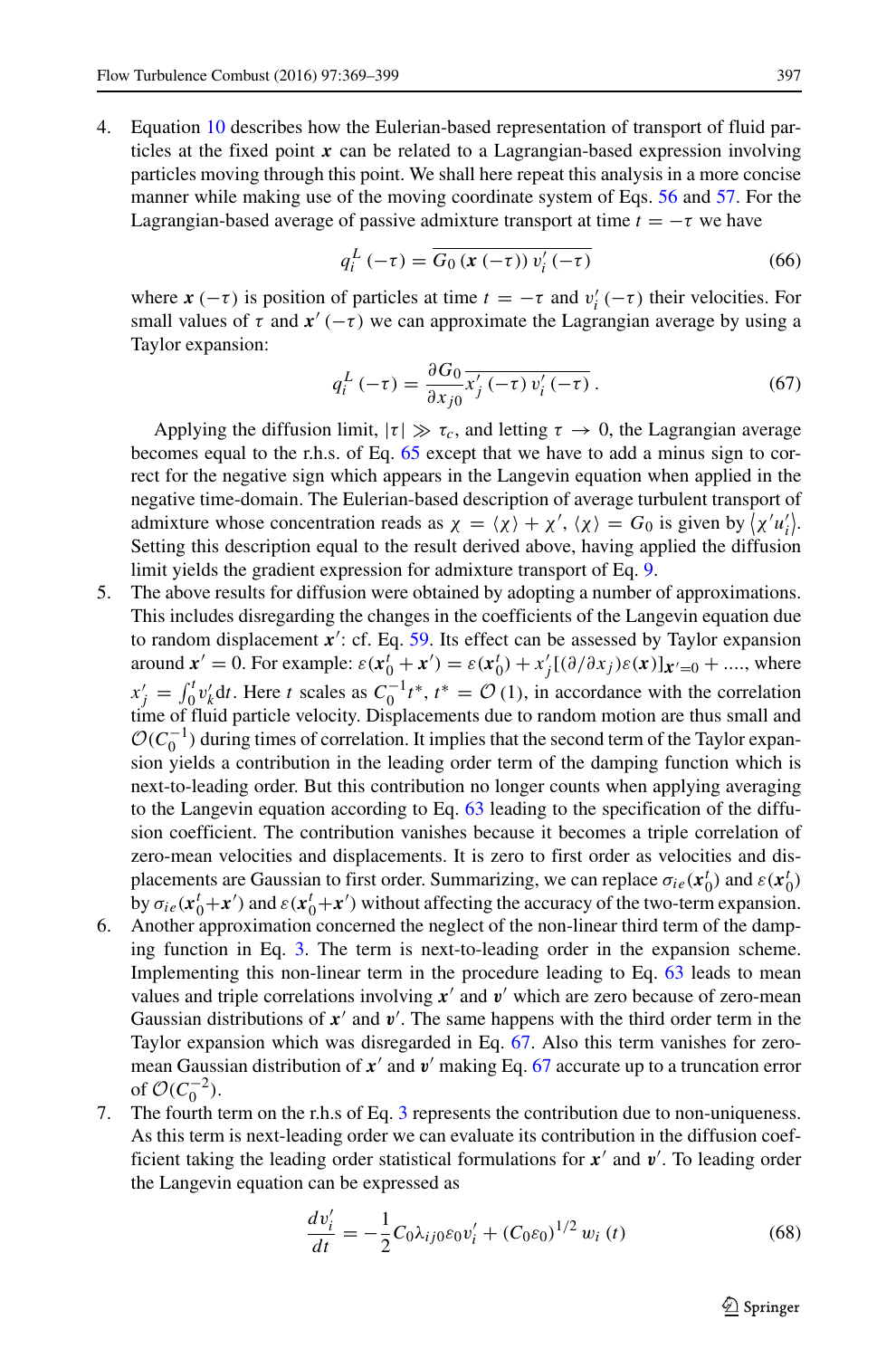4. Equation [10](#page-9-2) describes how the Eulerian-based representation of transport of fluid particles at the fixed point  $x$  can be related to a Lagrangian-based expression involving particles moving through this point. We shall here repeat this analysis in a more concise manner while making use of the moving coordinate system of Eqs. [56](#page-26-1) and [57.](#page-26-2) For the Lagrangian-based average of passive admixture transport at time  $t = -\tau$  we have

$$
q_i^L(-\tau) = \overline{G_0(x(-\tau))v_i'(-\tau)}
$$
\n(66)

where  $\mathbf{x}$  (−*τ*) is position of particles at time  $t = -\tau$  and  $v_i'(-\tau)$  their velocities. For small values of  $\tau$  and  $x'(-\tau)$  we can approximate the Lagrangian average by using a Taylor expansion:

<span id="page-28-0"></span>
$$
q_i^L(-\tau) = \frac{\partial G_0}{\partial x_{j0}} \overline{x'_j(-\tau) v'_i(-\tau)}.
$$
 (67)

Applying the diffusion limit,  $|\tau| \gg \tau_c$ , and letting  $\tau \to 0$ , the Lagrangian average becomes equal to the r.h.s. of Eq. [65](#page-27-3) except that we have to add a minus sign to correct for the negative sign which appears in the Langevin equation when applied in the negative time-domain. The Eulerian-based description of average turbulent transport of admixture whose concentration reads as  $\chi = \langle \chi \rangle + \chi'$ ,  $\langle \chi \rangle = G_0$  is given by  $\langle \chi' u'_i \rangle$ . Setting this description equal to the result derived above, having applied the diffusion limit yields the gradient expression for admixture transport of Eq. [9.](#page-9-1)

- 5. The above results for diffusion were obtained by adopting a number of approximations. This includes disregarding the changes in the coefficients of the Langevin equation due to random displacement x': cf. Eq. [59.](#page-26-3) Its effect can be assessed by Taylor expansion around  $\mathbf{x}' = 0$ . For example:  $\varepsilon(\mathbf{x}_0^t + \mathbf{x}') = \varepsilon(\mathbf{x}_0^t) + x'_j[(\partial/\partial x_j)\varepsilon(\mathbf{x})]_{\mathbf{x}'=0} + \dots$ , where  $x'_{j} = \int_{0}^{t} v'_{k} dt$ . Here *t* scales as  $C_{0}^{-1} t^{*}$ ,  $t^{*} = \mathcal{O}(1)$ , in accordance with the correlation time of fluid particle velocity. Displacements due to random motion are thus small and  $O(C_0^{-1})$  during times of correlation. It implies that the second term of the Taylor expansion yields a contribution in the leading order term of the damping function which is next-to-leading order. But this contribution no longer counts when applying averaging to the Langevin equation according to Eq. [63](#page-27-1) leading to the specification of the diffusion coefficient. The contribution vanishes because it becomes a triple correlation of zero-mean velocities and displacements. It is zero to first order as velocities and displacements are Gaussian to first order. Summarizing, we can replace  $\sigma_{ie}(x_0^t)$  and  $\varepsilon(x_0^t)$ by  $\sigma_{ie}(\mathbf{x}_0^t + \mathbf{x}')$  and  $\varepsilon(\mathbf{x}_0^t + \mathbf{x}')$  without affecting the accuracy of the two-term expansion.
- 6. Another approximation concerned the neglect of the non-linear third term of the damping function in Eq. [3.](#page-4-0) The term is next-to-leading order in the expansion scheme. Implementing this non-linear term in the procedure leading to Eq. [63](#page-27-1) leads to mean values and triple correlations involving  $x'$  and  $v'$  which are zero because of zero-mean Gaussian distributions of  $x'$  and  $v'$ . The same happens with the third order term in the Taylor expansion which was disregarded in Eq. [67.](#page-28-0) Also this term vanishes for zero-mean Gaussian distribution of x' and v' making Eq. [67](#page-28-0) accurate up to a truncation error of  $O(C_0^{-2})$ .
- 7. The fourth term on the r.h.s of Eq. [3](#page-4-0) represents the contribution due to non-uniqueness. As this term is next-leading order we can evaluate its contribution in the diffusion coefficient taking the leading order statistical formulations for x' and v'. To leading order the Langevin equation can be expressed as

$$
\frac{dv_i'}{dt} = -\frac{1}{2}C_0\lambda_{ij0}\varepsilon_0 v_i' + (C_0\varepsilon_0)^{1/2} w_i(t)
$$
\n(68)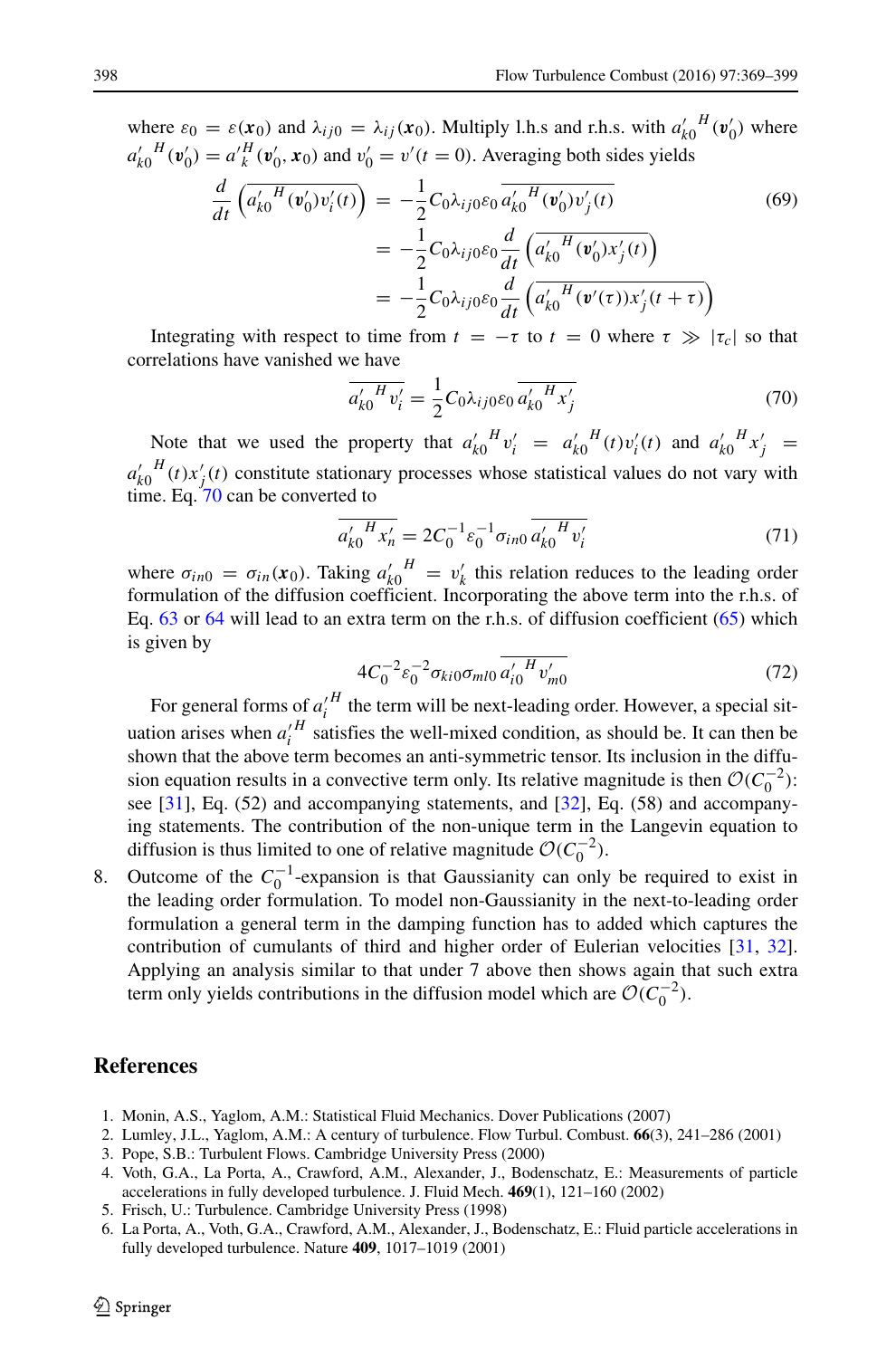where  $\varepsilon_0 = \varepsilon(x_0)$  and  $\lambda_{ij0} = \lambda_{ij}(x_0)$ . Multiply l.h.s and r.h.s. with  $a'_{k0}{}^H(v'_0)$  where  $a'_{k0}$ <sup>*H*</sup> (*v*<sub>(</sub>)</sup> =  $a'_{k}$ <sup>*H*</sup> (*v*<sub>()</sub>, **x**<sub>0</sub>) and  $v'_{0} = v'(t = 0)$ . Averaging both sides yields

$$
\frac{d}{dt} \left( a'_{k0}{}^{H}(\mathbf{v}'_0) v'_i(t) \right) = -\frac{1}{2} C_0 \lambda_{ij0} \varepsilon_0 \frac{a'_{k0}{}^{H}(\mathbf{v}'_0) v'_j(t)}{a'_{k0}{}^{H}(\mathbf{v}'_0) x'_j(t)} \n= -\frac{1}{2} C_0 \lambda_{ij0} \varepsilon_0 \frac{d}{dt} \left( a'_{k0}{}^{H}(\mathbf{v}'_0) x'_j(t) \right) \n= -\frac{1}{2} C_0 \lambda_{ij0} \varepsilon_0 \frac{d}{dt} \left( a'_{k0}{}^{H}(\mathbf{v}'(\tau)) x'_j(t + \tau) \right)
$$
\n(69)

Integrating with respect to time from  $t = -\tau$  to  $t = 0$  where  $\tau \gg |\tau_c|$  so that correlations have vanished we have

<span id="page-29-6"></span>
$$
\overline{a'_{k0}^{\ H} v'_i} = \frac{1}{2} C_0 \lambda_{ij0} \varepsilon_0 \, \overline{a'_{k0}^{\ H} x'_j} \tag{70}
$$

Note that we used the property that  $a'_{k0}^H v'_i = a'_{k0}^H (t) v'_i(t)$  and  $a'_{k0}^H x'_j = a''_{k0}$  $a'_{k0}$ <sup>*H*</sup> (t)x<sup>'</sup><sub>j</sub>(t) constitute stationary processes whose statistical values do not vary with time. Eq.  $70$  can be converted to

$$
\overline{a'_{k0}^H x'_n} = 2C_0^{-1} \varepsilon_0^{-1} \sigma_{in0} \overline{a'_{k0}^H v'_i}
$$
(71)

where  $\sigma_{in0} = \sigma_{in}(\mathbf{x}_0)$ . Taking  $a'_{k0}$ <sup>*H*</sup> =  $v'_{k}$  this relation reduces to the leading order formulation of the diffusion coefficient. Incorporating the above term into the r.h.s. of Eq. [63](#page-27-1) or [64](#page-27-4) will lead to an extra term on the r.h.s. of diffusion coefficient [\(65\)](#page-27-3) which is given by

$$
4C_0^{-2} \varepsilon_0^{-2} \sigma_{ki0} \sigma_{ml0} \overline{a_{i0}^{\prime \, H} v_{m0}^{\prime}} \tag{72}
$$

For general forms of  $a_i^H$  the term will be next-leading order. However, a special situation arises when  $a_i^H$  satisfies the well-mixed condition, as should be. It can then be shown that the above term becomes an anti-symmetric tensor. Its inclusion in the diffusion equation results in a convective term only. Its relative magnitude is then  $\mathcal{O}(C_0^{-2})$ : see [\[31\]](#page-30-23), Eq. (52) and accompanying statements, and [\[32\]](#page-30-19), Eq. (58) and accompanying statements. The contribution of the non-unique term in the Langevin equation to diffusion is thus limited to one of relative magnitude  $O(C_0^{-2})$ .

8. Outcome of the  $C_0^{-1}$ -expansion is that Gaussianity can only be required to exist in the leading order formulation. To model non-Gaussianity in the next-to-leading order formulation a general term in the damping function has to added which captures the contribution of cumulants of third and higher order of Eulerian velocities [\[31,](#page-30-23) [32\]](#page-30-19). Applying an analysis similar to that under 7 above then shows again that such extra term only yields contributions in the diffusion model which are  $O(C_0^{-2})$ .

## **References**

- <span id="page-29-0"></span>1. Monin, A.S., Yaglom, A.M.: Statistical Fluid Mechanics. Dover Publications (2007)
- <span id="page-29-1"></span>2. Lumley, J.L., Yaglom, A.M.: A century of turbulence. Flow Turbul. Combust. **66**(3), 241–286 (2001)
- <span id="page-29-2"></span>3. Pope, S.B.: Turbulent Flows. Cambridge University Press (2000)
- <span id="page-29-3"></span>4. Voth, G.A., La Porta, A., Crawford, A.M., Alexander, J., Bodenschatz, E.: Measurements of particle accelerations in fully developed turbulence. J. Fluid Mech. **469**(1), 121–160 (2002)
- <span id="page-29-4"></span>5. Frisch, U.: Turbulence. Cambridge University Press (1998)
- <span id="page-29-5"></span>6. La Porta, A., Voth, G.A., Crawford, A.M., Alexander, J., Bodenschatz, E.: Fluid particle accelerations in fully developed turbulence. Nature **409**, 1017–1019 (2001)